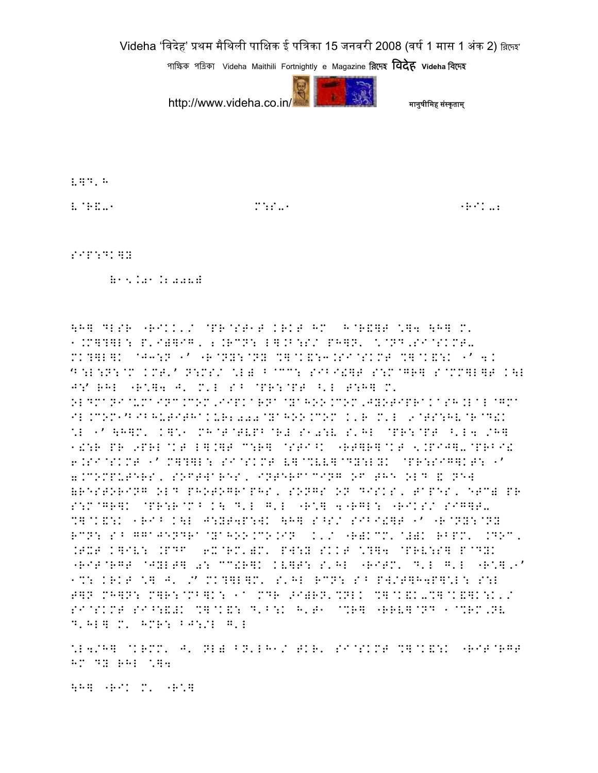পািkক পিtকা Videha Maithili Fortnightly e Magazine িরেদহ िवदेह **Videha** িবেদহ



LHT. H

R/BELF (1990) (1990) (1990) (1990) (1990) (1990) (1990) (1990) (1990) (1990) (1990)

SIP:DAY

(15.01.2008)

\H] DLSR "RIKK'/ @PR@ST1T KRKT HM H@R&]T \*]4 \H] M' 1.M]?]L: P'I)]IG, 2.RCN: L].B:S/ PH]N' \*@ND,SI@SKMT-MK?]L]K @J3:N 1**'** "R@NY:@NY %]@K&:3.SI@SKMT %]@K&:K 1**'** 4. **'**B:L:N:@M KMT'**'** N:MS/ \*L) B@CC: SIBI!]T S:M@GR] S@MM]L]T K\L J:**'** RHL "R\*]4 J' M'L S^ @PR:@PT ^'L T:H] M' OLOMANI@UMAINC.COM,IIPKARANI@UMAINC.COM,JYOTIPRAKASH.LAL@GMANI@YAHOO.COM IL.COM1**'**BIBHUTITHaKUR2000@YaHOO.COM K'R M'L 9@TS:HV@R@D!K \*L 1**'** \H]M' K]\*1 MH@T@TVPB@R# S10:V S'HL @PR:@PT ^'L4 /H]  $\sim$  RNP (PR)  $\sim$  PRPL@KT LINE (PRINT ). The PTC 5. PIDE  $\sim$   $\sim$  CD  $\sim$   $\sim$  CD  $\sim$  PRF  $\sim$  R 6.SI@SKMT 1**'** M]?]L: SI@SKMT V]@%VV]@DY:LYK @PR:SIG]KT: 1**'** 7.COMPUTERS, SOFTWaRES, INTERFaCING OF THE OLD & NEW (RESTORING OLD PHOTOGRaPHS, SONGS ON DISKS, TaPES, ETC) PR S: S: MORE RECORDED THAN A COLL "RELEASE AND HE HE RELIGIOUS CONFIDERATION %]@K&:K 1RI^ K\L J:YT4P:WK \H] S^S/ SIBI!]T 1**'** "R@NY:@NY RCAN: SO GGAJENDRA SAN SAHOL IN SAHOL CO. IN KEPADI .DOC, " .TATA (PAL) SPPF 6XMPT.AP. PAYA FILE 7000 NPRV TPWINT PORT "RIT@RGT @JYLT] 0: CC!R]K KV]T: S'HL "RITM' D'L G'L "R\*],1**'** 1%: KRKT \*] J' /**'** MK?]L]M' S'HL RCN: S^ PW/T]H4P]\*L: S:L T]N MH]N: M]R:@MB]K: 1a MDR >I)RN'%NLK %]@K&K-%]@K&]K:K'/ SIMT SIMPLE SIMPLE SIMPLE SIMPLE SIMPLE SIMPLE SIMPLE SIMPLE SIMPLE D'HLE MONTH: BI:

\*LEGUNHE \* MORTLE JOAN DIE EINE PROVINSEER OOK "PROVINSEER "DIE "RITGETE "RITGETE "RITGETE "RITGETE "RITGETE " HM DY RHL \*]4

 $\textcolor{red}{\textbf{H}}$  . RIK MY  $\textcolor{red}{\textbf{H}}$  and  $\textcolor{red}{\textbf{H}}$  and  $\textcolor{red}{\textbf{H}}$  and  $\textcolor{red}{\textbf{H}}$  and  $\textcolor{red}{\textbf{H}}$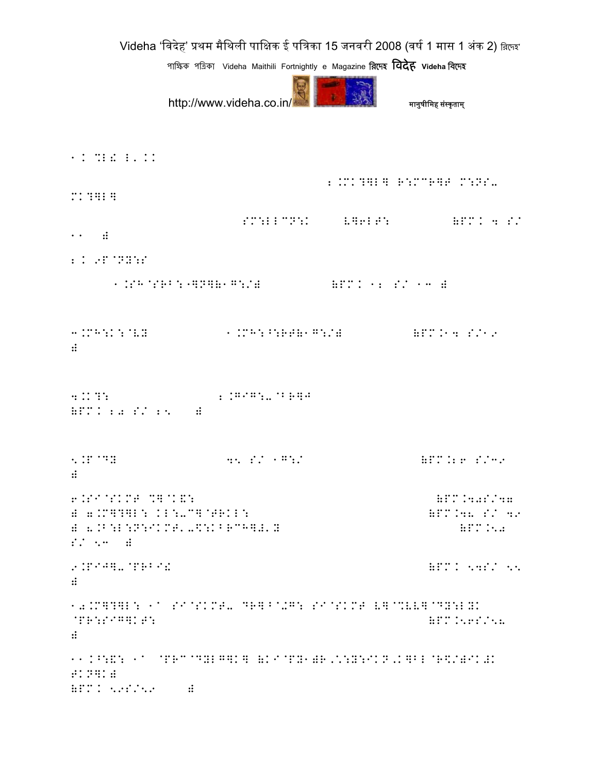|                                   | Videha 'विदेह' प्रथम मैथिली पाक्षिक ई पत्रिका 15 जनवरी 2008 (वर्ष 1 मास 1 अंक 2) बिलर                                          |                                  |                                                                                                               |
|-----------------------------------|--------------------------------------------------------------------------------------------------------------------------------|----------------------------------|---------------------------------------------------------------------------------------------------------------|
|                                   | পাক্ষিক পত্ৰিকা Videha Maithili Fortnightly e Magazine <b>রিদেহ যি<math>\overline{a}</math>ন্ত Videha বিদেহ</b>                |                                  |                                                                                                               |
|                                   | http://www.videha.co.in/                                                                                                       |                                  | मानुषीमिह संस्कृताम्                                                                                          |
| <b>.</b>                          |                                                                                                                                |                                  |                                                                                                               |
| <b>MAN 111</b>                    |                                                                                                                                |                                  |                                                                                                               |
| $\cdots$ $\#$                     |                                                                                                                                | <b>CONSIGNATION CONSIGNATION</b> | $\frac{1}{2}$ = $\frac{1}{2}$ = $\frac{1}{2}$ = $\frac{1}{2}$ = $\frac{1}{2}$ = $\frac{1}{2}$ = $\frac{1}{2}$ |
| : 1 STORAG                        |                                                                                                                                |                                  |                                                                                                               |
|                                   |                                                                                                                                | <b>BULLER COMME</b>              |                                                                                                               |
| $+17441314313$<br>$\mathbf{ii}$   |                                                                                                                                |                                  | <b>All Seconds</b>                                                                                            |
| e II di                           |                                                                                                                                |                                  |                                                                                                               |
| 400000<br>$\mathbf{H}$            |                                                                                                                                |                                  | <b>WEDDED</b>                                                                                                 |
| film d                            |                                                                                                                                |                                  | <b>BETTIMANING</b><br>BITTHE IT AP<br><b>WEST INVEST</b>                                                      |
| $\ddot{a}$                        |                                                                                                                                |                                  | arri wait ww                                                                                                  |
| <b>MENDAMENT</b><br>$\mathbf{ii}$ | K GOOD BEER AS A STOLEN ON DIE GROOT DIE GEWONDE DIE GESKIE DIE DIE GEGEGE GEGEWONE GEGEWONE GEGEWONE GEGEWONE                 |                                  | <b>BETT-SEPTITER</b>                                                                                          |
| <b>Al SAL A</b><br>BETT WARTTAN   | K KID PARTA IKI KI MERITI MARE ARDA IKA MEREKA BELIDA BAGI ARI DELENGAN DADI DENGAN DAN DARI DAN MAREKA DAN ME<br>$\mathbf{H}$ |                                  |                                                                                                               |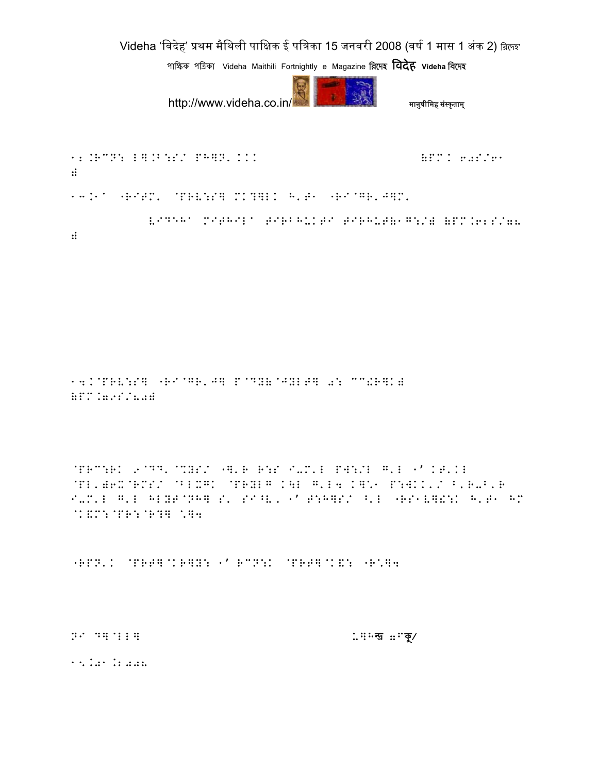পািkক পিtকা Videha Maithili Fortnightly e Magazine িরেদহ िवदेह **Videha** িবেদহ



12.RCN: L].B:S/ PH]N'... (PM. 60S/61  $\mathbf{a}$ 13.1a "RITM' @PRV:S] MK?]LK H'T1 "RI@GR'J]M' EVIDEH MITHILA TIRBHUKTI TIRHUTEKTIR TIRIKI TIRIKI  $\mathbf{H}$ 

14.@PRV:S] "RI@GR'J] P@DY(@JYLT] 0: CC!R]K) hPP.In.d.Ca.ad

@PRC:RK 9@DD'@%YS/ "]'R R:S I-M'L PW:/L G'L 1**'** KT'KL @PL')6X@RMS/ @BLXGK @PRYLG K\L G'L4 K]\*1 P:WKK'/ B'R-B'R I-M'L G'L HLYT@NH] S' SI^V, 1**'** T:H]S/ ^'L "RS1V]!:K H'T1 HM @K&M:@PR:@R?] \*]4

"RPN'K @PRT]@KR]Y: 1**'** RCN:K @PRT]@K&: "R\*]4

 $N: \mathbb{R}^n \to \mathbb{R}^n$  is the contract of the contract of the contract of  $\mathbb{R}^n$  is the contract of  $\mathbb{R}^n$ 

15.01.2008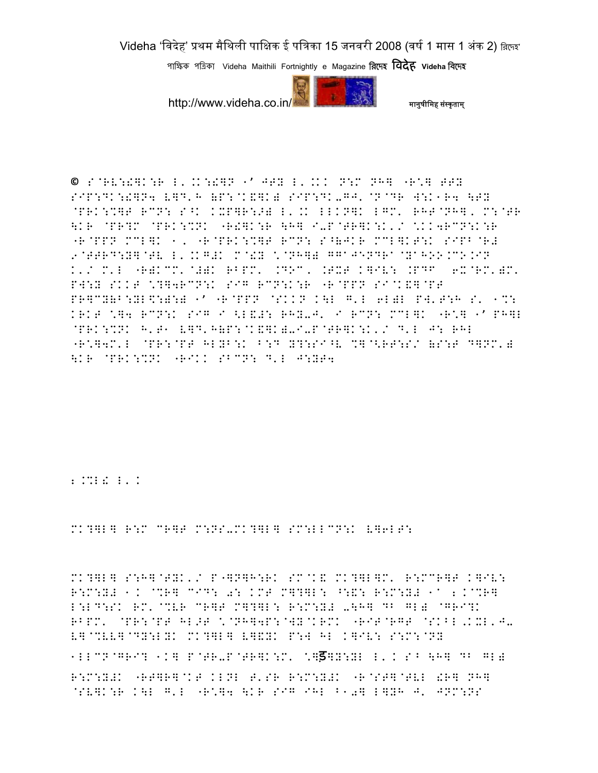পািkক পিtকা Videha Maithili Fortnightly e Magazine িরেদহ िवदेह **Videha** িবেদহ



**©** S@RV:!]K:R L'.K:!]N 1**'** JTY L'.KK N:M NH] "R\*] TTY SIP:DIK: NARDA (ART), ACADEMIC BRITAN SIPINTI LAR), OD OR WET (RN) SAR WEB @PRK:%]T RCN: S^K KXP]R:>) L'.K LLKN]K LGM' RHT@NH], M:@TR \KR @PR?M @PRK:%NK "R!]K:R \H] I-P@TR]K:K'/ \*KK4RCN:K:R "REPORT MCLAN IN REPORT SOME ROWS" SOMEWHAT ROUGH SINCE SINCE 9@TTRD:Y]@TV L'.KG#K M@!Y \*@NH]) GGaJENDRa@YaHOO.CO.IN K'/ M'L "PABITA, MBEL "BFPM". "DPFT". .DOC, BFKE, .DOPPT" "BOMBA, BM. PW:Y SKKT \*?]4RCN:K SIG RCN:K:R "R@PPN SI@K&]@PT PR]CY(B:YL\$:):) 1**'** "R@PPN @SKKN K\L G'L 6L)L PW'T:H S' 1%: KRKF \*JAN:RTH: RYA / LEBAN:RHB24. / RTPN:PTER: /PNA-//PHAL @PRK:%NK H'T1 V]D'H(P:@K&]K)-I-P@TR]K:K'/ D'L J: RHL "R\*]4M'L @PR:@PT HLYB:K B:D Y?:SI^V %]@<RT:S/ (S:T D]NM') \KR @PRK:%NK "RIKK SBCN: D'L J:YT4

2.%L! L'.

MCREAGE AND MARK MONAGEMENT ROLLEY SMALL CONTROL

MC?DAR RINGER (POLICI) P (APPAGE) INVICE MC MARACHI (PGYMEAR) CAPLS R:M:W# 1. M:R# TVT: 2: RMT M###: PHD: R:M:W# 2. R:M:Y# 1 L:LO:SK RMY CRIPT MARKET MARKET MARKET MARKET MARKET WAS ARRESTED FOR A START OF DISCOVERY AND DESCRIPTION OF RBPOST @PR: PT HLOT #@NHI4P: PT HD: @PT #PFF @PT #1 #1 #1 #1 #1 V]@%VV]@DY:LYK MK?]L] V]&YK P:W HL K]IV: S:M:@NY 1LLCN@GRI? 1K] P@TR-P@TR]K:M' \*]ड़]Y:YL L'. S^ \H] DB GL) R:M:M:X:M:R:M:R:M:X:M:R:M:R:M:R:M:R:M:M:R:M:M:R:M:M:R:M:P#F "R##"  $\overline{\phantom{a}}$  (Fig. )  $\overline{\phantom{a}}$  and  $\overline{\phantom{a}}$  in  $\overline{\phantom{a}}$  and  $\overline{\phantom{a}}$  and  $\overline{\phantom{a}}$  and  $\overline{\phantom{a}}$  and  $\overline{\phantom{a}}$  and  $\overline{\phantom{a}}$  and  $\overline{\phantom{a}}$  and  $\overline{\phantom{a}}$  and  $\overline{\phantom{a}}$  and  $\overline{\phantom{a}}$  and  $\overline{\phantom{a}}$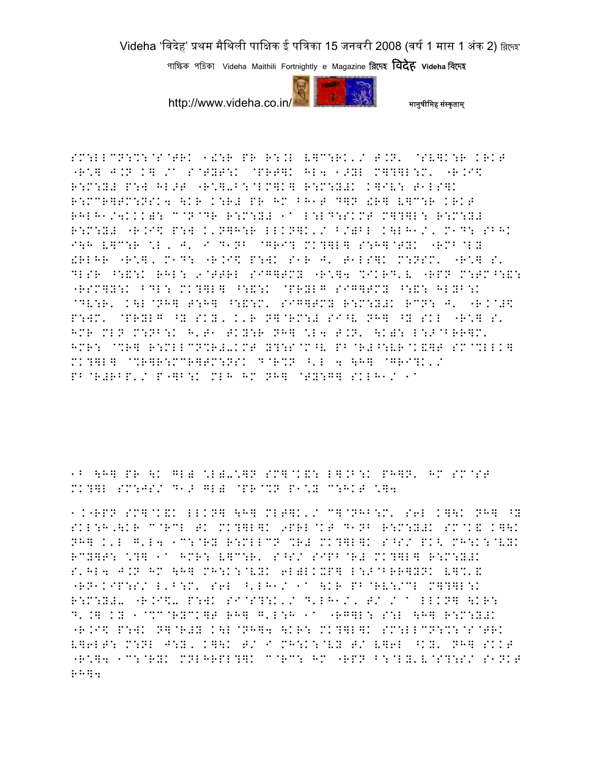পািkক পিtকা Videha Maithili Fortnightly e Magazine িরেদহ िवदेह **Videha** িবেদহ



SM:LLCA: SM: SM: PR R: RESPONSE I T. PR R: L VI @ SV (1999) T. L VI & RESPONSE I T. D & CORRESPONSE I T. D & C  $R$  , and the same probability of the same  $R$  is a same probability of  $R$  . The same  $R$ R:M:Y# P:W HL>T "R\*]-B:@LM]K] R:M:Y#K K]IV: T1LS]K R:MCR#CRITM:NSK4 PR HM BH1T DIR BH1T DIR BH1T DIR RHLHONICAN: COMPONENT RICHALD OF STRING RECORDS AND DRIVING R:M:Y# "R.I\$ P:W K.PHP:R LLOWER. BOOK BLE KRLP: SBHKK. MID: SBHK I\H V]C:R \*L, J' I D1NB @GRI? MK?]L] S:H]@TYK "RMB@LY !RLHR "R\*], M1D: "R.I\$ P:WK S1R J' T1LS]K M:NSM' "R\*] S' DLSR ^:&:K RHL: 9@TTRL SIG]TMY "R\*]4 %IKRD'V "RPN M:TM^:&: "RECROSO" FOR NOCCORRER (PNONO) OCEAN POZZARRZCO (PNONO) PRINCE WHIGH: CAR MARE AGAR TGHGE, PYPRAME RGMGHEL RMAG A, SRIMER PYRC, OPROBER OO SKOK, KIR NEGENEDE SOKI, NHE OO SKEVE SIX S HMR MED MYNTYN HYSK SYDNA DAR NIS ALDE DY'T ANGEVENNING. HMR: @ WRACH R:MLLCAR ROW REACTED PROPERTY REPORT OF THE CAMPA CONTRIGUE MK?) # KRON DO RESERVED A ROMAN ORDER DESCRIPTION OF THE RESERVED ON DERIVATION OF THE GRIP OF THE GRIP OF THE PB@R#RBP'/ P"]B:K MLH HM NH] @TY:G] SKLH1/ 1a

1B \H] PR \K GL) \*L)-\*]N SM]@K&: L].B:K PH]N' HM SM@ST MAN SMOKE AND GLOSS COMMUNICATIONS

 $\sim$  1.0000  $\pm$  2.000  $\pm$  2.000  $\pm$  1.000  $\pm$  0.000  $\pm$  0.000  $\pm$  0.000  $\pm$  0.000  $\pm$  0.000  $\pm$  0.000  $\pm$  0.000  $\pm$ SCL:H,H:H,MYH,H:KR COMBER SHE CAMA R:M:H:KERCL TK CHE. NH] K'L G'L4 1C:@RY R:MLLCN %R# MK?]L]K S^S/ PK< MH:K:@VYK RCY]T: \*?] 1a HMR: V]C:R' S^S/ SIPB@R# MK?]L] R:M:Y#K S'HLA J.A (D. AD. AAR) DAGOG NADO SEBEL DER GEGEN AGANGEED EAD. BROI  $R$ RN1KIP:S/ L'B:M' S6L (RIB:S/ 10 RIB PP@RV:/CL MERRIA) R:M:H: "R.I\$- P:M STEN., T.I\$- P:WA SI P: T.I D'. D'E D'OIS COMPORATIONE DE RANCHE, EN SANCHE PARTIEL SIN EN SAN "BANDAILE" "R. IS R. IE PORT PORT AN IS PORT AT REAL PORT AND A RIGHT A MOST CONTRACT SAMPLE LANTER VAN JAN LIAN EN KOMMINISE EN LANT VID. MAAR SKIE  $H^1$  10 1  $H^2$  10  $H^1$  (20  $H^1$  ) 10  $H^1$  (20  $H^1$  ) 10  $H^1$  (30  $H^1$  ) 10  $H^1$  (30  $H^1$  ) 10  $H^1$  (30  $H^1$  ) 10  $H^1$  (30  $H^1$  ) 10  $H^1$  (30  $H^1$  ) 10  $H^1$  (30  $H^1$  ) 10  $H^1$  (30  $H^1$  ) 10  $H^1$  (30  $H^$  $\mu$  and  $\mu$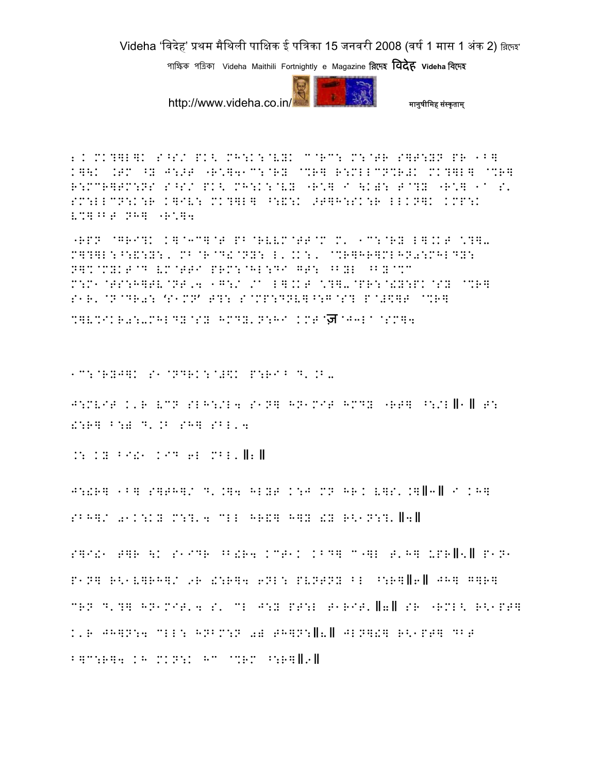পািkক পিtকা Videha Maithili Fortnightly e Magazine িরেদহ िवदेह **Videha** িবেদহ



2. MK?]L]K S^S/ PK< MH:K:@VYK C@RC: M:@TR S]T:YN PR 1B] KARL .TM .TM .THM .THURLCOME .THURLCOME .THURLCOME .THURLCOME .THURLCOME .THURLCOME .THURLCOME .THURLCOME .THU R:MCR]TM:NS S^S/ PK< MH:K:@VY "R\*] I \K): T@?Y "R\*] 1a S' SM:LLCN: MARINE SM: MARINE SM: AND AN ALL AND AN ALL AND AN ALL AND AN ALL AND AN ALL AND AN ALL AND ALL AND A V%]^BT NH] "R\*]4

"RPN @GRIVE: CHINTEIN PRODUCED TO A TEIRN FROM CHIL MARINE NI PARTA EN 17 MILIONER DE L'ESTE L'INTERNATIONE POLITIQUE PRINTENT MENSION NAT WE HAVE AN OUTSTANDED ON THE CONTROL OF THE CONTROL OF THE CONTROL OF THE CONTROL OF THE CONTROL OF THE CO M:M1@TS:HER:MANT, PHONT:HITLE THE CONTROL OF MAN  $S$  S1RT  $S$  -  $S$  -  $S$   $\rightarrow$   $S$   $\rightarrow$   $S$   $\rightarrow$   $S$   $\rightarrow$   $S$   $\rightarrow$   $S$   $\rightarrow$   $S$   $\rightarrow$   $S$   $\rightarrow$   $S$   $\rightarrow$   $S$   $\rightarrow$   $S$   $\rightarrow$   $S$   $\rightarrow$   $S$   $\rightarrow$   $S$   $\rightarrow$   $S$   $\rightarrow$   $S$   $\rightarrow$   $S$   $\rightarrow$   $S$   $\rightarrow$   $S$   $\rightarrow$   $S$   $\rightarrow$   $S$   $\rightarrow$   $S$   $\rightarrow$   $S$ 

%]V%IKR0:-MHLDY@SY HMDY'N:HI KMT@ज़@J3La@SM]4

1C:@RYJ]K S1@NDRK:@#\$K P:RI^ D'.B-

J:MVIT K'R VCN SLH:/L4 S1N] HN1MIT HMDY "RT] ^:/L॥1॥ T: !:R] B:) D'.B SH] SBL'4

.: KY BI!1 KID 6L MBL'॥2॥

J:!R] 1B] S]TH]/ D'.]4 HLYT K:J MN HR. V]S'.]॥3॥ I KH] SBH]/ 01K:KY M:?'4 CLL HR&] H]Y !Y R<1N:?'॥4॥

SIN TRANSPORTED THE STRAIN CONTROL OF THE UPPRESS OF A SINIDATE IN THE STRAIN OF THE UPPRESS OF THE UPPRESS OF P-PR RS-18RHAR/ 2R 21RHA 2201 F12222 F1 (1848|0|2|| JHR AGBA CRN D'ISLE DISTINGUE EN COLLAISE PARE AN ROMAN MAN MARIE RENESSE K.B JHANSA TIIN HRITAR WA PHONIN. || JIRAN BIJIRI DIR Banyaay (R) MKR: R" MKR" Raadwel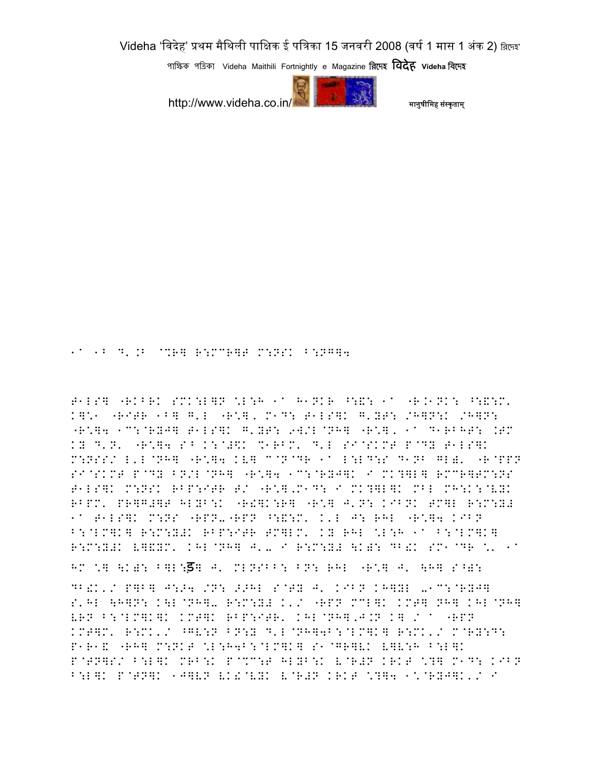DB!K'/ P]B] J:>4 /N: >>HL S@TY J' KIBN KH]YL -1C:@RYJ] S'HL \H]N: K\L@NH]- R:M:Y# K'/ "RPN MCL]K KMT] NH] KHL@NH] VRN B:@LM]K]K KMT]K RBP:ITR' KHL@NH],J.N K] / a "RPN KMATH, PHONY MANY PRI PRI MARHARY: NORTH BIOLY MOBILE P1R1& "RH] M:NKT \*L:H4B:@LM]K] S1@GR]VK V]V:H B:L]K P@TN]S/ B:L]K MRB:K P@%C:T HLYB:K V@R#N KRKT \*?] M1D: KIBN B:LEE PORT FOR THE POST OF THE UNIT OF THE REPORT TO A 1999 IN A 1999 FOR A 14 IN 14 14 14 14 14 14 14 14 14 1

 $\mathbb{R}^n$  (19) Biley Purings Book (2009) Puring Resources and  $\mathbb{R}^n$  and  $\mathbb{R}^n$  and  $\mathbb{R}^n$  and  $\mathbb{R}^n$ 

THE SPACE OF STACKER STOLEN SO THE RAIN SERVICE OF THE SERVICE OF PRESENT. KAL "RITR 19 B.E "RITR THAN BIRD" B.D. MADS (MADS) "R\*]4 1C:@RYJ] T1LS]K G'YT: 9W/L@NH] "R\*], 1a D1RBHT: .TM KO D'AL RELEGIE SO KONSTANT D'A ROMA D'A SA MENDE PODE PODE PARENTE M:NSS/ L'L@NH] "R\*]4 KV] C@N@DR 1a L:LD:S D1NB GL)' "R@PPN SIMIC PORTH PART PANEL TO BARE TO CONTROL BOOK T1LS]K M:NSK RBP:ITR T/ "R\*],M1D: I MK?]L]K MBL MH:K:@VYK RRPOW PRAPODA PLOKAWY PRODOBAT PRO PRODOK TROVINE PRODOBO 1a T1LS]K M:NS "RPN-"RPN ^:&:M' K'L J: RHL "R\*]4 KIBN B:@LM]K] R:M:Y#K RBP:ITR TM]LM' KY RHL \*L:H 1a B:@LM]K] R:M:H: BARAY, INFORMATION SINGHE AIR AND THIS SYSTEM (200

1a 1B D'.B @%R] R:MCR]T M:NSK B:NG]4

 $\frac{h_{\text{H}}}{\frac{h_{\text{H}}}{\sqrt{2}}}\frac{h_{\text{H}}}{\sqrt{2}}$  मानषीमिह संस्कृताम



Videha 'विदेह' प्रथम मैथिली पाक्षिक ई पत्रिका 15 जनवरी 2008 (वर्ष 1 मास 1 अंक 2) <sub>রিদেহ'</sub> পািkক পিtকা Videha Maithili Fortnightly e Magazine িরেদহ िवदेह **Videha** িবেদহ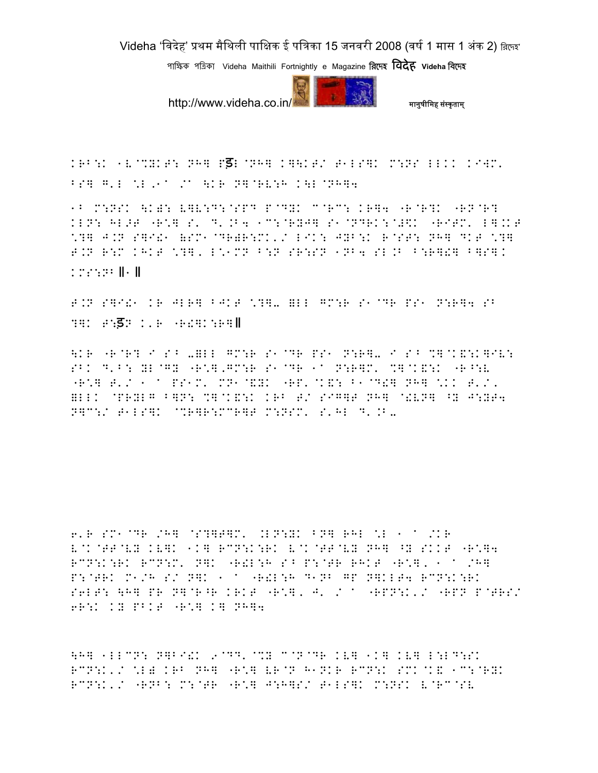পািkক পিtকা Videha Maithili Fortnightly e Magazine িরেদহ िवदेह **Videha** িবেদহ



KRB:K 1V@XRS: NHE P**S**E TRAH (1961) ALEXED (1972) EEIC (1992) BSPECIES (SINGLE TO HIS PRINKING CALIFORNIA

1B M:NSK \K): V]V:D:@SPD P@DYK C@RC: KR]4 "R@R?K "RN@R? KLN: HL>T "R\*] S' D'.B4 1C:@RYJ] S1@NDRK:@#\$K "RITM' L].KT \*?] J.N S]I!1 (SM1@DR)R:MK'/ LIK: JYB:K R@ST: NH] DKT \*?] T.N R:M KHKT \*?], L\*1MN B:N SR:SN 1NB4 SL.B B:R]!] B]S].

 $k$ 

T.N S]I!1 KR JLR] BJKT \*?]- =LL GM:R S1@DR PS1 N:R]4 SB  $T: X \to Y$ :  $\overline{S}X : Y \to Y$ :  $\overline{S}X : Y \to Y$ 

 $K\to \mathbb{R}$  in the solution of the problem interest in the state of  $K\to K\mathbb{R}$ SBK D'B: YL@GY "R\*],GM:R S1@DR 1a N:R]M' %]@K&:K "R^:V  $R$  FOR  $R$  is the particle of  $R$  . The set  $R$  is the particle of  $R$  is the particle of  $R$ =LLK @PRYLG B]N: %]@K&:K KRB T/ SIG]T NH] @!VN] ^Y J:YT4 NATH MORE ON THE STORE STATE OF THE UP OF SALE

6'R SM1@DR /H] @S?]T]M' .LN:YK BN] RHL \*L 1 a /KR  $U$  . The variance of the properties in the variance  $\mathbb{R}^n$  and  $\mathbb{R}^n$  . The set  $\mathbb{R}^n$ RCN:K:RK RCN: MI "RENTH IS TRIB RHKT "RYN "R", "RT P:@TRK M1/H S/ N]K 1 a "R!L:H D1NB GP N]KLT4 RCN:K:RK S6LT: \H] PR N]@R^R KRKT "R\*], J' / a "RPN:K'/ "RPN P@TRS/ 6R:K KY PBKT "R\*H" (R\*H)

\H] 1LLCN: N]BI!K 9@DD'@%Y C@N@DR KV] 1K] KV] L:LD:SK RCAN:K'/ \*L) ARB NHAR NHAR HING RON SMK SMK (KAN THINKR RCN) RCN:K'/ "RNB: M:@TR "R\*] J:H]S/ T1LS]K M:NSK V@RC@SV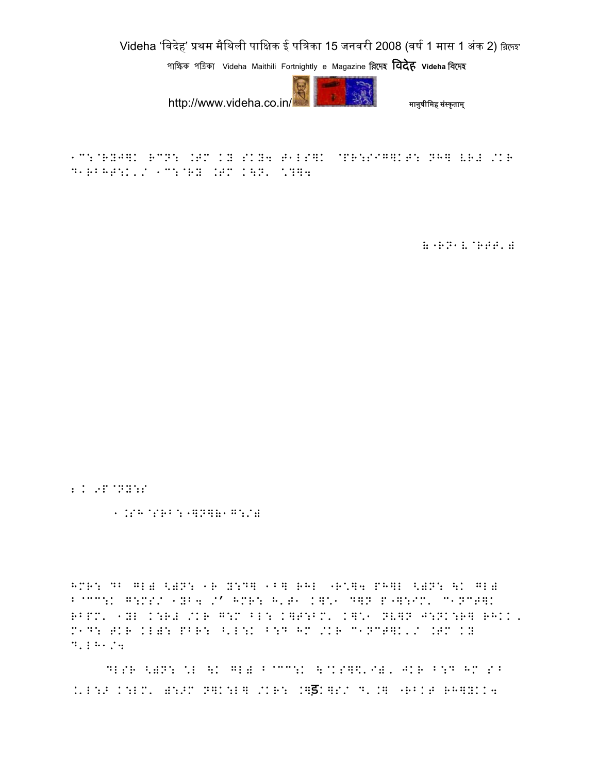পািkক পিtকা Videha Maithili Fortnightly e Magazine িরেদহ िवदेह **Videha** িবেদহ



1C:@RYJ]K RCN: .TM KY SKY4 T1LS]K @PR:SIG]KT: NH] VR# /KR D1RBHT:K'/ 1C:@RY .TM K\N' \*?]4

(h) (PP) (h) (PP) (h)

2. 9P@NY:S

1. SHOW: 1. SHOW: 1. SHOW: 1. SHOW: 1. SHOW: 1. SHOW: 1. SHOW: 1. SHOW: 1. SHOW: 1. SHOW: 1. SHOW: 1. SHOW: 1.

HMR: DR GH) KAPY ()N: 2794 ()4 PHI (HNA4 PHH (NAPY A) GLA B@CC:K G:MS/ 1YB4 /**'** HMR: H'T1 K]\*1 D]N P"]:IM' C1NCT]K RBPM' 191 (1961) 200 G:M BL: K:R#1 NV, K:R: SHE G:M BL: K M1D: TKR KL): PBR: ^'L:K B:D HM /KR C1NCT]K'/ .TM KY D'LH1/4

DESP RAPS NE AD PEA POUURD BODERN AB, PDB PSP RD EP .'L:> K:LM' ):>M N]K:L] /KR: .]ड़K]S/ D'.] "RBKT RH]YKK4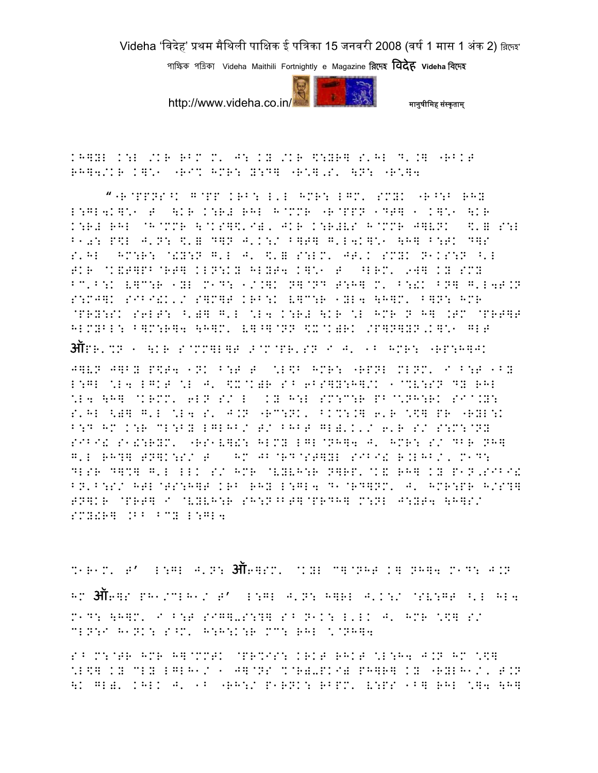পািkক পিtকা Videha Maithili Fortnightly e Magazine িরেদহ िवदेह **Videha** িবেদহ



KHANI KI: MARKAT MI JI: KI MARKAT MI JI SHIR RH]4/KR K]\*1 "RI% HMR: Y:D] "R\*],S' \N: "R\*]4

 **"**"R@PPNS^K G@PP KRB: L'L HMR: LGM' SMYK "R^:B RHY L:GREAK REACT AND INDEED AND THE COMMON POINT REACTION AND REACTED A REACTED A MINOR SERVE AND REACTED A MINOR K:R#B RHL @H@MMR & MIRR A:R & H@MAMA & MMR JARIN JONG ENE  $B_1$   $B_2$ :  $B_3$   $B_4$   $B_5$   $B_6$   $B_7$   $B_7$   $B_8$   $B_1$   $B_2$   $B_3$   $B_4$   $B_5$   $B_6$   $B_7$   $B_8$   $B_8$   $B_9$   $B_9$   $B_9$   $B_9$   $B_9$   $B_9$   $B_9$   $B_9$   $B_9$   $B_9$   $B_9$   $B_9$   $B_9$   $B_9$   $B_9$   $B_9$   $B_9$   $B_9$   $B_9$ S'HL HM:R: @!Y:N G'L J' \$'= S:LM' JT'K SMYK N1KS:N ^'L TKR @K@KATATAPA KLIPANI PIJA KATA KALA KATA KY SMY BC'B:K V]C:R 1YL M1D: 1/.]K N]@ND T:H] M' B:!K BN] G'L4T.N SSIMAR SHEKKILI SAMAR KERB: KAMSE KARA AHAN: FAMR HMR @PRY:SK S6LT: ^')] G'L \*L4 K:R# \KR \*L HMR N H] .TM @PRT]T HEMSEE & FRYSHRA (ARRIV), BRIFRING FOLIVABLI (MRGPOR (1917), PER

ऑPR' NP Y SOR Y NORREGE SNOWER YOU ALL YESHING YRPENGAL

JANES AND BY PHATH THAT I SERVICES APPRECIAST I BY THE FILM L:GRE (18 A) ERIGK (18 MA) RICOLABS Y:R GREGHINERIC (A OILGYZ PIE BRE \*L4 \H] @KRMM' 6LN S/ L KY H:L SM:C:R PB@\*NH:RK SI@.Y: S'HL <)] G'L \*L4 S' J.N "RC:NK' BK%:.] 6'R \*\$] PR "RYL:K B:D HM K:R CL:BY CHEFT BEFORE GLOCIES SOMETHED SIBI SI SIBI SI SIBI NG KATA NA KATA NA KATA NA MARA NA MARA NA MARA NA MARA NA MARA NA MARA NA MARA NA MARA N B.: RHTS BRS.NK: B. AT HOMESHED YVER BIBE!, THT DLSR DATA P.E. LLK SY PTR JESEPHR PART, NIK PPA VS P1P,SIRIPA BN'B:SY, HELMEYSHAN (BF) BHN 1981 - MY NEMARY, A. PRESER H/STA THE PROBLEMS OF CONSIDERING AND THE SHIP REDUCTION OF THE REDUCTION OF  $\mathbb{R}^n$ SMART .BB BCY LINES

%1R1M' T**'** L:GL J'N: ऑ6]SM' @KYL C]@NHT K] NH]4 M1D: J.N HM ऑ6]S PH1/CLH1/ T**'** L:GL J'N: H]RL J'K:/ @SV:GT ^'L HL4 M100: NO. 1000 I B: SIG SIGNER (SO NO. 1000) A: SIG (SIN SIG TERR WORLD FROM WHITH THE REPORT

SO MICHAEL HIM HA MICHA (MIRINGIN CHI) AN HAI A CHAN A CHOMAIN CAR \*L\$] KY CLY LGLH1/ 1 J]@NS %@R)-PKI) PH]R] KY "RYLH1/, T.N  $\kappa$  groups that  $\kappa$  is the set  $\kappa$  probability  $\kappa$  and  $\kappa$  are  $\kappa$  and  $\kappa$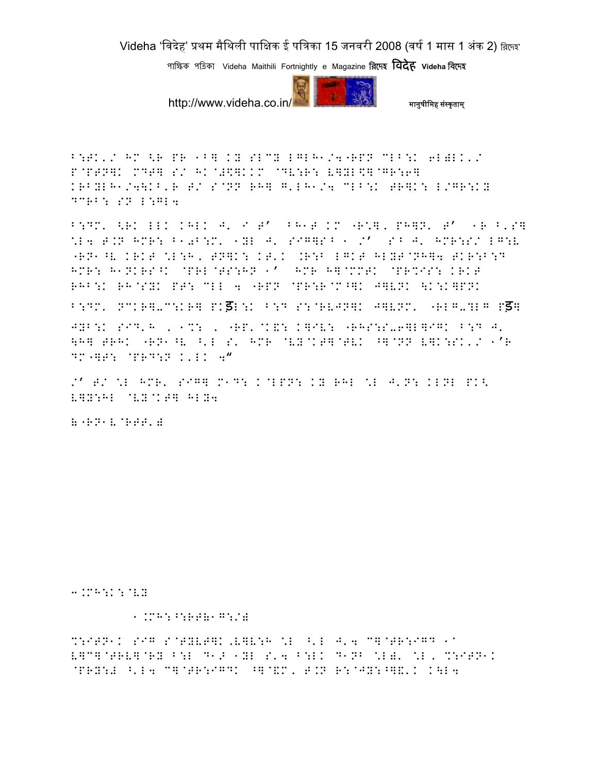পািkক পিtকা Videha Maithili Fortnightly e Magazine িরেদহ िवदेह **Videha** িবেদহ



B:TK'/ HM <R PR 1B] KY SLCY LGLH1/4"RPN CLB:K 6L)LK'/ POPENS CONDITIONS CONSIDERED SOME KRBYLHIN-VARDELIK GENT SONDE GRAF ALLEN VAN MEENDE GRAFDE EUARKDIG. DCRB: SN L:GL4

B:DM' <RK LLK KHLK J' I T**'** BH1T KM "R\*], PH]N' T**'** 1R B'S] \*L4 T.N HMR: B10B:M' 1YL J' SIG]S^ 1 /**'** S^ J' HMR:S/ LG:V "REP" FRO DIE 14 JAAR 10 KRAT 'L: HOOF LOKEST 'LE RIJ HOOF HET DIE NAAM DIE NATUUR HMR: H1NKRS^K @PRL@TS:HN 1**'** HMR H]@MMTK @PR%IS: KRKT RHB:K RH@SYK PT: CLL 4 "RPN @PR:R@M^]K J]VNK \K:K]PNK

 $B:0$ :  $D:0$   $D:0$   $D:0$   $D:0$   $D:0$   $D:0$   $D:0$   $D:0$   $D:0$   $D:0$   $D:0$   $D:0$   $D:0$   $D:0$   $D:0$   $D:0$   $D:0$   $D:0$   $D:0$   $D:0$   $D:0$   $D:0$   $D:0$   $D:0$   $D:0$   $D:0$   $D:0$   $D:0$   $D:0$   $D:0$   $D:0$   $D:0$   $D:0$   $D:0$   $D:0$   $D:0$ 

JYB: SID'S STATE, ACTOR (1990), SIDE BEEN STATES TO GAIN BEEN BEEN STATES OF STATES. \H] TRHK "RN1^V ^'L S' HMR @VY@KT]@TVK ^]@NN V]K:SK'/ 1**'**R DM"]T: @PRD:N K'LK 4**"**

/**'** T/ \*L HMR' SIG] M1D: K@LPN: KY RHL \*L J'N: KLNL PK< V]Y:HL @VY@KT] HLY4

 $H$  + P = P = R + P = R + P = R + P = R + P = R + P = R + P = R + P = R + P = R + P = R + P = R + P = R + P = R + P = R + P = R + P = R + P = R + P = R + P = R + P = R + P = R + P = R + P = R + P = R + P = R + P = R + P =

3.MH:K:@VY

1.MH:^:RT(1G:/)

%):ITN1K SIG SERIK SIG SATISFAL SIGNAL SIGNAL SIGNAL SIGNAL SIGNAL TERLET SIGNAL AT TRIPLAT UNIVERSITY OF TRIPLATION LATA VALA TEL TEL SI CLA FYLI TEN NIL NI CYPICH @PRY:# ^'L4 C]@TR:IGDK ^]@&M, T.N R:@JY:^]&'K K\L4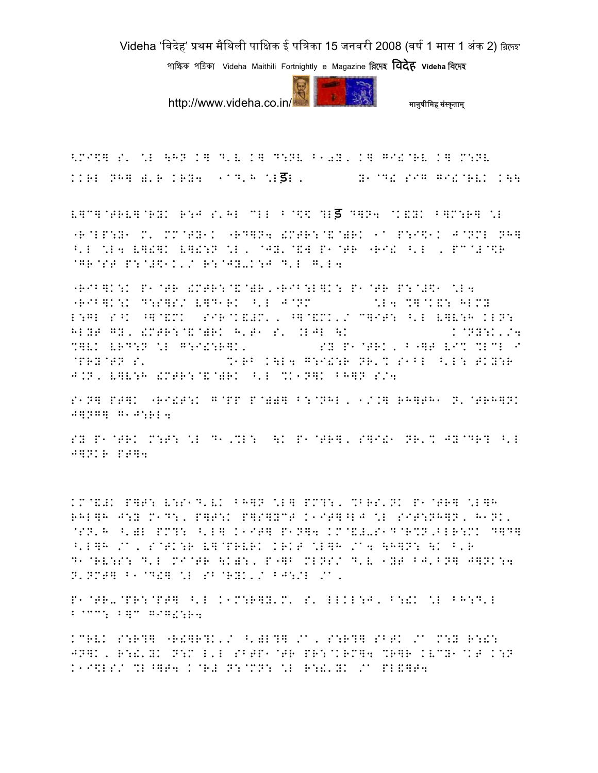পািkক পিtকা Videha Maithili Fortnightly e Magazine িরেদহ िवदेह **Videha** িবেদহ



ADYRR BY ALL ARE CROSS. IN THE PARK ARREST CROSS OF DOPER KKRL NHE BUE (EBB) (1916 NE<mark>S</mark>EL, Yn Yn MAD'H #PROFEN (199)

LATA VELA RED EVA RIA TEL FORT AS TARA OLED FATIEN ME "RACPETER" M. MONTHER: "RATHER & CHARTEN TRIAL "ROUTER" (1990) AND NHE NH  $\mathcal{F}_L$  is the substantant matrix  $\mathcal{F}_L$  is the probability of  $\mathcal{F}_L$  ,  $\mathcal{F}_L$  ,  $\mathcal{F}_L$  ,  $\mathcal{F}_L$  ,  $\mathcal{F}_L$  ,  $\mathcal{F}_L$  ,  $\mathcal{F}_L$  ,  $\mathcal{F}_L$  ,  $\mathcal{F}_L$  ,  $\mathcal{F}_L$  ,  $\mathcal{F}_L$  ,  $\mathcal{F}_L$  ,  $\mathcal{F}_L$ @GR@ST P:@#\$1K'/ R:@JY-K:J D'L G'L4

"RIB]K:K P1@TR !MTR:@&@)R,"RIB:L]K: P1@TR P:@#\$1 \*L4 "RIBC'S: PREBEC LBP-EL (LE) POPT ( ) = 10 % [LE & TROLES PEDE L:GL SOK SURGER SIRGE SIRGE SIRGE SIRGE SIRGE SIRGE SIRGE SIRGE SIRGE SIRGE SIRGE SIRGE SIRGE SIRGE SIRGE SIRG HLYT GY, "AN "RESPECTIVE HERE" (RESPECTIVE HERE) (RESPECTIVE HERE) (RESPECTIVE HERE) (RESPECTIVE HERE) (RESPECT %]VK VRD:N \*L G:I!:R]K' SY P1@TRK, B"]T VI% %LCL I @PRY@TN S' %1RB K\L4 G:I!:R NR'% S1BL ^'L: TKY:R J.N, V]V:H !MTR:@&@)RK ^'L %K1N]K BH]N S/4

S1N] PT]K "RI!T:K G@PP P@))] B:@NHL, 1/.] RH]TH1 N'@TRH]NK Jaguar G. J.

SI P1@TRK MIRES NE P1.TIES AI P1 P1PR. SPPIE DR. DAI P10 P10 I JAR PURS

KOMBA PIRT: KY: V:K) PABRONI BOMY:, WERSON P1@TRONICK RHLAH J:Y M1D:, PAPIL PAPARTA (KPALITAN) #L SITE KITI @SN'H ^')L PM?: ^'L] K1IT] P1N]4 KM@&#-S1D@R%N,BLR:MK D]D]  $\left\{ \frac{1}{2}, \frac{1}{2}, \frac{1}{2}, \frac{1}{2}, \ldots \right\}$  , so the contribution of the contribution of  $\mathbb{R}^2$  ,  $\mathbb{R}^2$  ,  $\mathbb{R}^2$  ,  $\mathbb{R}^2$  ,  $\mathbb{R}^2$  ,  $\mathbb{R}^2$  ,  $\mathbb{R}^2$  ,  $\mathbb{R}^2$  ,  $\mathbb{R}^2$  ,  $\mathbb{R}^2$  ,  $\mathbb{$ D) TELAPA DI BOTA ME ALIAN. POPE DI PATO DI KIPO PACHOPE PROVAN N'N'N'N'N' B1 (1999) B1 (1999) B1 (1999) B1 (1999) B1 (1999) B1 (1999) B1 (1999) B1 (1999) B1 (1999) B1 (1999)

P) \* TRAQ: "PAR: "PRR: "PLE " D') D'ABRB, DUI (BI) (EE 1 BH: PI) A' LLECH: I, BH: BH: BI) B B@CC: B]C GIG!:R4

KCRV S:R:R:R:R:K', S:R:R:K', S:R:R:R:K'/'CH PHS JN]K, R:!'YK N:M L'L SBTP1@TR PR:@KRM]4 %R]R KVCY1@KT K:N K1I\$PS/ %LANDA N:MA PLYPE NI PLANIN' Y PIRA.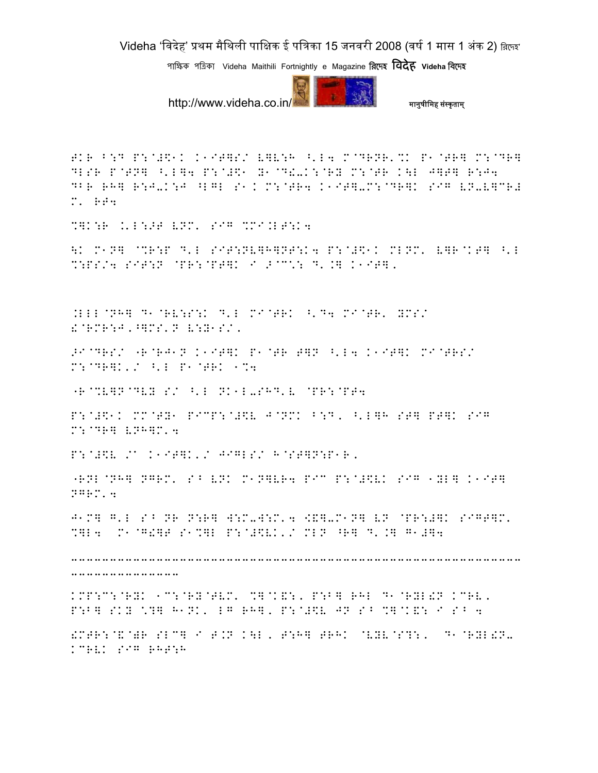পািkক পিtকা Videha Maithili Fortnightly e Magazine িরেদহ िवदेह **Videha** িবেদহ



TKR B:D P:@#\$1K K1IT]S/ V]V:H ^'L4 M@DRNR'%K P1@TR] M:@DR] DLSR P@TN] ^'L]4 P:@#\$1 Y1@D!-K:@RY M:@TR K\L J]T] R:J4 DBR RHANI R:J-K:J J-GL STR DRI SIG VARIA (1999-1993) ISBN SIG VIDEO KIGA SIGNED A M' RT4

%]K:R .'L:>T VNM' SIG %MI.LT:K4

\K M1N] @%R:P D'L SIT:NV]H]NT:K4 P:@#\$1K MLNM' V]R@KT] ^'L %:PS/4 SIT:N @PR:@PT]K I >@C\*: D'.] K1IT],

.LLL@NH] D1@RV:S:K D'L MI@TRK ^'D4 MI@TR' YMS/ !@RMR:J,^]MS'N V:Y1S/,

>I@DRS/ "R@RJ1N K1IT]K P1@TR T]N ^'L4 K1IT]K MI@TRS/ M:@DR]K'/ ^'L P1@TRK 1%4

 $R$  -POINT THE SAME OF SAME OF A SAME OF A SAME OF A SAME OF  $R$ 

P:@#\$1K MM@TY1 PICP:@#\$V J@NMK B:D, ^'L]H ST] PT]K SIG  $\mathbb{M}:$  THE CONNECTION

P:@#\$V /a K1IT]K'/ JIGLS/ H@ST]N:P1R,

"APS TRAN SART, SO KSI MIT SO PARA POT PETERING SON SIGN AND 1YO 2 NGRM'4

J1M] G'L S^ NR N:R] W:M-W:M'4 [&]-M1N] VN @PR:#]K SIGT]M' WHEAT TO MEER POINT TO MEER 20 TER HER R. IN HOURS

---------------------------------------------------------- -----------------------

KOMP:C: THE RECORDS INC. THE RECORDS IN THE RHOUSE IS NOT ALL. P:B] SKY \*?] H1NK' LG RH], P:@#\$V JN S^ %]@K&: I S^ 4

!MTR:@&@)R SLC] I T.N K\L, T:H] TRHK @VYV@S?:, D1@RYL!N-KCRVK SIG RHT:H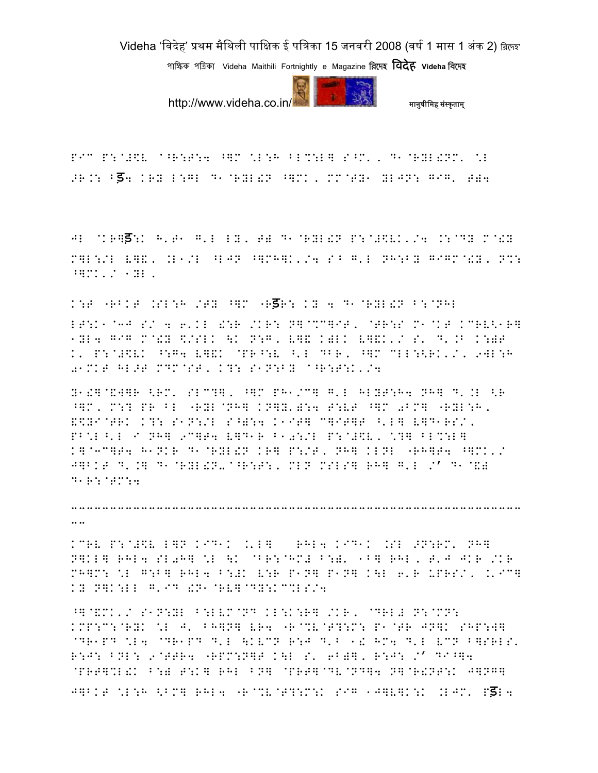পািkক পিtকা Videha Maithili Fortnightly e Magazine িরেদহ िवदेह **Videha** িবেদহ



PIC PS MRL (1959-19) PRIC NESS PETCHE PIC D. TH GHEERIC NE >R.: Bड़4 KRY L:GL D1@RYL!N ^]MK, MM@TY1 YLJN: GIG' T)4

JAE (11 BA**S**S): Alley Alley Edit, Benya-Manedon psyded in the 11 man pydd MALSIN CHALO CHA MI A GARA AANG MILIN AN ANG MAHANG GARAGING DING GIGMA DAN SANG GIGMA GIGMA GIGMA GIGMA GIGMA  $M$ MK $M$ ,  $M$ 

K:T "RBKT .ST:H /TH "REAL" .SL:H "REAL" IS A DIT A

LT:K1@3J S/ 4 6'KL !:R /KR: N]@%C]IT, @TR:S M1@KT KCRV<1R] 1914 GIG MANI KATI WA MA YA KUWA SHI YA NE YA KI YA TA SA K', P:M##WK ^\*G## WHE, YPR^PE, P.E. PFR, PHD MEESH, J., 9WL:HR 01MKT HL>T MDM@ST, K?: S1N:BY @^R:T:K'/4

YE AR YERRE (RED.), YE MIR 10 FRD YEAR ONE. HIJ HE SEESAR OPAR ON DE RIE ^]M, M:? PR BL "RYL@NH] KN]Y'):4 T:VT ^]M 0BM] "RYL:H, BRBY MANI (1951): SYDNI (2045): CYMAR (1974-1940), P. ERO, LATH ARIZ ( PB\*LOOK PRESTRACERS BILD PINDS, YR BINDE KALAMAN HINTER MINISTER DI KARA PINTA LAPAR KEPELI IN HARA "RHITI LI J]BKT D'.] D1@RYL!N-@^R:T:, MLN MSLS] RH] G'L /**'** D1@&) D1R:@TM:4

```
----------------------------------------------------------
--
```
KCRV P: MARIE EN KIDNIK . LIN KIDEN KIDIGI . LIN KIDIGI . PHN N]KL] RHL4 SL0H] \*L \K @BR:@HM# B:)' 1B] RHL, T'J JKR /KR MHAMS NE ASPACEMENT PAINT RSE BY PADE BY PACE ONE DIGETY, .'IC YTA KY NEISE BATH HILL GERMAN IN

^]@&MK'/ S1N:YL B:LVM@ND KL:K:R] /KR, @DRL# N:@MN: KMP:C:@RYK \*L J' BH]N] VR4 "R@%V@T?:M: P1@TR JN]K SHP:W] @DR1PD \*L4 @DR1PD D'L \KVCN R:J D'B 1! HM4 D'L VCN B]SRLS' R:J: BNL: 9@TTR4 "RPM:N]T K\L S' 6B)], R:J: /**'** DI^]4 @PRT]%L!K B:) T:K] RHL BN] @PRT]@DV@ND]4 N]@R!NT:K J]NG] JABK CONTROL AND RELEASE TO THE MONTH OF THE SIGN AND RELEASED TO THE RELEASED OF THE SIGN AS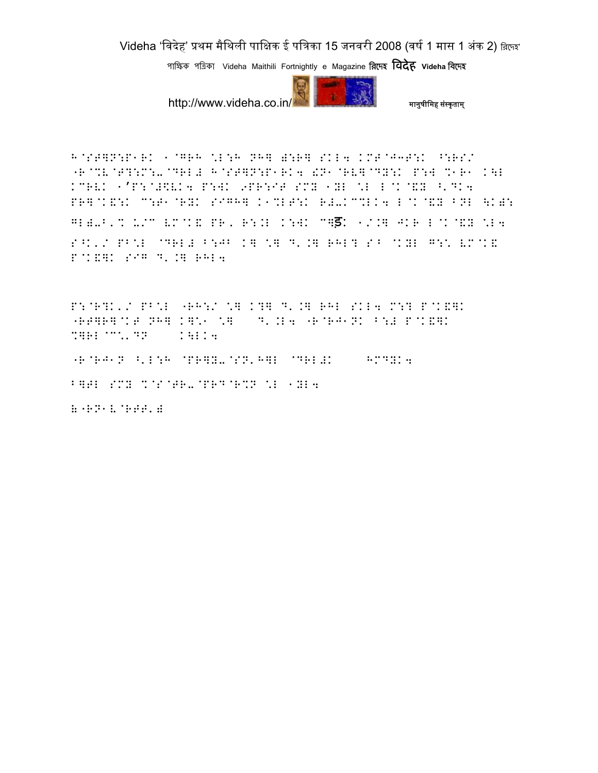পািkক পিtকা Videha Maithili Fortnightly e Magazine িরেদহ िवदेह **Videha** িবেদহ



H@STARK RICHTER 1998 200 AND 2014 KMT (200 AND ):REV "R@%V@T?:M:-@DRL# H@ST]N:P1RK4 !N1@RV]@DY:K P:W %1R1 K\L KCRVK 1**'**P:@#\$VK4 P:WK 9PR:IT SMY 1YL \*L L@K@&Y ^'DK4 PRESIGN: THE GRI FURNE SIGHT: RILITES E CONDUCT RIGH GROW-BY WARRENT CHANGES TO CHANGE THE COMMUNIST CONTINUES. SOKY PUSE OPRES BYAN CHONE P. NE RHER SO MISSIE PYL GIVE POINT PURSE DE PRINT

P:@R?K'/ PB\*L "RH:/ \*] K?] D'.] RHL SKL4 M:? P@K&]K "RT]R]@KT NH] K]\*1 \*] D'.L4 "R@RJ1NK B:# P@K&]K **READY READY READY** 

"R@RJ1N ^'L:H @PR]Y-@SN'H]L @DRL#K HMDYK4

BRE SMY % \$PROPRIES (1990)

**E-BP-L TEBLE**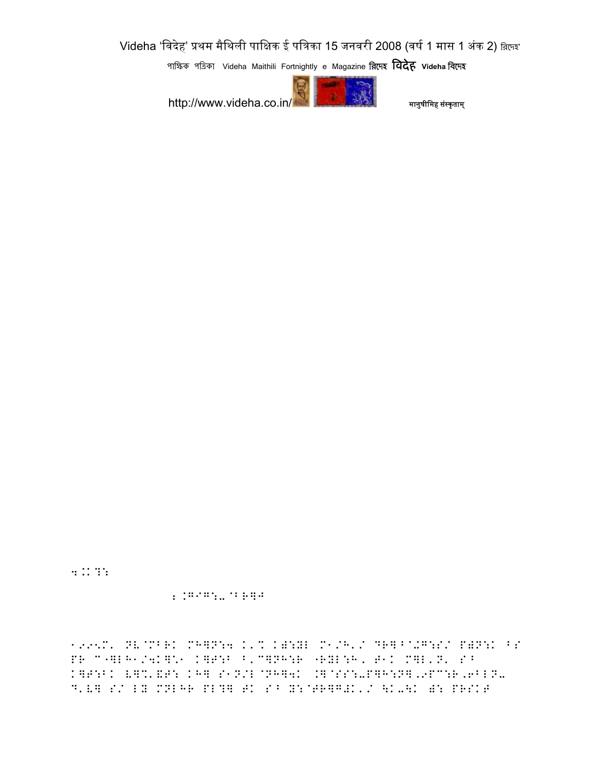পািkক পিtকা Videha Maithili Fortnightly e Magazine িরেদহ िवदेह **Videha** িবেদহ



4.K?:

2.GIG:-@BR]J

1995M' NV@MBRK MH]N:4 K'% K):YL M1/H'/ DR]^@+G:S/ P)N:K BS PR C'HIN/4KAN (BRYL:LTBRYR HERYN, BYLITH, D. ST KARIS CONSTRUCTOR STATES . THE STATE STATE STATE OF STATES . D'V] S/ LY MNLHR PL?] TK S^ Y:@TR]G#K'/ \K-\K ): PRSKT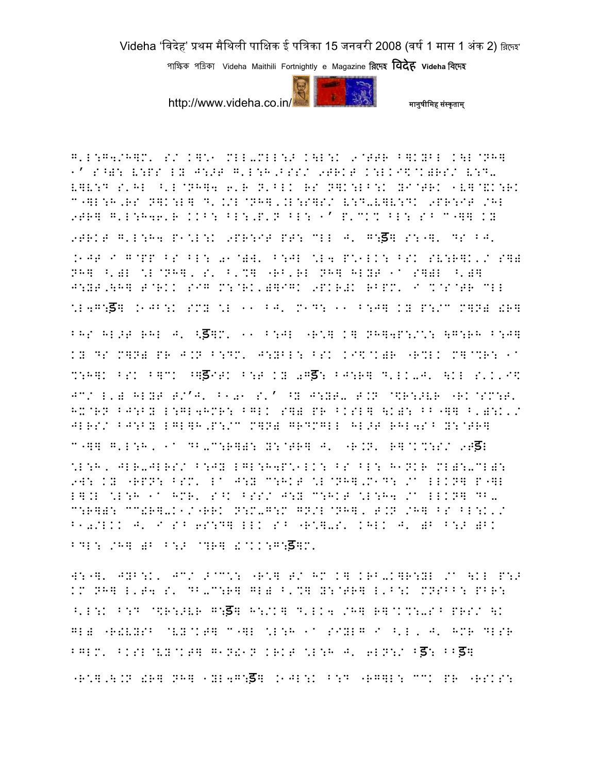পািkক পিtকা Videha Maithili Fortnightly e Magazine িরেদহ िवदेह **Videha** িবেদহ



G'L:EGHAZHAD, KI CAN CAL: MELLOE BI SA CAEGO G'APAR (FACOFE) CAEGOHA 1**'** S^): V:PS LY J:>T G'L:H,BSS/ 9TRKT K:LKI\$@K)RS/ V:D-V]V:D S'HL ^'L@NH]4 6'R N'BLK RS N]K:LB:K YI@TRK 1V]@&K:RK C'HEGA LAS DELGER (P. 121 JAAR), DIGSRIZ BGPLEREND, LEPAGGE (PA) 9TR] G'L:H46'R KKB: BL:,P'N BL: 1**'** P'CK% BL: S^ C"]] KY 9TRKT G'L:H4 P1\*L:K 9PR:IT PT: CLL J' G:ड़] S:"]' DS BJ' .1-AP & PTP BE BE ACTEEL PEAR NEW PICEIN BE BEHROOM FRE  $P\overline{H}$  (for  $\overline{H}$  ),  $\overline{H}$  (for  $\overline{H}$  ),  $\overline{H}$  and  $\overline{H}$  is set  $\overline{H}$  is set  $\overline{H}$  . Then  $\overline{H}$  is set  $\overline{H}$ J:YT,\H] T@RKK SIG M:@RK')]IGK 9PKR#K RBPM' I %@S@TR CLL  $\Delta$ EG:  $\overline{S}$  . In a set  $\Delta$  is the  $\Delta$  in a set  $\Delta$  , we have  $\Delta$  as  $\Delta$  and  $\Delta$  and  $\Delta$  and  $\Delta$ BHS HLOR BHL A. (SSAT, 11 B:AH) (BOR) IN DHARY/ON APNBH PNAR KY DS M]N) PR J.N B:DM' J:YBL: BSK KI\$@K)R "R%LK M]@%R: 1a %:HARD BECK BRITH BREAK BISK DIE GREEK BRIEFE POLICAL AND ENDUCKE JC/ L') HLYT T/**'**J' B101 S'**'** ^Y J:YT- T.N @\$R:>VR "RK@SM:T' HO:GRO BI:BY D:GLAHMAROBA: BIH:BY: KHE:BOBK BESLACH BE BEGHAM BESLIEGEN SING JA:BY:MORGHIGLIH:BRI:BY:MORGHIGLIH:PPT PEELOH:DA LASO Y:@TRABB C'HE R.ENA L'O'REC'HEEN BYNARE AL 'ARDUL RENONNOL'H**S**E \*L:H, JLR-JLRS/ B:JY LGL:H4P\*1LK: BS BL: H1NKR ML):-CL): 9W: KY "RPN: BSM' La J:Y C:HKT \*L@NH],M1D: /a LLKN] P"]L LA DE SUESA HIS HORE. LE PESA HASSI MARI BOSSA SANA LOS LEGUAROS DE LA C:R]): CC!R]-K1/"RRK N:M-G:M GN/L@NH], T.N /H] BS BL:K'/ B10/LKK J' I SATH HE I ST SENEL I BE AN WE BE BY BOL: /H| B: PH| (MIRI 2011959)

W: HIS CARENO , CAMO SEMMON (HENRI AD) AN OCR OFFICIAL RENRICON (HOR PINA KM NH] L'T4 S' DB-C:R] GL) B'%] Y:@TR] L'B:K MNSBB: PBR:  $\sim$  K:F B:D  $\sim$  PRESIDENT FINS G: ON A REAL CONTRACT DEVICE. The  $\sim$ GL) "PELEGER" "DEGIMLER" MARE "NEGAR AM SEKGER" KURLES, AL: ADRI DESER BGLM' BESTLEM BESTLANDER FRAME TIL GILDEN FRAMT FRAME SERIES "RANG IN IN 'N BEGINDER' ROOM IN DIE DIE GEGENU VAN DIE DIE DIE GESCHIEGE IN DIE DIE DIE DIE DIE DIE DIE DIE D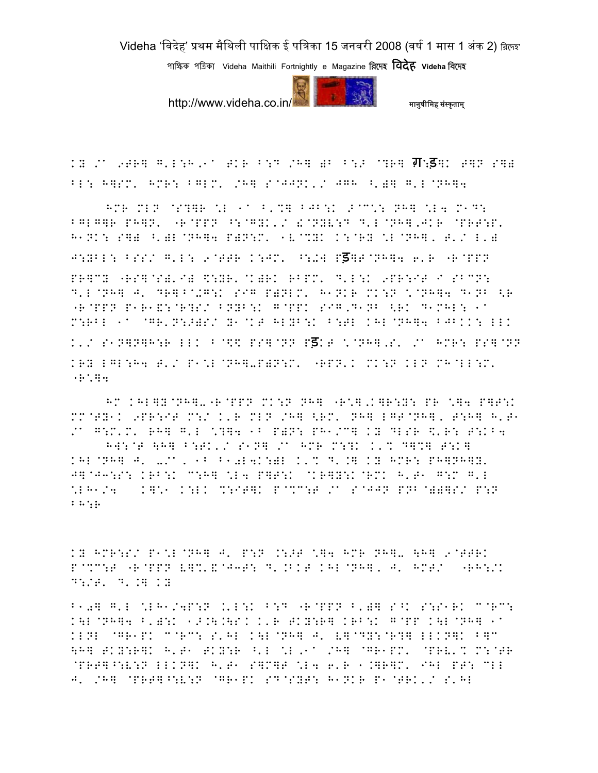পািkক পিtকা Videha Maithili Fortnightly e Magazine িরেদহ िवदेह **Videha** িবেদহ



KY /a 9TR] G'L:H,1a TKR B:D /H] )B B:> @?R] ग़:ड़]K T]N S]) BL: H]SM' HMR: BGLM' /H] S@JJNK'/ JGH ^')] G'L@NH]4

HOR MED TRABE NE FOUR ONE FROM DISTURBENT DER NE DOUBL BGLG]R PH]N' "R@PPN ^:@GYK'/ !@NYV:D D'L@NH],JKR @PRT:P' H1NK: S]) ^')L@NH]4 P)N:M' 1V@%YK K:@RY \*L@NH], T'/ L') JESS FRANCE BOOK OF STREET AND AN ASSESSED AND A PERPO PRATE "REACTED "CHE SOURCE REPORT I SERVE AND THE SPECIES D.E DRAH JA, DRAH PILANE SIGA PARENTI, AVRIE DI NEM I DI MARA DVI ME RE "R@PPN P1R1&:@R?S/ BNYB:K G@PPK SIG,D1NB <RK D1MHL: 1a MIRBL 11 MH. RINGE SHOOR HILLE I SAN CHLORAGE BUILDE  $\mathbb{R}$ ,  $\mathbb{R}$  shows the state of  $\mathbb{R}$  and  $\mathbb{R}$  and  $\mathbb{R}$   $\mathbb{R}$  is a state  $\mathbb{R}$  . The same  $\mathbb{R}$  is a state  $\mathbb{R}$  is a state  $\mathbb{R}$  is a state  $\mathbb{R}$  is a state  $\mathbb{R}$  is a state  $\mathbb{R}$ KRY LAGENHA TALIM PHOLOGARANINING MARIALI MINISTER OLAN MELANIK  $\ddot{\phantom{1}}$ 

 HM KHL]Y@NH]-"R@PPN MK:N NH] "R\*],K]R:Y: PR \*]4 P]T:K MM THR: MOTH: IT M:/ MITH: MITH: MITH: IT MITH: IT MITH: IT WILL IT HE TRAINING IN THE UNIT /a G:M'M' RH] G'L \*?]4 1B P)N: PH1/C] KY DLSR \$'R: T:KB4 HW: TH B: HW: THE STATE OF STATE OF THE MINE STATE OF THE MENT KHL MAH JA, JUM I KA JA BIBIDINI LI MAJA DI KI KY KY PHAPARI. JAQ MAGES (BRG: MSAQ) KEG PAPS: KIBAD:K DENGINA HITI GILA  $M \oplus N_{\rm H}$  (Fig. )) and symplectic strategy of  $\sigma$  and problems and  $\mathbb{R}^n$  is the property of  $\mathbb{R}^n$ 

TH:SP:N P:N .: THE R:SON .: THE SHE RHE NHE HAR .: THE .: THE P@%C:T "R@PPN V]%'&@J3T: D'.BKT KHL@NH], J' HMT/ "RH:/K **D:10** T: D:

B10.49 B:E MERCHINE LENG BY RETER BIGG SHOCKS: THTE K.NHONHA B', K 14. K 2014 (14. K 10. K 14. GAPA: K 14. K 14. K 14. K 14. K 14. K 1 KLARE: STARK BOOK CARCING CARL COMPARED ALL CARCING AN INFORMATION OF ANY  $\mathcal{H}$ Hitl The Third and the Rich Million of the Province  $\mathcal{H}$  and  $\mathcal{H}$  are true  $\mathcal{H}$ @PRT]^:V:N LLKN]K H'T1 S]M]T \*L4 6'R 1.]R]M' IHL PT: CLL J' /H] @PRT]^:V:N @GR1PK SD@SYT: H1NKR P1@TRK'/ S'HL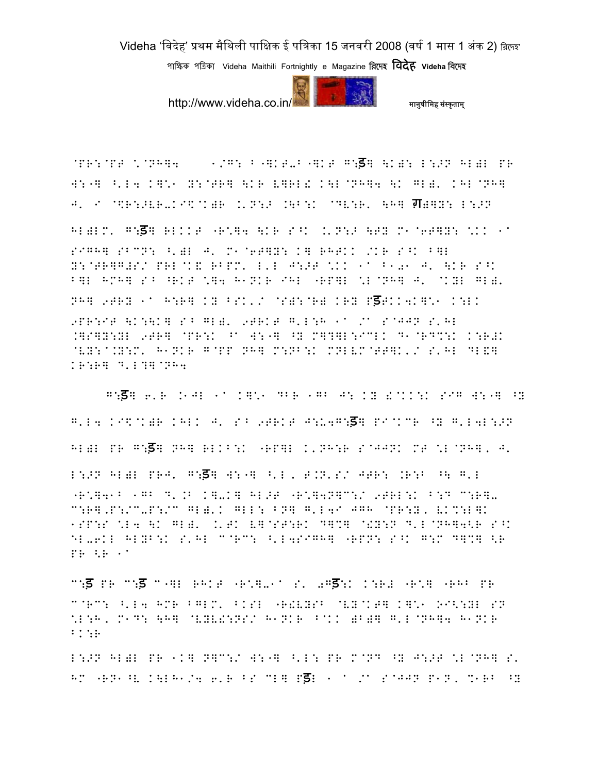পািkক পিtকা Videha Maithili Fortnightly e Magazine িরেদহ िवदेह **Videha** িবেদহ



@PR:@PT \*@NH]4 1/G: B"]KT-B"]KT G:ड़] \K): L:>N HL)L PR W: "A L4 KIRS" RY YANG ALA KANA KAN YAGA AL "BAK" (19) YA YAG J' I MERING I MARING .'NI REAR AND I THE REAR THE THE HEWEIG: MGSH RECORT (ROMAN ROR STAT OLD NAT HAD DY GRANDY OUR YO SIGHAR SPORT (PLAR) AL CHOMARRIT CR BARDO (2018) ROK (PRE BY:MERRING PRESENTION LI JANGE SIDAS PARA 14. RIE DIV BAL HONG SO OGLED SAGE HIND FRAME IN SPACE OF THE SAGE OF DESCRIPTION NH] 9TRY 1a H:R] KY BSK'/ @S):@R) KRY Pड़TKK4K]\*1 K:LK 9PR:IT \K:\K] S^ GL)' 9TRKT G'L:H 1a /a S@JJN S'HL .)SERGENDE @PRS:K TRIPL: ICLK PROFESSION DISPOSITION OF TRIPLE & NEWSLE @VY:@.Y:M' H1NKR G@PP NH] M:NB:K MNLVM@TT]K'/ S'HL DL&] KR:R] D'L?]@NH4

BSSE BIB: DAR 16'S IBS AT HE FOUNDATION OF DEAL PARTIES AND THE B.B.A. CRRIT AB CORD OR CONFIDENTIAL PILANS SECOND PICTURE IS A 9TRATICLE HEAD: PR HYST PHT ROOMS (RPTD: C.PHYR S@JHPC PRODUCTH; J.A.  $E:U:U \to U$  is the subset of  $\overline{S}$  with  $\overline{S}$  with  $\overline{S}$  and  $\overline{S}$  . The  $\overline{S}$  and  $\overline{S}$  and  $\overline{S}$  and  $\overline{S}$  and  $\overline{S}$  . The  $E:U$  and  $\overline{S}$  and  $\overline{S}$  and  $\overline{S}$  and  $\overline{S}$  . The  $E:U$  "R\*]41B 1GB D'.B K]-K] HL>T "R\*]4N]C:/ 9TRL:K B:D C:R]- C:RAN-LEGUMLEGUM (HEAL): BNICA FOR (HLIGH) GHA (MEACH) LILCOGIN) 1SP:S \*L4 \K GL)' .'TK V]@ST:RK D]%] @!Y:N D'L@NH]4<R S^K EL-6KL HLYB:K S'HL C@RC: ^'L4SIGH] "RPN: S^K G:M D]%] <R PR ABOVE

TGS PR TGS THE RHOR HECHAN PLACES SES ONE HECH HAR PR CORC: ^'L4 HMR BGLO, BCRI "BKLGR" (LECEPT) BKS DRAGE PR \*L:H, M1D: \H] @VYV!:NS/ H1NKR ^@KK )B)] G'L@NH]4 H1NKR BK:R

L'AZD PEGE TR 1KIN DRYAZ GAIRE PLINE TR D'OPT PR PAZZ NE MPPR Y. HM "REPACTED IN EARLY ROLE OF PURSUE BOOK COLLINS CONTROL PARK OF PURSUE BOOK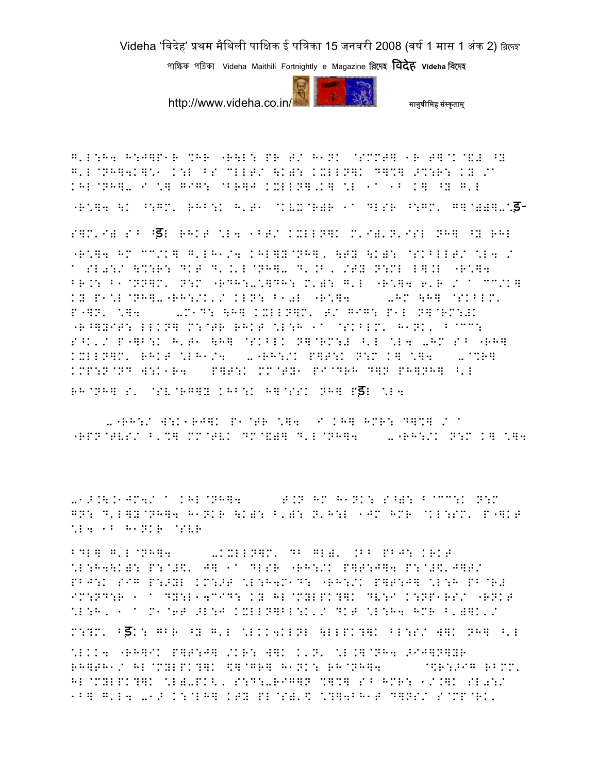পািkক পিtকা Videha Maithili Fortnightly e Magazine িরেদহ िवदेह **Videha** িবেদহ



B.EYA, AYAMP(B) TAB (ANEY TR BZ) ACTUS MITTEM (B BM TO THE TH B. E 1988941 K:L CHE BE TEER SCHLEICHE DIE PROVINSIE DE CO KHE MPARL I KUNDRI I PARGU MUHARA I KIDELER LI RUGI E NEU SANU KALLI RI 1980 PL E  $\sim$  400  $\mu$  R  $\mu$  ,  $\mu$  and  $\mu$  and  $\mu$  and  $\mu$  and  $\mu$  and  $\mu$  and  $\mu$  and  $\mu$  and  $\mu$  and  $\mu$  and  $\mu$  and  $\mu$  and  $\mu$  and  $\mu$  and  $\mu$  and  $\mu$  and  $\mu$  and  $\mu$  and  $\mu$  and  $\mu$  and  $\mu$  and  $\mu$  and SART, SA CEANG RESTAIN SA GHAININ AN AIR AN ISL NA SA CHEANGACH AG AGH. "RANGA" AD "MM COLEAR AR DA CAEGO AD MAGU AN AN AIR " "IN A EALL" " a SL0:/ \%:R: DKT D'.'L@NH]- D'.B, /TY N:ML L].L "R\*]4 BR.: B1@NNPH: BH: GHR:JHRE T.BY R.E (BYRE 6.B / 1 CC/CH KOR P17L (PHRIM-PHANICIN) KEPA P114E (PHRRH) - MINAPI BHR (MIPER BN) P"]N' \*]4 -M1D: \H] KXLLN]M' T/ GIG: P1L N]@RM:#K "REPORTED TO THE RHIP NONE AT MINOR AND A MOVE A SOKY PHROBALA ARE ONCE: PROPINE RECORD ART SO GRAF KXLED PRINCIP ROCKET AND A REPORT OF REPORT OF A RIGHT AND MONEY KMP:ND W:KIR4 PRESS WORD PAND AND DEPART OF

RH@NH# S. @SV&R### CHPS: H#@SSC NH# #\$H ^L4

 -"RH:/ W:K1RJ]K P1@TR \*]4 I KH] HMR: D]%] / a "RPN" (REAL POST DECISE DE L'ANNE D'ANNE D'ANNE D'EN COMPARE L'ANNE D'EN COMPARE L'ANNE DE L'ANNE D'EN COMPARE

 $1.1$  JM in Himal and the Minnesotal T.N Himself of the Minnesota: Back: S.A. H.N H.N H.N H.N H.N H.N H.N H.N H GN: D'L]Y@NH]4 H1NKR \K): B'): N'H:L 1JM HMR @KL:SM' P"]KT \*L4 1B H1NKR @SVR

BOLD G'LONG AN DIE DE GLACIE DE GLACIE . \*L:H4\K): P:@#\$' J] 1a DLSR "RH:/K P]T:J]4 P:@#\$'J]T/ PBJ:K SIG P:>YL KM:>T \*L:H4M1D: "RH:/K P]T:J] \*L:H PB@R# IM:ND:R 1 a DY:L14CID: KY HIM: NO BY: NO DY: I K:NP1RS/ "RNKT" ("ADP") A DY: A DY: \*L:H, 1 a M1@6T >L:J KXLLN]BL:K'/ DKT \*L:H4 HMR B')]K'/

 $T: \mathbb{R}^n$  and  $\mathbb{R}^n$  be the contribution of  $\mathbb{R}^n$  and  $\mathbb{R}^n$  and  $\mathbb{R}^n$  and  $\mathbb{R}^n$ 

\*LKK4 "RH]IK P]T:J] /KR: W]K K'N' \*L.]@NH4 >IJ]N]YR RH]TH1/ HL@MYLPK?]K \$]@GR] H1NK: RH@NH]4 @\$R:>IG RBMM' HE MYCHETI MEN (MI BURIA), SYNMALEYMAR (MAMA SA HOGH) SONORI SI GYZ 1B] G'L4 -1> K:@LH] KTY PL@S)'\$ \*?]4BH1T D]NS/ S@MP@RK'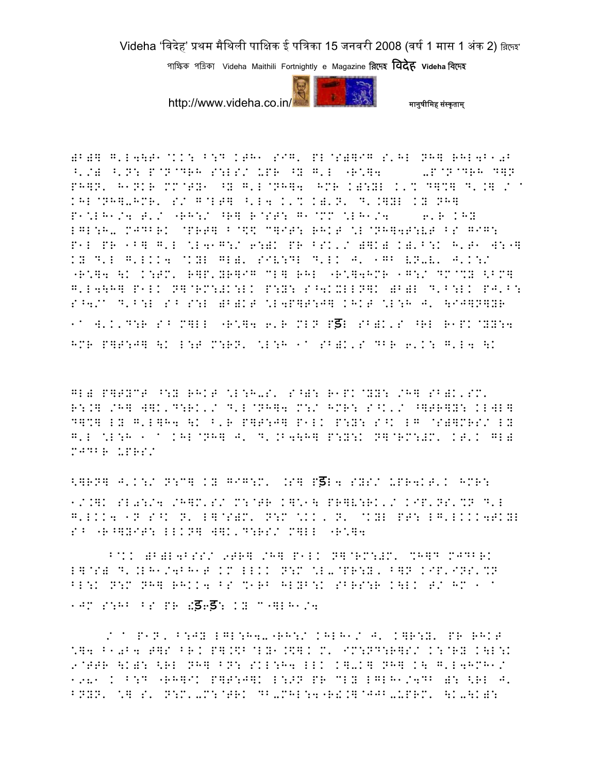পািkক পিtকা Videha Maithili Fortnightly e Magazine িরেদহ िवदेह **Videha** িবেদহ



)B)] G'L4\T1@KK: B:D KTH1 SIG' PL@S)]IG S'HL NH] RHL4B10B  $'$  ),  $'$  (defined by  $'$  and  $'$  and  $'$  general  $\mathcal{A}$  . The parameter  $\mathcal{A}$  and  $\mathcal{B}$ PH]N' H1NKR MM@TY1 ^Y G'L@NH]4 HMR K):YL K'% D]%] D'.] / a KHL@NHL@NTB. S/ G@LTER SIN KIN KIND. S. MEDINI KI MAR P1\*LH1/4 T'/ "RH:/ ^R] R@ST: G1@MM \*LH1/4 6'R KHY LGR:N- MODERN BOOTERER BOTER MEERS BAOR ON TORREARNED FROM BORN. P1L PR 1B B, E (NEG) BY AGE (PR BSN)/ GBD B NA BSK' (PR BSK') KY D'L G'LANDING MARING D'E LA GRISTIA D'ALLA D'AN D'E LA GRIS D'ALLA D'ALLA D'AN VI D'E L'AN VI D'E L'AN VI D "R\*]4 \K K:TM' R]P'YR]IG CL] RHL "R\*]4HMR 1G:/ DM@%Y <BM] G'L4\H] P1LK N]@RM:#K:LK P:Y: S^4KXLLN]K )B)L D'B:LK PJ'B: SOFA/A D'B:L SOF (SOF) BEBIEL ALAPHENAH (1918) NINAP (A) NAPHERHIEL 1a W'K'D:R S^ M]LL "R\*]4 6'R MLN Pड़L SB)K'S ^RL R1PK@YY:4

HTE PAPIER AS INFORMATION SINE OF PERIOD PER BISKING AS

BLE PRESTE (SIE RHIE (1942): SOME ROOT (SB) SHR SBELLEY. R:.! /H\_48.756... "SITRE TO RTRICE AN INFRESTIAL DAGG LO ALLAHA AN PILK BARAAN PYLI PAON PAN LA DIBARDAEN LO G'L E SING A KHLONH I D'AN HI D'AN HI BANG AN D'AN HI D'AN HI AC MJDBR UPRS/

RNBPH H.CA: PATH CO MYMAC, CPH PSEA SOR: MPR4CH.C HMRA  $\sim$  2008) (Fig. 2014) (2008) (PR)  $\sim$  2008)  $\sim$  1008  $\sim$  1008  $\sim$  1008  $\sim$  1008  $\sim$  1008  $\sim$ B.BILK (FRISH) S. BUTTER, NE MILL S. MUH FF: BUILLERIN SO "RO "RESPECTED AND START WHEN THE SAMPLE

 ^@KK )B)L4BSS/ 9TR] /H] P1LK N]@RM:#M' %H]D MJDBRK L]@S) D'.LH1/4BH1T KM LLKK N:M \*L-@PR:Y, B]N KIP'INS'%N BL:K N:M NH] RHKK4 BS %1RB HLYB:K SBRS:R K\LK T/ HM 1 a

197 P:HB BS PR 25.5. 2007 P:HB C

 / a P1N, B:JY LGL:H4-"RH:/ KHLH1/ J' K]R:Y' PR RHKT  $\Delta$ 4 B10 B10B4  $\pm$  B10B4  $\pm$  B10B4  $\pm$  B10B4  $\pm$  B10B4  $\pm$  R). My Korea Ko $\pm$  R1. Most  $\pm$  R1. Most  $\pm$ 9@TTR \K): <RL NH] BN: SKL:H4 LLK K]-K] NH] K\ G'L4HMH1/ 1991 K B:D "PARTIC" PRESERVED BY DISTURBED IN PRESERVED IN SUPERIORS BOYN' THE STOCK DATA DARK OF LORE ARE RECHORED LIMITY. AN URNEAR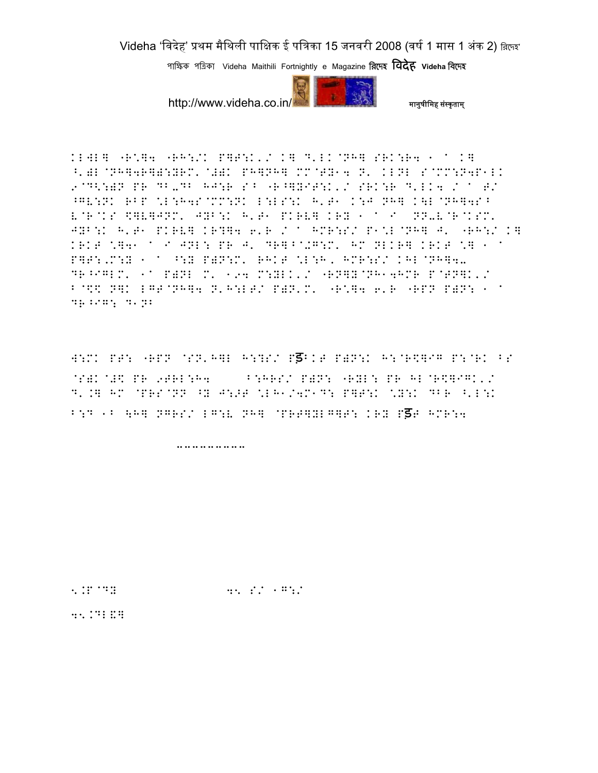পািkক পিtকা Videha Maithili Fortnightly e Magazine িরেদহ िवदेह **Videha** িবেদহ



KLALA "RANGA" "PRANCI" "RHENI LI DA MUNICI DARA "REDNA 1 a KIDI DA ^')L@NH]4R]):YRM'@#)K PH]NH] MM@TY14 N' KLNL S@MM:N4P1LK 9@D<:)N PR DB-DB HJ:R S^ "R^]YIT:K'/ SRK:R D'LK4 / a T/  $T^*$  and  $T^*$  are the set of the set of the last  $T^*$  and  $T^*$  are  $T^*$  the  $T^*$  of  $T^*$  and  $T^*$  are  $T^*$  and  $T^*$  are  $T^*$  and  $T^*$  are  $T^*$  and  $T^*$  are  $T^*$  and  $T^*$  are  $T^*$  and  $T^*$  are  $T^*$  and V@R@KS \$]V]JNM' JYB:K H'T1 PKRV] KRY 1 a I NN-V@R@KSM' JYB: SO HOR: PO BERVO BERRY BOBY AN INTERFERING THAN JERNY JOHN SO A HANG AN I KRKT F. NA I JOS J. PREDIGENT FRANCRIK HOME DE LA I DRIJE KRAT I 1 a I 1 a J. P PAPILTER ( ) PER PAPIL ( ) HIM METH . HTPER ( ) HE MPHAL DR^IGLM' 1a P)NL M' 194 M:YLK'/ "RN]Y@NH14HMR P@TN]K'/ B@\$\$ N]K LGT@NH]4 N'H:LT/ P)N'M' "R\*]4 6'R "RPN P)N: 1 a The Director of the U.S. of the

W:MIC POST PHILTIPS POST PROVIDED AS A STREET PROPERTY @S)K@#\$ PR 9TRL:H4 B:HRS/ P)N: "RYL: PR HL@R\$]IGK'/ D. HM &PRESS ON @PRINT OF THIS PINE OF THE WELL AND TO B:D 1B \H] NGRS/ LG:V NH] @PRT]YLG]T: KRY Pड़T HMR:4

---------

5.P@DY 45 S/ 1G:/

45.DL&]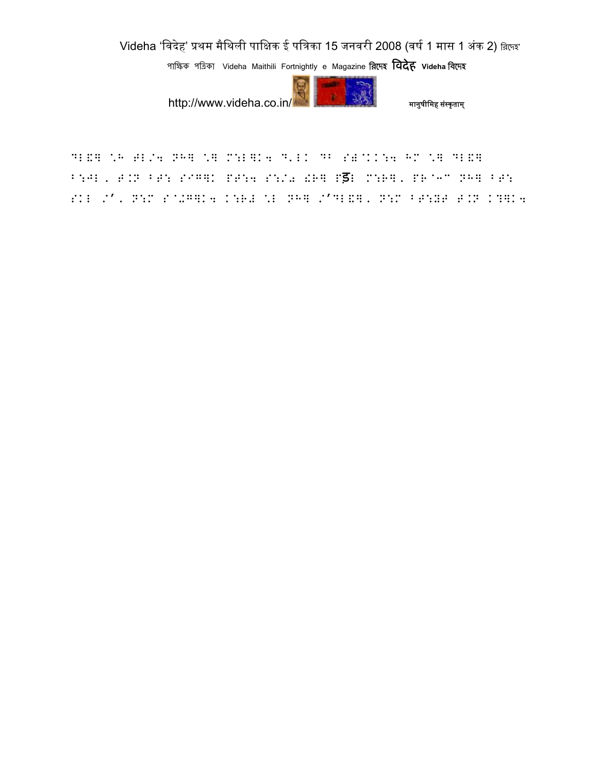পািkক পিtকা Videha Maithili Fortnightly e Magazine িরেদহ िवदेह **Videha** িবেদহ



DEBE NA WEIZA DAR NE DYERIA PLEI PA YENYIYA AD NE PERR B:JAB: B:PL(PAPE) Pana Sida BRE PS: Mike, PR@3C PR@3C PR SKL /**'**, N:M S@+G]K4 K:R# \*L NH] /**'**DL&], N:M BT:YT T.N K?]K4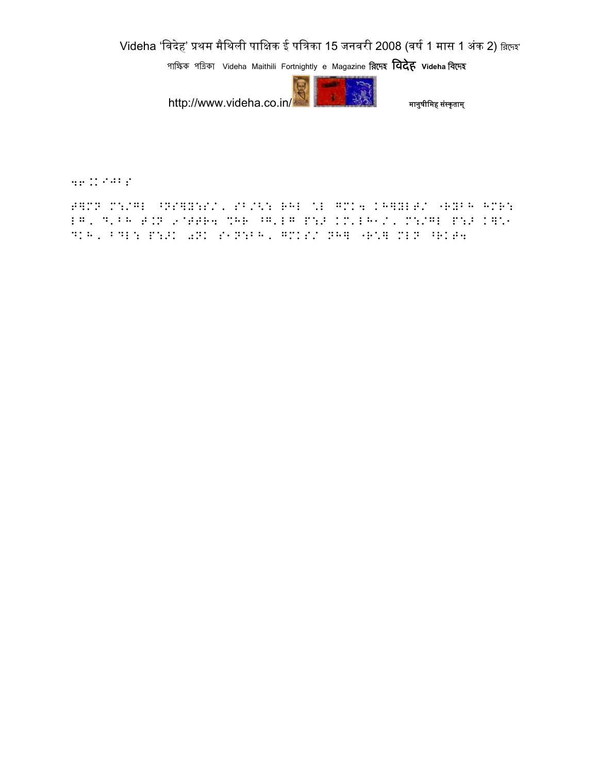পািkক পিtকা Videha Maithili Fortnightly e Magazine িরেদহ िवदेह **Videha** িবেদহ



46.HOMES

T]MN M:/GL ^NS]Y:S/, SB/<: RHL \*L GMK4 KH]YLT/ "RYBH HMR: LG, D'BH T.N 9@TTR4 %HR ^G'LG P:> KM'LH1/, M:/GL P:> K]\*1 DKH, BDL: P:>K 0NK S1N:BH, GMKS/ NH] "R\*] MLN ^RKT4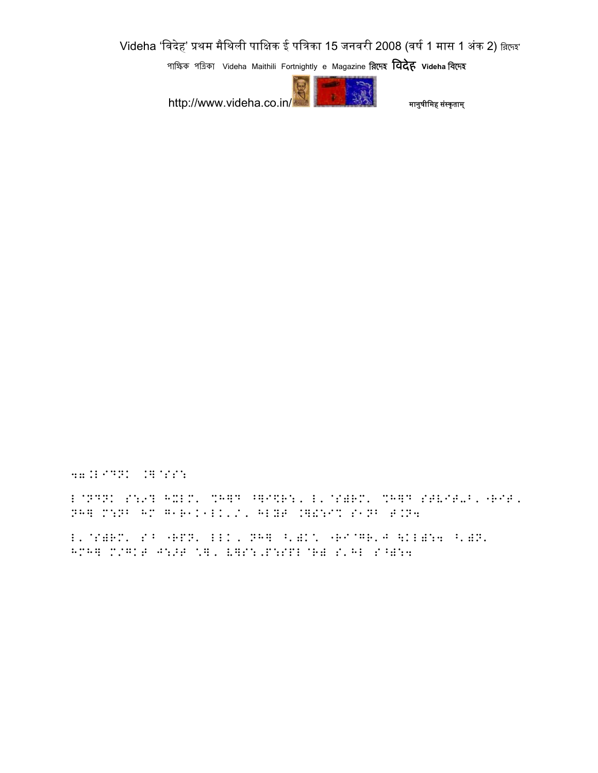পািkক পিtকা Videha Maithili Fortnightly e Magazine িরেদহ िवदेह **Videha** িবেদহ



http://www.videha.co.in/ स्वार्थ के अन्य स्कूलाम्

## 47.LIDNA ...

L@NDNK S:9? HXLM' %H]D ^]I\$R:, L'@S)RM' %H]D STVIT-B'"RIT, NHE MYB HM GHELLICK HINA SHINKT POP SIDE

L'@S)RM' S^ "RPN' LLK, NH] ^')K\* "RI@GR'J \KL):4 ^')N' HMHE M/H): HAR AN LENGINGROPH SE SAHL SAHAR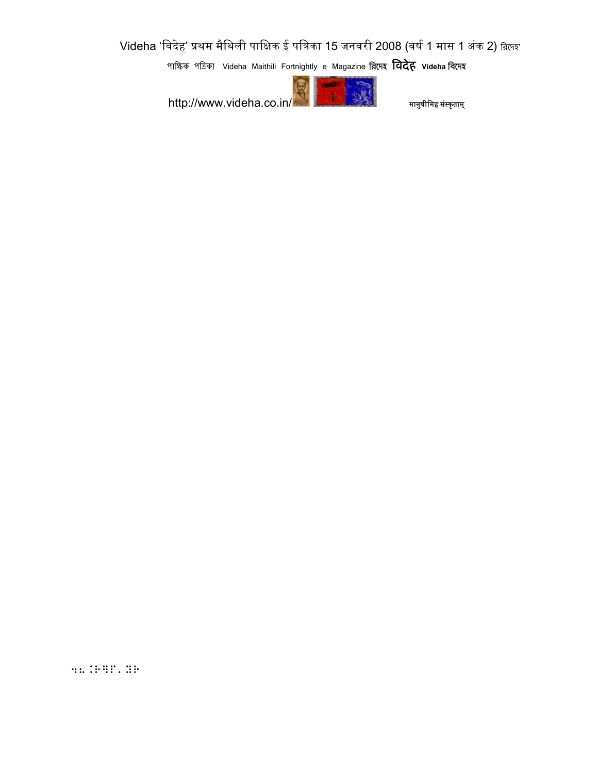পািkক পিtকা Videha Maithili Fortnightly e Magazine িরেদহ िवदेह **Videha** িবেদহ



48.R]P'YR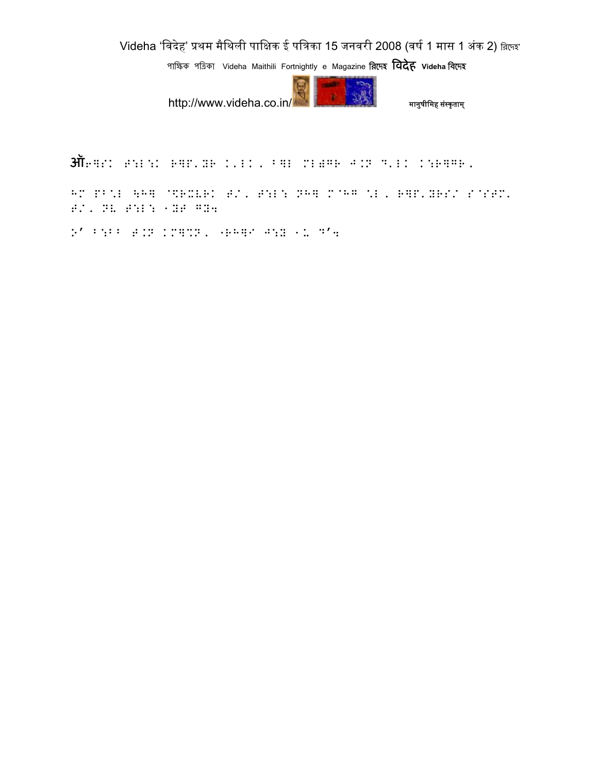পািkক পিtকা Videha Maithili Fortnightly e Magazine িরেদহ िवदेह **Videha** িবেদহ



ऑ6921 BYEYL BARLOB LIEL, FAE CLAAR AND MILL CYRAAR,

HM PP\*L ARB \*RRCHR FL, PIEY PRB MYRR \*L, RBM #RVRK SYRP. H/, NI PHY (NP PH)

O**'** B:BB T.N KM]%N, "RH]I J:Y 1U D**'**4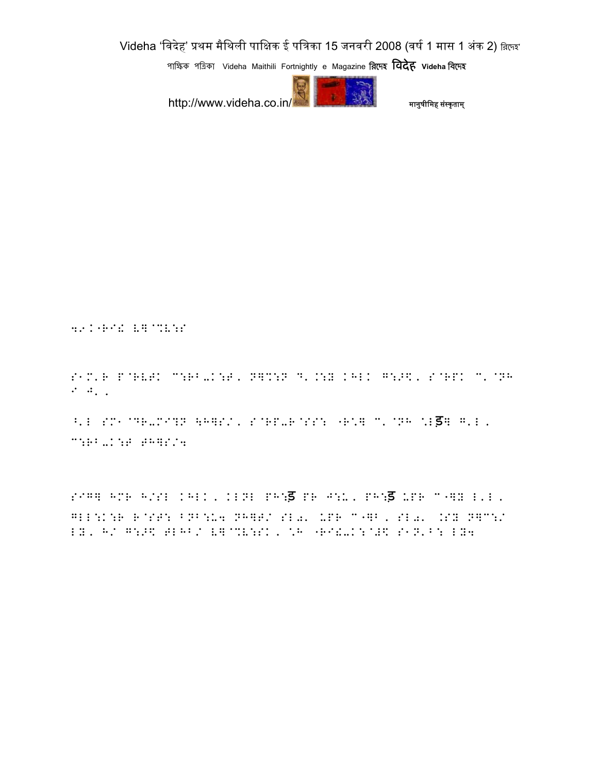পািkক পিtকা Videha Maithili Fortnightly e Magazine িরেদহ िवदेह **Videha** িবেদহ



http://www.videha.co.in/  $\frac{1}{2}$   $\frac{1}{2}$   $\frac{1}{2}$   $\frac{1}{2}$   $\frac{1}{2}$   $\frac{1}{2}$   $\frac{1}{2}$   $\frac{1}{2}$   $\frac{1}{2}$   $\frac{1}{2}$   $\frac{1}{2}$   $\frac{1}{2}$   $\frac{1}{2}$   $\frac{1}{2}$   $\frac{1}{2}$   $\frac{1}{2}$   $\frac{1}{2}$   $\frac{1}{2}$   $\frac{1}{2}$   $\frac{1$ 

## 49. The Company of the Company of the Company of the Company of the Company of the Company of the Company of t<br>The Company of the Company of the Company of the Company of the Company of the Company of the Company of the C

S1M'R P@RVTK C:RB-K:T, N]%:N D'.:Y KHLK G:>\$, S@RPK C'@NH  $\mathcal{F}$  ,  $\mathcal{F}_\mathrm{c}$  ,  $\mathcal{F}_\mathrm{c}$ 

 $^{\circ}$  C SM1  $^{\circ}$  SM10  $^{\circ}$  SM1  $^{\circ}$  S  $^{\circ}$  (SM1  $^{\circ}$  S  $^{\circ}$  S  $^{\circ}$  S  $^{\circ}$  C  $^{\circ}$  S  $^{\circ}$  C  $^{\circ}$  S  $^{\circ}$  C  $^{\circ}$  S  $^{\circ}$  C  $^{\circ}$  S  $^{\circ}$  C  $^{\circ}$  S  $^{\circ}$  C  $^{\circ}$  S  $^{\circ}$  C  $^{\circ}$  S  $^{\circ}$  C  $^{\$ THE CONSTRUCTION

SIG] HMR H/SL KHLK, KLNL PH:ड़ PR J:U, PH:ड़ UPR C"]Y L'L, BEENING ROOM FROM THE STORY WAS CONSIDERED AND CONSIDER LY, H/ GREE HER LETTLING, A SHELLINGE SHEET LIN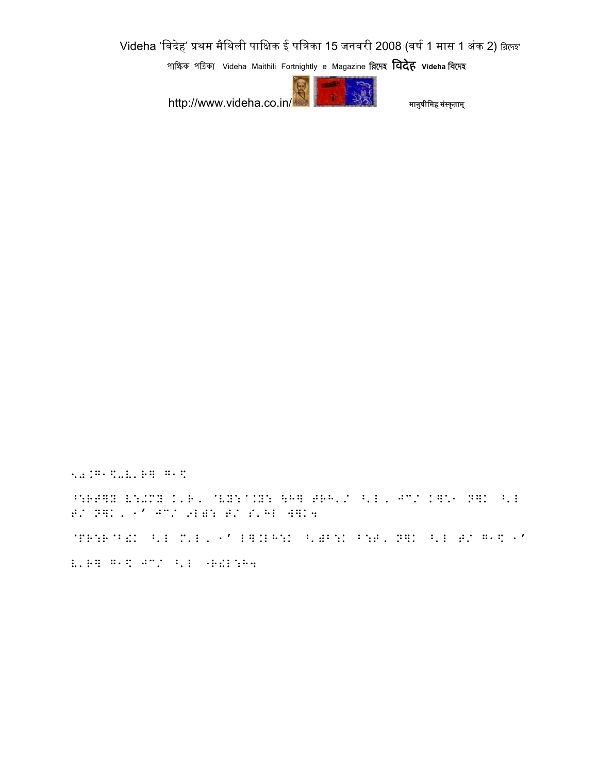পািkক পিtকা Videha Maithili Fortnightly e Magazine িরেদহ िवदेह **Videha** িবেদহ



http://www.videha.co.in/ स्क्रिया मानुषीिमह संस्कृताम्

50.G1\$-V'R] G1\$

^:RT]Y V:+MY K'R, @VY:@.Y: \H] TRH'/ ^'L, JC/ K]\*1 N]K ^'L T/ N]K, 1**'** JC/ 9L): T/ S'HL W]K4

@PR:R@B!K ^'L M'L, 1**'** L].LH:K ^')B:K B:T, N]K ^'L T/ G1\$ 1**'**

R. BH WHI AND ALL AND HANDLEY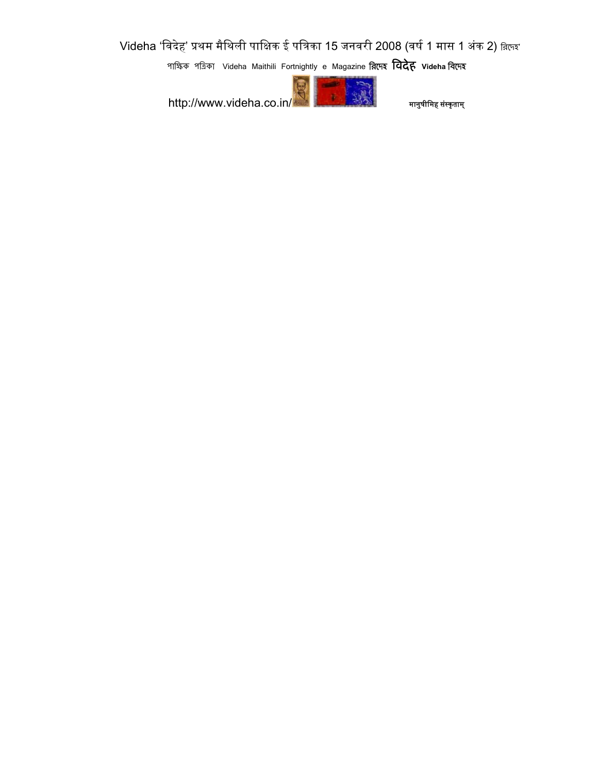পািkক পিtকা Videha Maithili Fortnightly e Magazine িরেদহ िवदेह **Videha** িবেদহ

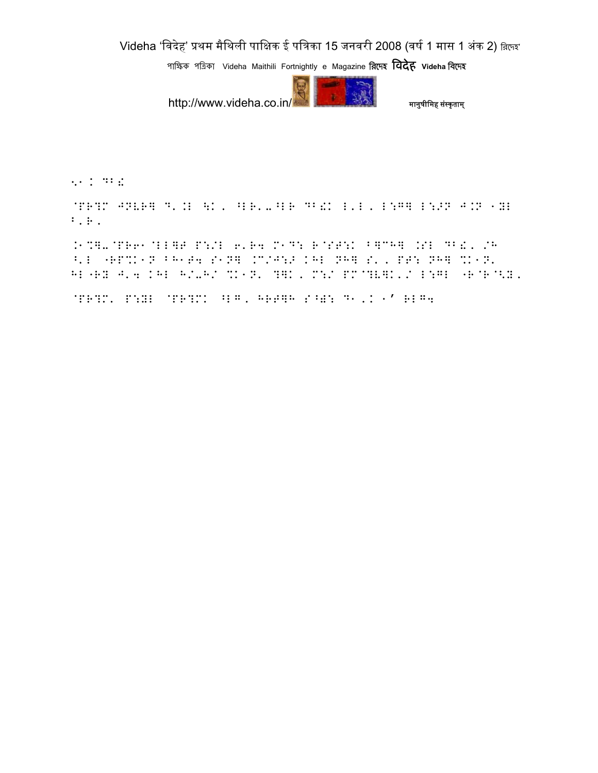পািkক পিtকা Videha Maithili Fortnightly e Magazine িরেদহ िवदेह **Videha** িবেদহ



51. DB!

@PR?M JNVR] D'.L \K, ^LR'-^LR DB!K L'L, L:G] L:>N J.N 1YL  $\ddot{\phantom{0}}$ 

.1%]-@PR61@LL]T P:/L 6'R4 M1D: R@ST:K B]CH] .SL DB!, /H  $T$ . For  $T$  and  $T$  is the single state  $T$  . The  $T$  single  $T$  of  $T$  single  $T$  ,  $T$  ,  $T$  ,  $T$  ,  $T$  ,  $T$  ,  $T$  ,  $T$  ,  $T$  ,  $T$  ,  $T$  ,  $T$  ,  $T$  ,  $T$  ,  $T$  ,  $T$  ,  $T$  ,  $T$  ,  $T$  ,  $T$  ,  $T$  ,  $T$  ,  $T$  ,  $T$ HE RHIGH, ROW HOLES WORK THE LOTES PUTTERELIST ENTER RETURN.

@PR?M' P:YL @PR?MK ^LG, HRT]H S^): D1,. 1**'** RLG4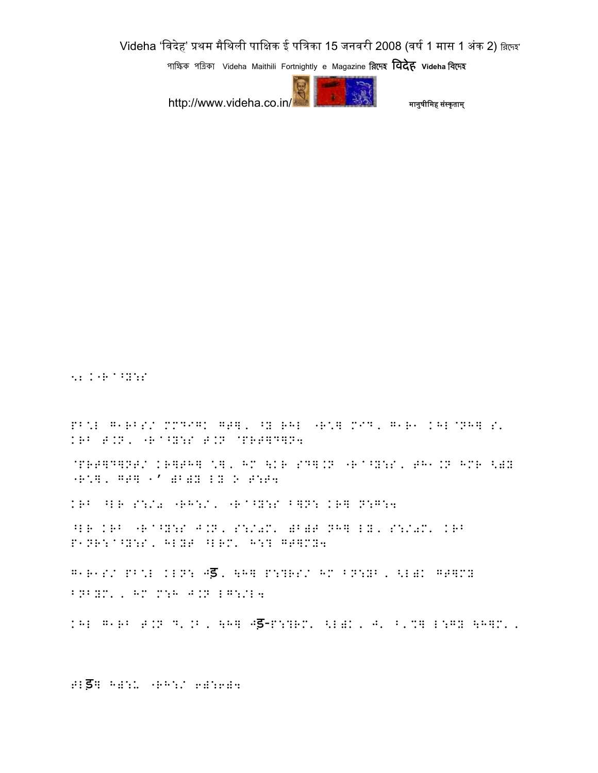পািkক পিtকা Videha Maithili Fortnightly e Magazine িরেদহ िवदेह **Videha** িবেদহ

 $\begin{picture}(180,10) \put(0,0){\line(1,0){10}} \put(1,0){\line(1,0){10}} \put(1,0){\line(1,0){10}} \put(1,0){\line(1,0){10}} \put(1,0){\line(1,0){10}} \put(1,0){\line(1,0){10}} \put(1,0){\line(1,0){10}} \put(1,0){\line(1,0){10}} \put(1,0){\line(1,0){10}} \put(1,0){\line(1,0){10}} \put(1,0){\line(1,0){10}} \put(1,0){\line(1,0){10}} \put($ 



52."R@^Y:S

PB\*L G1RBS/ MMDIGK GT], ^Y RHL "R\*] MID, G1R1 KHL@NH] S' KRB T.N, T.N, "R.N & PROPERTY

@PRT]D]NT/ KR]TH] \*], HM \KR SD].N "R@^Y:S, TH1.N HMR <)Y "R\*], GT] 1**'** )B)Y LY O T:T4

KRB ^LR S:/0 "RH:/, "R@^Y:S B]N: KR] N:G:4

^LR KRB "R@^Y:S J.N, S:/0M' )B)T NH] LY, S:/0M' KRB P-PHASSER: HIGH SEET, HAT MARTIN

BERG PEND CONS AS, ARE PYDRIC RM PRID, ADEL PROM BRBY, HM MY-BOR LEGIA

KHL GHE RIST, D'.BHE GS-PIRE, ALBEZ A. BING PRESHEL.

 $H$ : 54 H:U (BH:/ 64):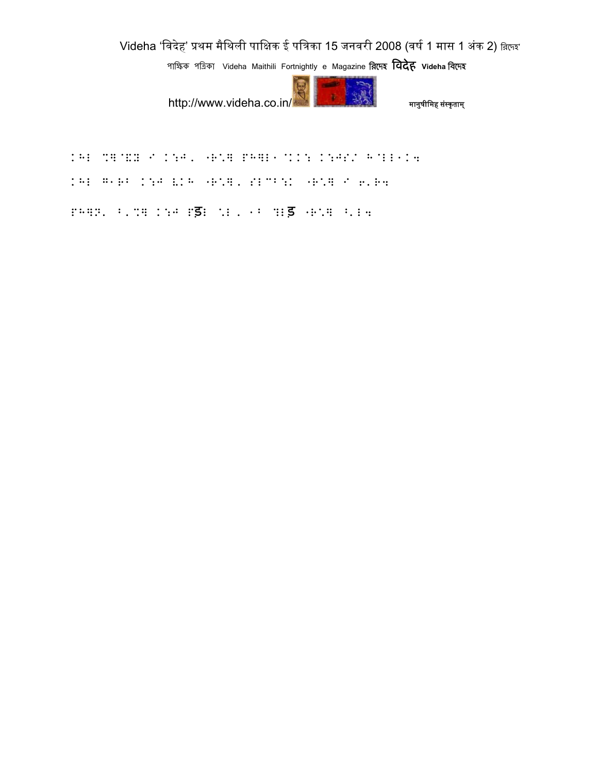পািkক পিtকা Videha Maithili Fortnightly e Magazine িরেদহ िवदेह **Videha** িবেদহ



KHL %BYEE KORNAL (BNE PHELOVIN KNAK/ HOLL1K4

KHL G1RB K:J VKH "R\*JE", SLCB:K "R\*JE" I 6'R4'R4

PHEN, BY TH THAT PS: MEV HIS AND REAL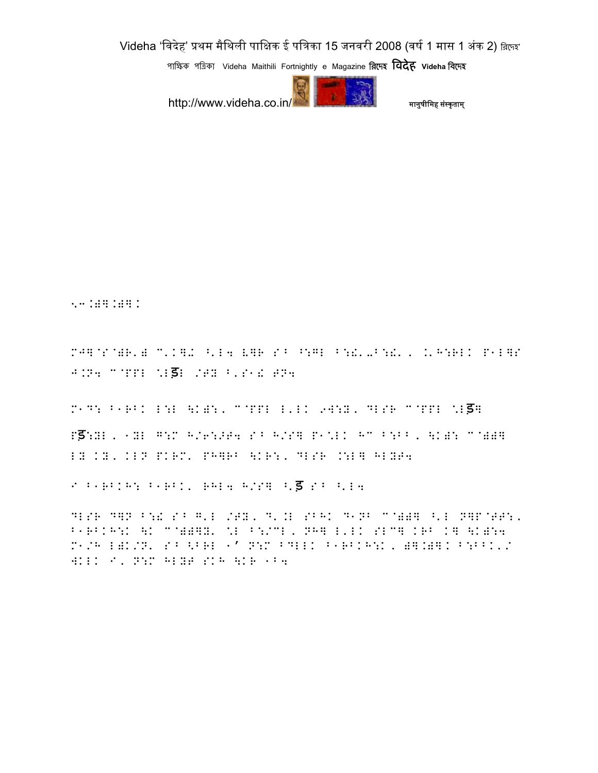পািkক পিtকা Videha Maithili Fortnightly e Magazine িরেদহ िवदेह **Videha** িবেদহ



 $\begin{picture}(180,10) \put(0,0){\line(1,0){10}} \put(1,0){\line(1,0){10}} \put(1,0){\line(1,0){10}} \put(1,0){\line(1,0){10}} \put(1,0){\line(1,0){10}} \put(1,0){\line(1,0){10}} \put(1,0){\line(1,0){10}} \put(1,0){\line(1,0){10}} \put(1,0){\line(1,0){10}} \put(1,0){\line(1,0){10}} \put(1,0){\line(1,0){10}} \put(1,0){\line(1,0){10}} \put($ 

53.)].)].

MJ]@S@)R') C'K]+ ^'L4 V]R S^ ^:GL B:!'-B:!', .'H:RLK P1L]S J.N. COMPANY TO BE STACKED AND STACKED AND STACKED AND STACKED AND STACKED AND STACKED AND STACKED AND STACKED

D: B1RBK L:L RIGH, COPPL LIL 9998, BEN COPPL MSR PS:HE, FHE MIN H/6:200 PP H/PH PH/LE AN PIPP, SEEN MINUTE LY KY, KLAN PHIRS, PHIRB AND AN ART .: DEPATH .: HIS .: DEPATH

I BIRAGK: BIRAGKI RHL4 HIST SON SA CHARACTER SON SA CHARACTER SON SA CHARACTER SON SON SON SON SON SON

DESR DAR PEN SPEAL /HI.D.L SPHK D2P COMME P.E RAPOHE B1RBK:K COMINGHE, NE BANCE, NHE EVEL SECH LEFTER WERE M1/H L)K/N' S^ <BRL 1**'** N:M BDLLK B1RBKH:K, )].)]. B:BBK'/ WKLK I, N:M HLYT SKH \KR 1B4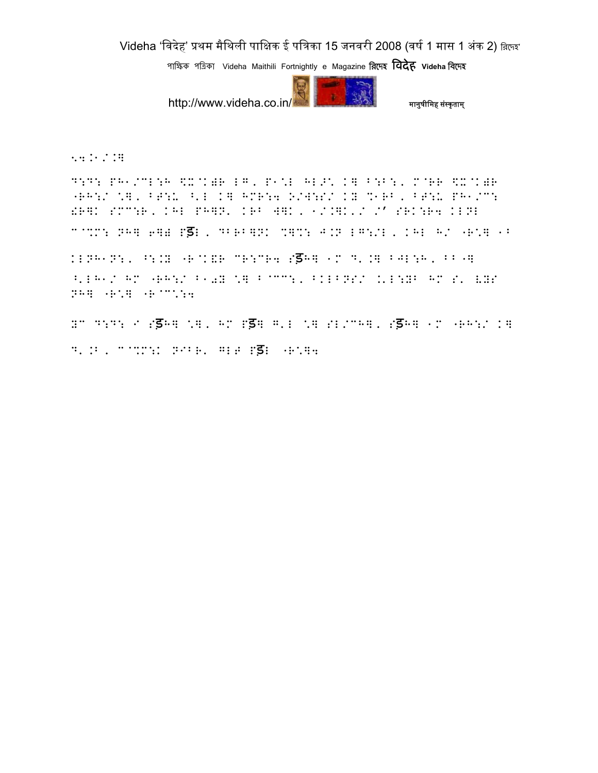পািkক পিtকা Videha Maithili Fortnightly e Magazine িরেদহ िवदेह **Videha** িবেদহ



54.1/.]

D:D: PH1/CL:H \$X@K)R LG, P1\*L HL>\* K] B:B:, M@RR \$X@K)R "RH:/ \*], BT:U ^'L K] HMR:4 O/W:S/ KY %1RB, BT:U PH1/C: !R]K SMC:R, KHL PH]N' KRB W]K, 1/.]K'/ /**'** SRK:R4 KLNL COMON CAST AND PS LOTER RECOVERED AND LANCED AND ARCHIVE KLAHIN:, PENDAR NENGAR SSARA SERIKAN DI PENDARAN BILI ^'LH1/ HM "RH:/ B10Y \*] B@CC:, BKLBNS/ .'L:YB HM S' VYS NH] "R\*] "R@C\*:4

YC D: I SSEE ON PS PS HIM ON SLOWER SSEE OF RESIDENT B. B, C@%M:K PORF, BEF PS: GRIBR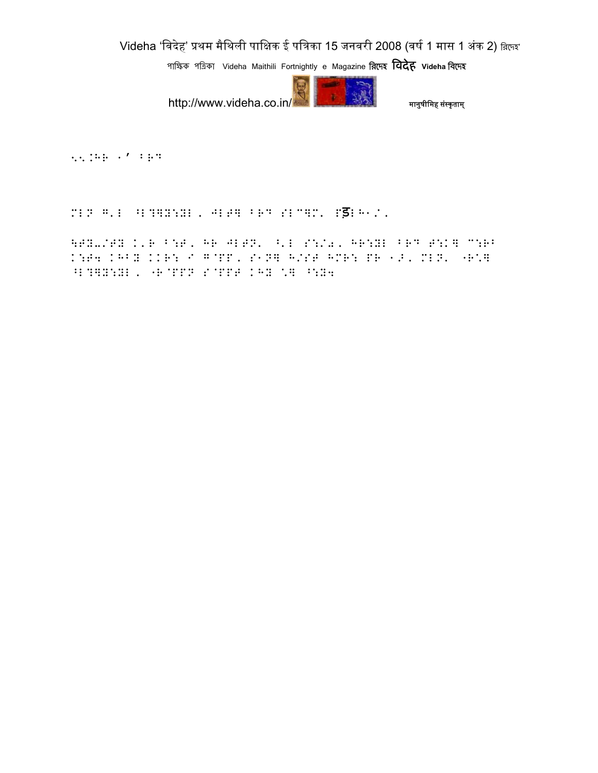পািkক পিtকা Videha Maithili Fortnightly e Magazine িরেদহ िवदेह **Videha** িবেদহ



55.HR 1**'** BRD

MLR G.E GEREENE, GEFEIGEN PENEL PSEHIN.

\TY-/TY K'R B:T, HR JLTN' ^'L S:/0, HR:YL BRD T:K] C:RB KNA: I GPD KIRN KOMPORIS STRONGER BLOG HOLD I GENE ^L?]Y:YL, "R@PPN S@PPT KHY \*] ^:Y4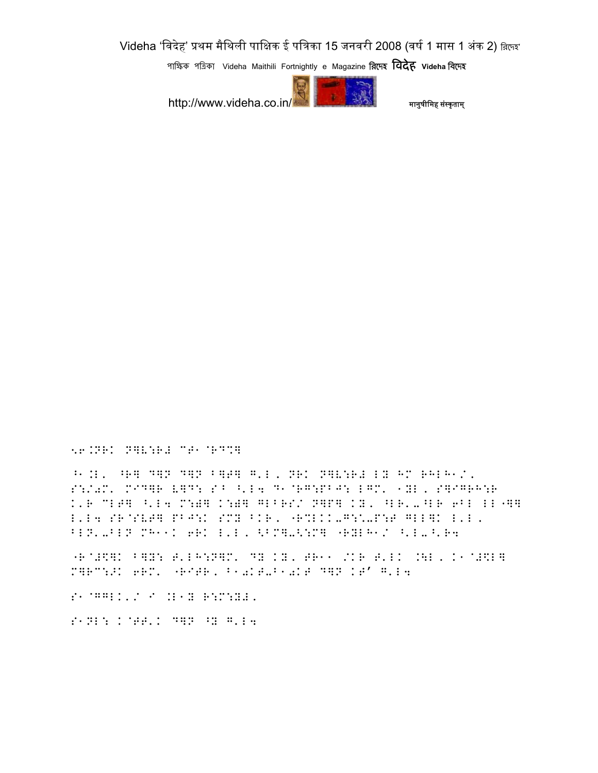পািkক পিtকা Videha Maithili Fortnightly e Magazine িরেদহ िवदेह **Videha** িবেদহ



 $\begin{picture}(180,10) \put(0,0){\line(1,0){10}} \put(1,0){\line(1,0){10}} \put(1,0){\line(1,0){10}} \put(1,0){\line(1,0){10}} \put(1,0){\line(1,0){10}} \put(1,0){\line(1,0){10}} \put(1,0){\line(1,0){10}} \put(1,0){\line(1,0){10}} \put(1,0){\line(1,0){10}} \put(1,0){\line(1,0){10}} \put(1,0){\line(1,0){10}} \put(1,0){\line(1,0){10}} \put($ 

# 56.NRK N]V:R# CT1@RD%]

^1.L' ^R] D]N D]N B]T] G'L, NRK N]V:R# LY HM RHLH1/, S:/0M' MIDR COMPANY OF STREET AND PUT IN STREET K'R CLAN (KI:) KI: (KI: CLI) GLAN (GLI) GLAN (GLAN 6BL LL'ELLE) L'L4 SR@SVT] PBJ:K SMY BKR, "R%LKK-G:\*-P:T GLL]K L'L, BLN, ALLE MHILL, AND LIL, CHNELLING (AND HILL), CARD

"R "BRAL FARY B.1952AR, "A CO. BRAT ZIR B.11 /KR . 17 "BRFA M]RC:>K 6RM' "RITR, B10KT-B10KT D]N KT**'** G'L4

S1@GGLK'/ I .L1Y R:M:Y#,

STRING THE CONTROL OF STRING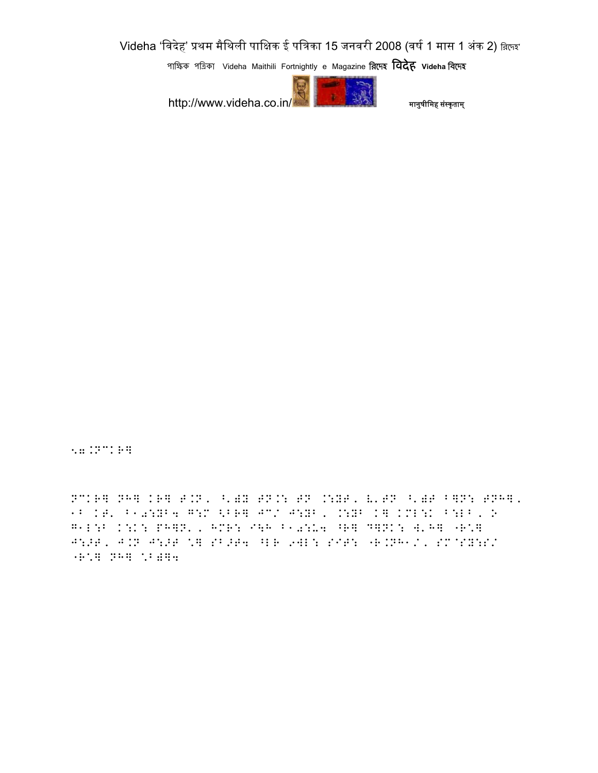পািkক পিtকা Videha Maithili Fortnightly e Magazine িরেদহ िवदेह **Videha** িবেদহ



http://www.videha.co.in/ स्वार्थ के अन्य स्कूलाम्

57.NCKR]

NCHR NH (BR BIN, VAR BYN) H, NAB, LAR VAR FRY BRH. 1B KT' B10:YB4 G:M <BR] JC/ J:YB, .:YB K] KML:K B:LB, O B:BN: CNON PHRP, , BTBN: CHR B102N4 (PHR BRP)N H.BR: (BNR) J:B: J. J.N J: J.N J: SP, J.N J: B (2013) (SIT: SIT: ST TERRIT "R\*] NH] \*B)]4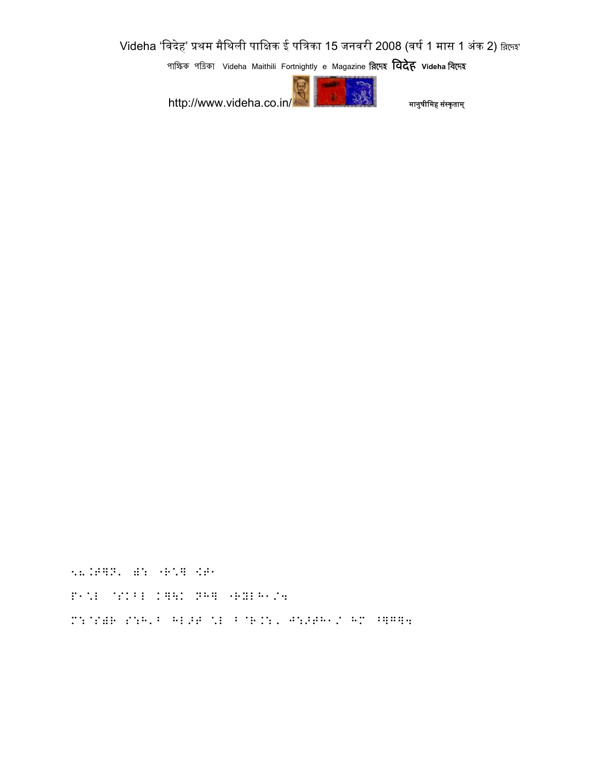পাক্ষিক পত্রিকা Videha Maithili Fortnightly e Magazine **রিদেহ যি** $\overline{a}$ **ন্ত্রি Videha বিদেহ** 



मानुषीमिह संस्कृताम्

http://www.videha.co.in/

ALGUES, BY GENE CH POI MORE CHAINER (PABER 24) TA VER STEVE AFJECTE FOR TELL ANJERS CORPORAL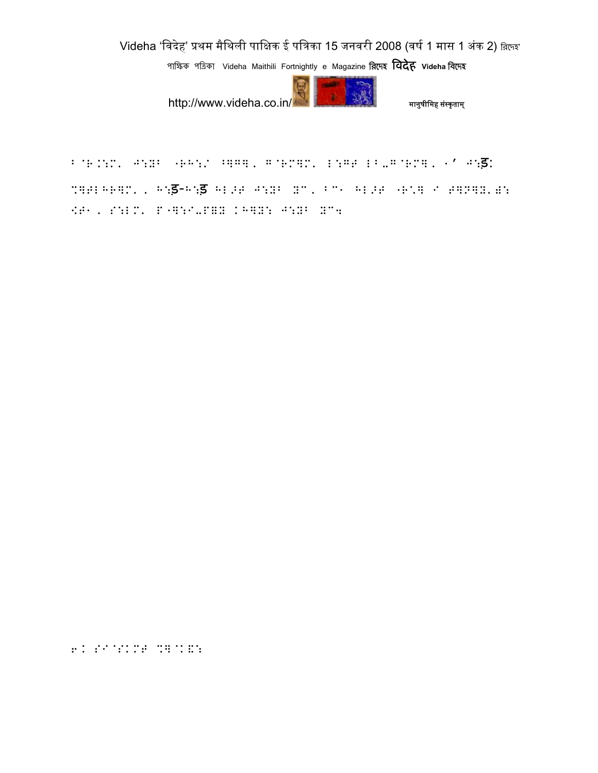পািkক পিtকা Videha Maithili Fortnightly e Magazine িরেদহ िवदेह **Videha** িবেদহ



B@R.:M' J:YB "RH:/ ^]G], G@RM]M' L:GT LB-G@RM], 1**'** J:ड़K %]TLHR]M', H:ड़-H:ड़ HL>T J:YB YC, BC1 HL>T "R\*] I T]N]Y'): [T1, S:LM' P"]:I-P=Y KH]Y: J:YB YC4

6. SIMS SKAMP & SHOW & SKAMP & SHOW & SHOW & SHOW & SHOW & SHOW & SHOW & SHOW & SHOW & SHOW & SHOW & SHOW & SHOW & SHOW & SHOW & SHOW & SHOW & SHOW & SHOW & SHOW & SHOW & SHOW & SHOW & SHOW & SHOW & SHOW & SHOW & SHOW & SH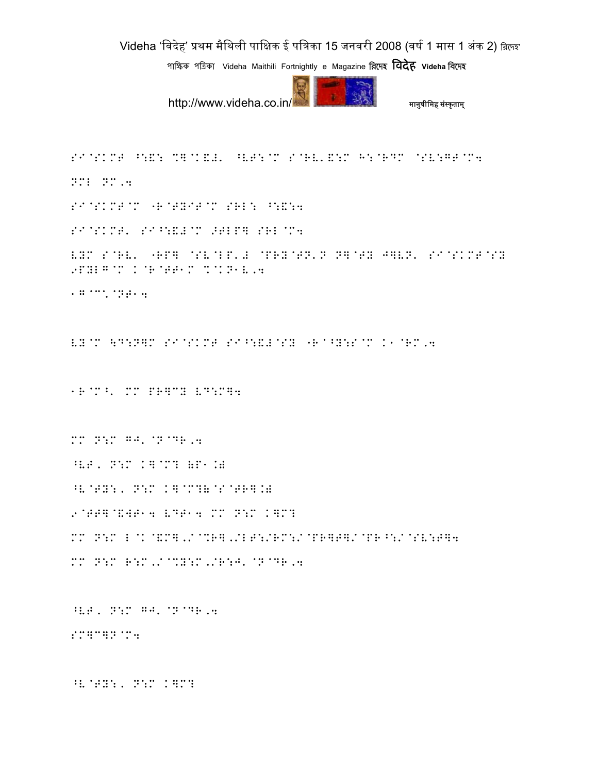পািkক পিtকা Videha Maithili Fortnightly e Magazine িরেদহ िवदेह **Videha** িবেদহ



SIMT OF: SIMT OF STAMPS OF STATES IN THE SAME OF SALES AND ASSESSED AT A SURFACE OF SALES AND ASSESSED AT A SURFA NML NM,4 SIMSKI SIMS THE STATE OF STATE AND STATE AND STATE OF STATE AND STATE AND STATE AND STATE AND STATE AND STATE A SIMPLE SIMPLE SIMPLE STRL@M4 RY SMR. HTT METELS TRINER FIND AND ARE SYNCH YE 9PYLG@M K@R@TT1M %@KN1V,4 1G@C\*@NT14 EST RUSHE SINIM SINGHES RIGHT SINIM 1R@M^' MM PR]CY VD:M]4 MM N:M GJ'@N@DR,4 ALL CONSTRAINS (P1.) ^V@TY:, N:M K]@M?(@S@TR].) 9@TT]@&WT14 VDT14 MM N:M K]M? MM N:M L@K@&M],/@%R],/LT:/RM:/@PR]T]/@PR^:/@SV:T]4 MM N:M R:M,/@%Y:M,/R:J'@N@DR,4 ^VT, N:M GJ'@N@DR,4 SMARTH SMARTH

^V@TY:, N:M K]M?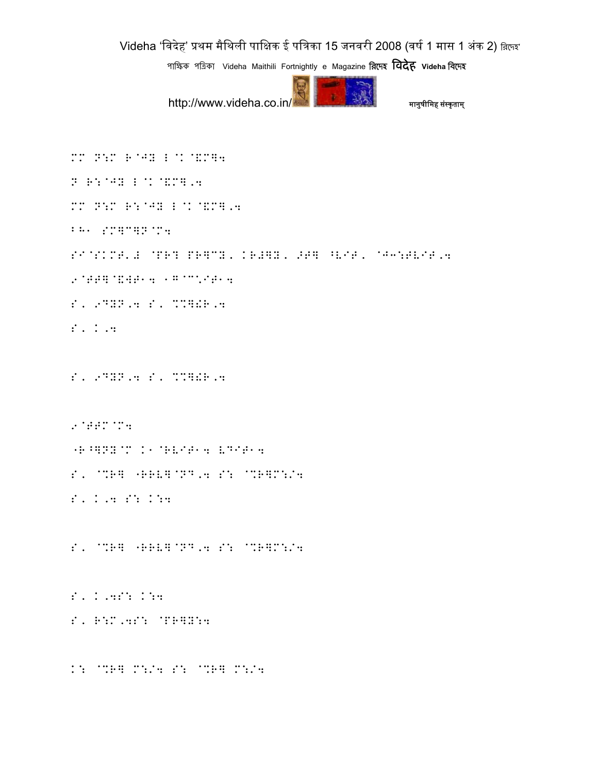পািkক পিtকা Videha Maithili Fortnightly e Magazine িরেদহ िवदेह **Videha** িবেদহ



MM N:M R@JY L@K@&M]4 N R:@JY L@K@&M],4 TT THE RIGHT RIGHT BH<sub>1</sub> SM<sup>2</sup>CH1 SM<sup>2</sup>CH1 SP GOOD, A STEP PRITH, CRANE, SPR HEAR, SPRAGHEAR, 9@TT]@&WT14 1G@C\*IT14 S, 9DH, 9D, 9D, 9D, 9D, 9D  $S$ ,  $S$ ,  $A$ ,  $A$ S, 99HP.4 S, WWH.4 9@TTM@M4 "ROUGHT", "RECHALL" S, @%R] "RRV]@ND,4 S: @%R]M:/4 S, K,4 S: K:4 S, @%R] "RRV]@ND,4 S: @%R]M:/4 S, K,4S: K:4 S, R:M,4S: @PR]Y:4 K: @%R] M:/4 S: @%R] M:/4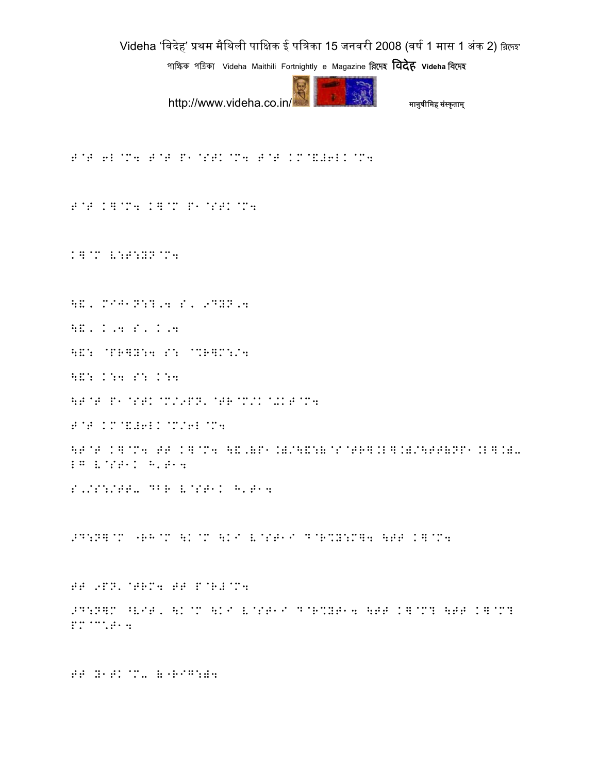পািkক পিtকা Videha Maithili Fortnightly e Magazine িরেদহ िवदेह **Videha** িবেদহ



FOR 61 TO 6 TO P10 TO CONSIDER THE CONSIDERATION OF THE CONSIDERATION OF THE CONSIDERATION OF THE CONSIDERATION

T@T K]@M4 K]@M P1@STK@M4

 $19M$  Constanting

\&, MIJ1N:?,4 S, 9DYN,4

\&, K,4 S, K,4

\&: @PR]Y:4 S: @%R]M:/4

\&: K:4 S: K:4

\T@T P1@STK@M/9PN'@TR@M/K@+KT@M4

T@T KM@&#6LK@M/6L@M4

\T@T K]@M4 TT K]@M4 \&,(P1.)/\&:(@S@TR].L].)/\TT(NP1.L].)- LG V@ST1K H'T14

S, ST. DEE THE ETHIC H. B.H.

>D:N]@M "RH@M \K@M \KI V@ST1I D@R%Y:M]4 \TT K]@M4

TH 9PN THE 8PN POINT >D:N]M ^VIT, \K@M \KI V@ST1I D@R%YT14 \TT K]@M? \TT K]@M? PM Change of

HT H.H. T. H. (1979)44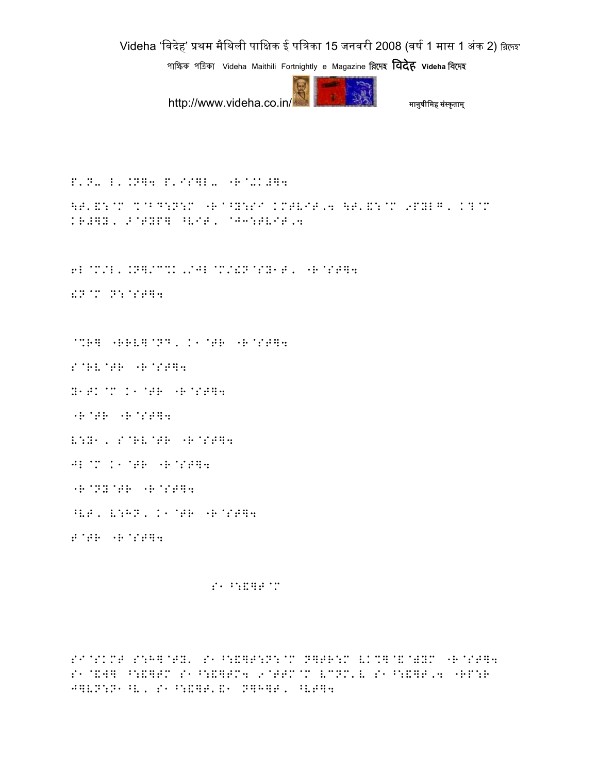পািkক পিtকা Videha Maithili Fortnightly e Magazine িরেদহ िवदेह **Videha** িবেদহ



P.A. L'ORE P. SERIL- (ROMANE) \T'&:@M %@BD:N:M "R@^Y:SI KMTVIT,4 \T'&:@M 9PYLG, K?@M KR#]Y, >@TYP] ^VIT, @J3:TVIT,4 60 MM LOWERT COMMON STATES AND STREET  $1.77777777744$ @%R] "RRV]@ND, K1@TR "R@ST]4  $S$  TR TR STR "ROTH" **WHATKAM KING** "R@TR "R@ST]4 V:Y1, S@RV@TR "R@ST]4 HIST COMPOSED "R@NY@TR "R@ST]4

THE STRIP CONTROL OF STRIP

T@TR "R@ST]4

#### S1^:&]T@M

 $\sim$  Similar Similar Similar Similar Similar Similar Similar Similar Similar Similar Similar Similar Similar S S1@&W] ^:&]TM S1^:&]TM4 9@TTM@M VCNM'V S1^:&]T,4 "RP:R JUNITY STAIRS IN THE STAIRS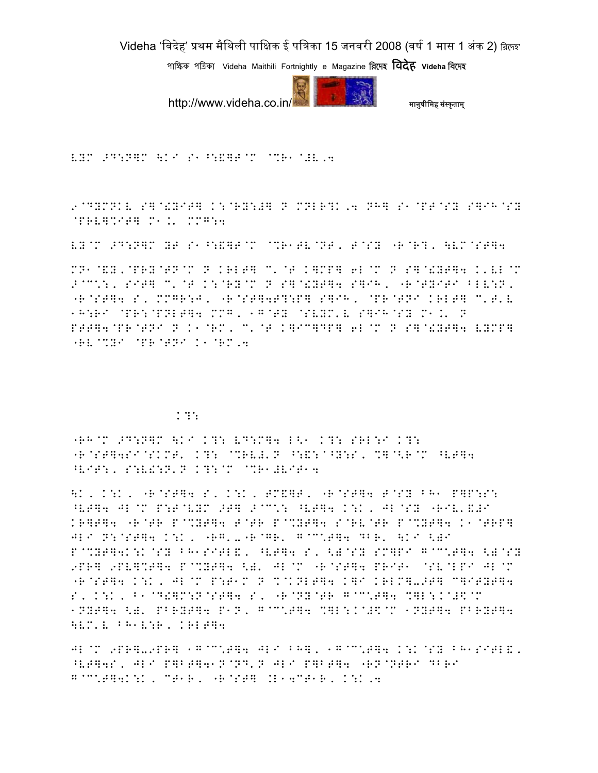পািkক পিtকা Videha Maithili Fortnightly e Magazine িরেদহ िवदेह **Videha** িবেদহ



 $U$  . The state  $V$  of  $V$  and  $V$  and  $V$  and  $V$  and  $V$ 

9@DYMNKV S]@!YIT] K:@RY:#] N MNLR?K,4 NH] S1@PT@SY S]IH@SY @PRV]%IT] M1.' MMG:4

WHIT STIPE HE SKINDER TO THE BUILT STEEN FOR SHIP WHITTEE

MN 100 & YOU HAD A KREEF OF A KREEF OF A KREEF OF A KREEF OF A SALE OF THE TAXABLE AND A SALE OF THE UPLA CONTINUES. >@C\*:, SIT] C'@T K:@RY@M N S]@!YT]4 S]IH, "R@TYITI BLV:N, "PE STARRE "B", "MMGRIPH", "PROSTERE ERRE", "PROSTER" SPREDGE PROTOCHE, BUILDI 1H:RI @PR:@PNLT]4 MMG, 1G@TY @SVYM'V S]IH@SY M1.' N POSE TO THE RING OF THE CONTROL OF THE CONTROLLING CONTROL  $R$  . The state of the process of the process of the process of the process of the process of the process of the process of the process of the process of the process of the process of the process of the process of the proc

 $\mathbb{R}^n$ 

"RH: "N: VOI AND HI K?: YOU AND HI K?: VOI AND HI K?: VOI AND HI K?: SRL: I K?: S "R@ST24BAZYMTY2CZY#, MORE MORELA, ROMANNY MARTY & ROMANNY MAGHA WITH:, SHEERS CONTROL CONSERVE

 $K$  ,  $K$  ,  $K$  ,  $K$  ,  $K$   $\rightarrow$   $K$   $\rightarrow$   $K$   $\rightarrow$   $K$   $\rightarrow$   $K$   $\rightarrow$   $K$   $\rightarrow$   $K$   $\rightarrow$   $K$   $\rightarrow$   $K$   $\rightarrow$   $K$   $\rightarrow$   $K$   $\rightarrow$   $K$   $\rightarrow$   $K$   $\rightarrow$   $K$   $\rightarrow$   $K$   $\rightarrow$   $K$   $\rightarrow$   $K$   $\rightarrow$   $K$   $\rightarrow$   $K$   $\rightarrow$   $K$   $\rightarrow$   $K$   $\rightarrow$   $K$   $\rightarrow$ ^VT]4 JL@M P:T@VYM >T] >@C\*: ^VT]4 K:K, JL@SY "RIV'&#I KRAPA (PPMP PMYAPA PMP PMYAPA PMPLYP POYTHIN PO JLI N:@ST]4 K:K, "RG'-"R@GR' G@C\*T]4 DBR' \KI <)I P@%YTHI4K: YTE FR: PASE BOOK: HOTE COMPARY ROWLED SENSE 9PR] 9PV]%T]4 P@%YT]4 <)' JL@M "R@ST]4 PRIT1 @SV@LPI JL@M "AB STARA (1911) AE STURBAR TUDUST PEARA (1941) EATHLIAR "PRAADARA" S, K:K, B1@D!]M:N@ST]4 S, "R@NY@TR G@C\*T]4 %]L:.@#\$@M 1NYT]4 <)' PBRYT]4 P1N, G@C\*T]4 %]L:.@#\$@M 1NYT]4 PBRYT]4 \VM'V BH1V:R, KRLT]4

JAE TO GARBALGARBA, KALTUTAANA, JALIP 1GARI, 1GA TUTAANA, 1GA TERSEKA KALENDARI, ^VT]4S, JLI P]BT]41N@ND'N JLI P]BT]4 "RN@NTRI DBRI BOTHERS EXTRAGAL CHARGE SERVICE, CALLA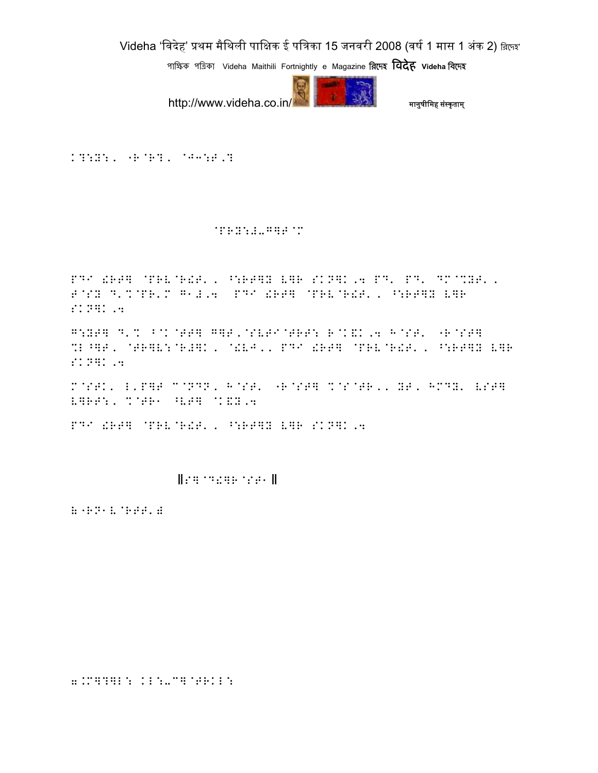পািkক পিtকা Videha Maithili Fortnightly e Magazine িরেদহ िवदेह **Videha** িবেদহ



K?:X:X:, "R@R?, "Hu?;X:X

### @PRY:#-G]T@M

PDI !RT] @PRV@R!T', ^:RT]Y V]R SKN]K,4 PD' PD' DM@%YT', FOR SYTE PRIS PROBE THE REPORT OF REFERE SKN WARD

GYEER S.T. PO GER PREVIOUES GER ENDIG HOTEL (ROSTER %L^]T, @TR]V:@R#]K, @!VJ,, PDI !RT] @PRV@R!T', ^:RT]Y V]R SKN HOLL

MOSTA' LIPE MODEL HOST, HOSTEL MOOD ALL BEL HARD, LEFT V]RT:, %@TR1 ^VT] @K&Y,4

POI ERRY THE GER, CONFURSED ENGINEERS

## $\parallel$ ra maarkatika  $\parallel$

**H**-BP: E THE R

7.M]?]L: KL:-C]@TRKL: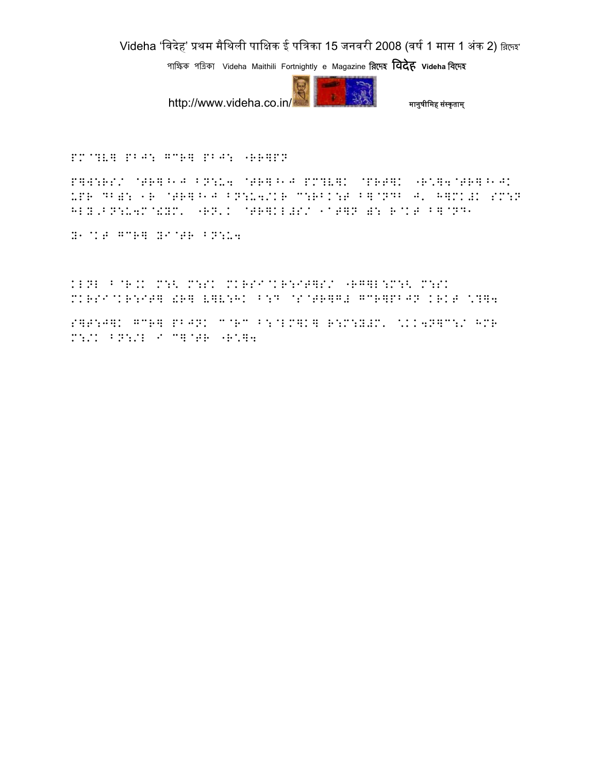পািkক পিtকা Videha Maithili Fortnightly e Magazine িরেদহ िवदेह **Videha** িবেদহ



POSTED PRINT PRINT PRINTS

PAND: WHER POINT MARK PINES TREE WHERE TREER UPR PRES PROTEERING PROVINCE TOEPING PROPERTY BILARDIES SUSP HERGYLATIME, ARNI MARHIBAY (1993-81-PIR 1979)

Y THE BUILDING BOOK OF BUILDING

KLAL B@R.K M:SK M:SK MERRY MEDIC WAS ARRESTED FOR MELTIC. MAKRSIM IN BERGHED IN STREET TO BE SEEN AND CONTROL

S]T:J]K GCR] PBJNK C@RC B:@LM]K] R:M:Y#M' \*KK4N]C:/ HMR M:/K BN:/L I C]@TR "R\*]4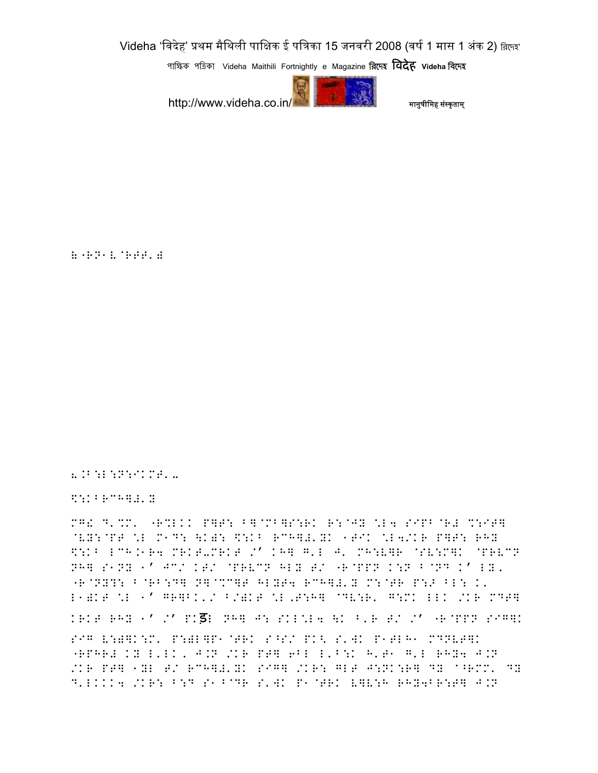STO KING V: PINOP SON STO PK SAN PHIP COURS "RPHR# KY L'LK, J.N /KR PT] 6BL L'B:K H'T1 G'L RHY4 J.N /KR PT] 1YL T/ RCH]#'YK SIG] /KR: GLT J:NK:R] DY @^RMM' DY D'L'ECCO A (VIEN 1959) PA FORBO PLAID PA CABIO ENELSA DA BABAIRSAN POD

KRKT RHY 1**'** /**'** PKड़L NH] J: SKL\*L4 \K B'R T/ /**'** "R@PPN SIG]K

D'#2 M. T. (ANDER PIT: BENT: BINER BY FAN NEW YORK PER SING TO @VY:@PT \*L M1D: \K): \$:KB RCH]#'YK 1TIK \*L4/KR P]T: RHY \$:KB LCH.1R4 MRKT-MRKT /**'** KH] G'L J' MH:V]R @SV:M]K @PRVCN NH] S1NY 1**'** JC/ KT/ @PRVCN HLY T/ "R@PPN K:N B@ND K**'** LY,  $R$  . Because the process recover a position in the process recovering the process recovering the process recovering the process recovering the process recovering the process recovering the process recovering the process r L1)KT \*L 1**'** GR]BK'/ B/)KT \*L,T:H] @DV:R' G:MK LLK /KR MDT]

**\$:KBRCHILLE** 

8. B:L:N:N:N:N:N:N

(A) Principal Control Control Control Control Control Control Control Control Control Control Control Control C



পািkক পিtকা Videha Maithili Fortnightly e Magazine িরেদহ िवदेह **Videha** িবেদহ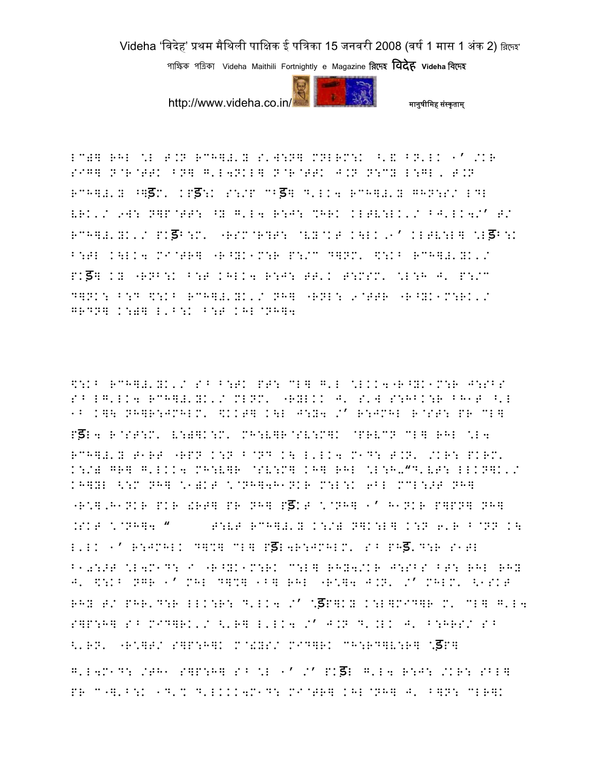Videha 'विदेह' प्रथम मैथिली पाक्षिक ई पत्रिका 15 जनवरी 2008 (वर्ष 1 मास 1 अंक 2) <sub>রিদেহ'</sub>

পািkক পিtকা Videha Maithili Fortnightly e Magazine িরেদহ िवदेह **Videha** িবেদহ



LC)] RHL \*L T.N RCH]#'Y S'W:N] MNLRM:K ^'& BN'LK 1**'** /KR SIG] N@R@TTK BN] G'L4NKL] N@R@TTK J.N N:CY L:GL, T.N RCH]#'Y ^]ड़M' KPड़:K S:/P CBड़] D'LK4 RCH]#'Y GHN:S/ LDL VRK'/ 9W: N]P@TT: ^Y G'L4 R:J: %HRK KLTV:LK'/ BJ'LK4/**'** T/ RCH]#'YK'/ PKड़B:M' "RSM@R?T: @VY@KT K\LK,1**'** KLTV:L] \*Lड़B:K B:TH KALKA MY HAN SHIRK THAN DHAM BIR POSSESSEE AT PKड़] KY "RNB:K B:T KHLK4 R:J: TT'K T:MSM' \*L:H J' P:/C DARI B: B:D \$: ROKE ROWARD "ROLL: PART "REDER" (ROWARD "REDER" ROWARD "R BRDNE K: H: K: K: K: K: H: MHH

\$: KB ROHA RESIDENT SO BIRCHI BERTAGA PELA TERLI SO SE CLANA PELA CONFIDENCE. S' POLESH ROHALDELS DERS (SANHIS) "AL SEN SIMPLIGH" PH' POLE 1B K]\ NH]R:JMHLM' \$KKT] K\L J:Y4 /**'** R:JMHL R@ST: PR CL] P§L4 R@ST:MEST:MINH:SOV:MASHERMESTEN CRAETE THE RAFICHA RCHALL B: BH BB (HADD) CAD (FOCDA) CA (ELECCH) DH'AN (BILK) /KCBA (BCBD) K:/) GR] G'LKK4 MH:V]R @SV:M] KH] RHL \*L:H-**"**D'VT: LLKN]K'/ KHABI KHO PHA NYBIA NYPHAHYPLE OMIANO SPI OMINIPA PH "R\*],H1NKR PKR !RT] PR NH] Pड़KT \*@NH] 1**'** H1NKR P]PN] NH] .SKT \*@NH]4 **"** T:VT RCH]#'Y K:/) N]K:L] K:N 6'R B@NN K\ LILY 17 BY-THIC THTH TH TSINBY-THIC, ST PHS.THE STHE B10:2T \*LAMING: I "ROW REPORT FOR THE RESIDENCE AND RELEASED BY THE RHY J' \$:KB NGR 1**'** MHL D]%] 1B] RHL "R\*]4 J.N' /**'** MHLM' <1SKT RHY T/ PHR'D:R LLK:R: D'LK4 /**'** \*ड़P]KY K:L]MID]R M' CL] G'L4 S]P:H] S^ MID]RK'/ <'R] L'LK4 /**'** J.N D'.LK J' B:HRS/ S^ RN' PROCHE COMMITTEE CONTROL CHIPPED COMMITTEE SEE ASSESS G'L4M1D: /TH1 S]P:H] S^ \*L 1**'** /**'** PKड़L G'L4 R:J: /KR: SBL] PR C"]'B:K 1D'% D'LKKK4M1D: MI@TR] KHL@NH] J' B]N: CLR]K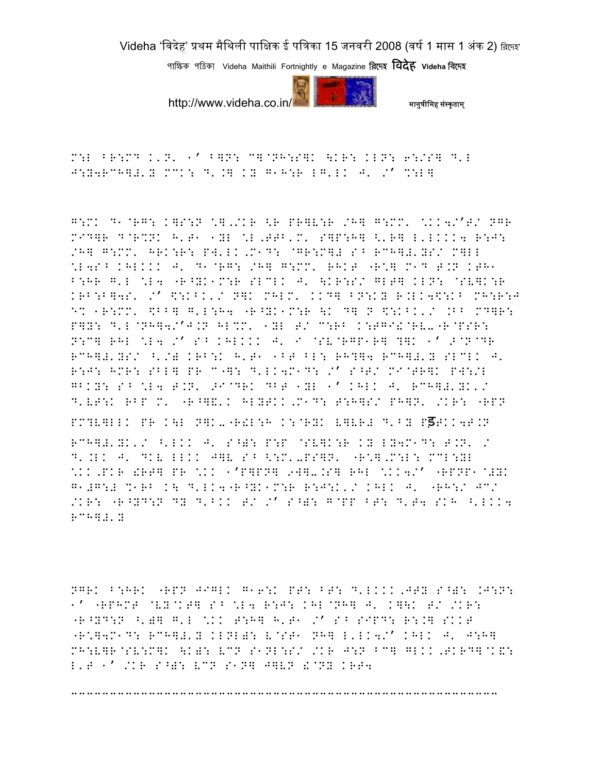Videha 'विदेह' प्रथम मैथिली पाक्षिक ई पत्रिका 15 जनवरी 2008 (वर्ष 1 मास 1 अंक 2) <sub>রিদেহ'</sub>

পািkক পিtকা Videha Maithili Fortnightly e Magazine িরেদহ िवदेह **Videha** িবেদহ



M:L BR:MD K'N' 1**'** B]N: C]@NH:S]K \KR: KLN: 6:/S] D'L J:Y4RCH]#'Y MCK: D'.] KY G1H:R LG'LK J' /**'** %:L]

G:MK D1@RG: K]S:N \*],/KR <R PR]V:R /H] G:MM' \*KK4/**'**T/ NGR MIDR DORMAN H. B: (HIT) IL .BB:. M. (PHINAR S. BR (1.1111): B:H: /H] G:MM' HRK:R: PW'LK,M1D: @GR:M]# S^ RCH]#'YS/ M]LL \*L4S^ KHLKKK J' D1@RG: /H] G:MM' RHKT "R\*] M1D T.N KTH1 B:HR G.E (19 ) (ROKING SLCLK GLT) (SLECHT) GLTD SLCLK SLC KRB:BAN, Z' BYELLZ PH, THEN, KITH FRYIN BOIL45Y: TRYBY E% 1R:MM' \$BB] G'L:H4 "R^YK1M:R \K D] N \$:KBK'/ .BB MD]R: P]Y: D'L@NH]4/**'**J.N HL%M' 1YL T/ C:RB K:TGI!@RV-"R@PSR: N:C] RHL \*L4 /**'** S^ KHLKKK J' I @SV@RGP1R] ?]K 1**'** >@N@DR RCHAEL BEZO AL ZACIDARIADO AL BROX AR BORT BAGARA (BOHAEL BOBTETO AR) R:J: HMR: SBL] PR C"]: D'LK4M1D: /**'** S^T/ MI@TR]K PW:/L GBKY: S^ \*L4 T.N' >I@DRK DBT 1YL 1**'** KHLK J' RCH]#'YK'/ D'VERNI (BRP) MY "REPRESI" PEGBIS SMY PHORPHEM (PHRP), MIGHT (RPP)

POTENEED PR CAE PADLARGEAR CYCROL ENERGY POR PSPOOR DE

RCHAN BOLIN (PLACO): P. CANARA BABY ANG MANGARAN ANG PANGKON IN D'. LE COSTA D'EL LE LE LOI S' S'ANNEL LEVEREN, COPEN L'ONE NOMENEE \*KK,PKR !RT] PR \*KK 1**'**P]PN] 9W]-.S] RHL \*KK4/**'** "RPNP1@#YK GRI#G: %PROVE SLEVER RIVING PER LEGION VALL PER L'ARGIO AM /KR: "R^YD:N DY D'BKK T/ /**'** S^): G@PP BT: D'T4 SKH ^'LKK4 **BUSE BAR** 

NGRK B:HRK "RPN JIGLK G16:K PT: BT: D'LKKK,JTY S^): .J:N: 1**'** "RPHMT @VY@KT] S^ \*L4 R:J: KHL@NH] J' K]\K T/ /KR: "R^YD:N ^')] G'L \*KK T:H] H'T1 /**'** S^ SIPD: R:.] SKKT "R\*]4M1D: RCH]#'Y KLNL): V@ST1 NH] L'LK4/**'** KHLK J' J:H] MH:VR:VCN:MIK SOV:MIK SOV:MIK SOV:MIK STERNE STERNE STERNE STERNE SIN L'# <sup>2</sup> / Cle (18): UTF (199-4919 (199-1994)

-------------------------------------------------------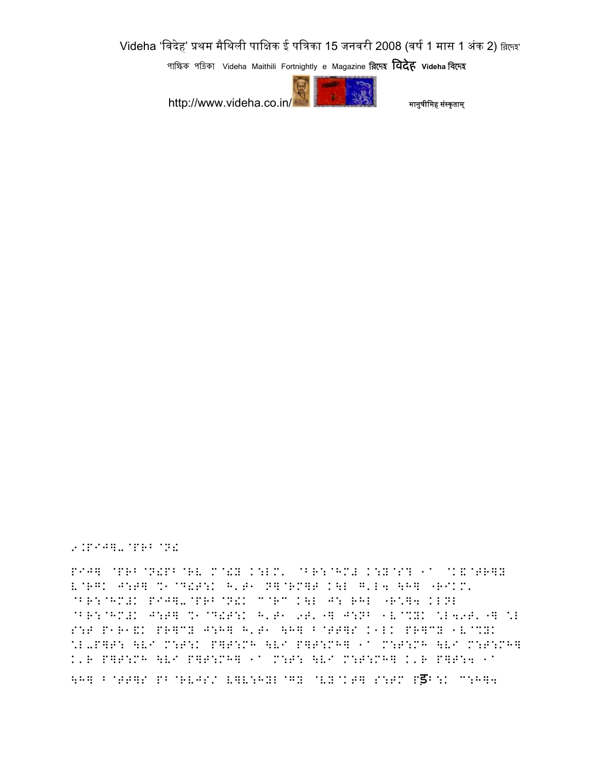$\frac{1}{2}$  B. The Paper of the Section of the Company of the Poster of the Poster of the Poster of the Poster of the Poster of the Poster of the Poster of the Poster of the Poster of the Poster of the Poster of the Poster o

PIPE MPROVERS MAN PID AND MONEY OF REAL AND HIS CONTROL MANUELY BORG PRESS TO TENS AND THOUGH IN AN ALACHER (BOIL) @BR:@HM#K PIJ]-@PRB@N!K C@RC K\L J: RHL "R\*]4 KLNL @BR:@HM#K J:T] %1@D!T:K H'T1 9T'"] J:NB 1V@%YK \*L49T'"] \*L STEP P: B: BO PRATH ANAR A.H: (AAR) P MEAR (SIL PRATH : B TH) \*L-P]T: \VI M:T:K P]T:MH \VI P]T:MH] 1a M:T:MH \VI M:T:MH] K.R PAPTY ALS PAPTYMA (TYMH) ALS MYNINTMA (LR PAPYA (T

9.PIJ]-@PRB@N!





পািkক পিtকা Videha Maithili Fortnightly e Magazine িরেদহ िवदेह **Videha** িবেদহ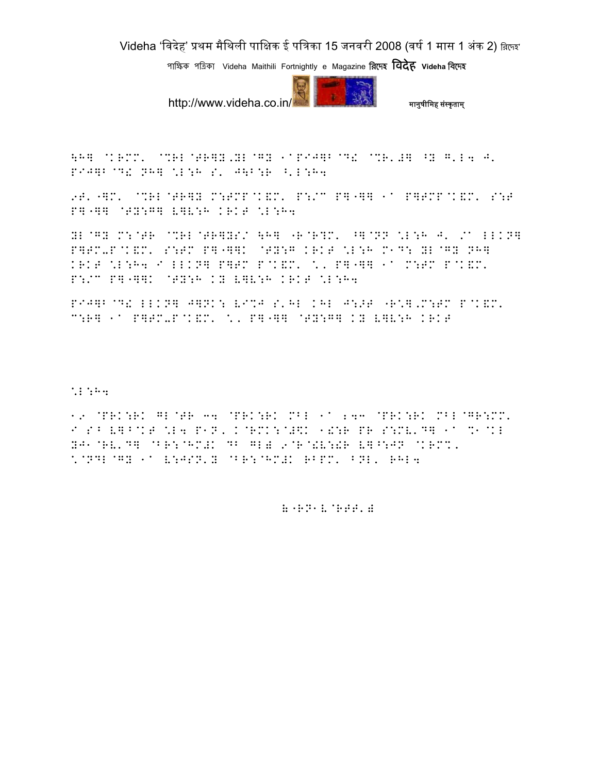পািkক পিtকা Videha Maithili Fortnightly e Magazine িরেদহ िवदेह **Videha** িবেদহ



\H] @KRMM' @%RL@TR]Y,YL@GY 1aPIJ]B@D! @%R'#] ^Y G'L4 J' PAAN TE PAN NIAH SY ANG HALINA

9T'"]M' @%RL@TR]Y M:TMP@K&M' P:/C P]"]] 1a P]TMP@K&M' S:T PH (99 1999 BH) NE (PI) A MI (PI)

YL@GY MY MORE AND AN AND AN ANNOUNCE AND ALL HIS CONTINUES. THE SENSION OF A LANGUAGE AND AN AN AN AN AN AN AN PAPT AF MOKAM SHAME THAN PART OF SEARCH THAN AN UNIVERSITY OF THE UPPER START IN THE UPPER START IN THE UPPER KRET TE MARK AND PERSONAL PART OF THE PART OF THE PART OF THE PART OF THE PART OF THE PART OF THE PART OF THE P P:/T PH:HH (WHIP IN LANGT THIN WITH

PIJ]B@D! LLKN] J]NK: VI%J S'HL KHL J:>T "R\*],M:TM P@K&M' C:REA POST PARTLE COET, ST. PAPAAR SPERAR OO KAKAPSORDE

 $\mathcal{L}: \mathcal{L}: \mathcal{H} \rightarrow \mathcal{L}$ 

19 @PRK:RK GL@TR 34 @PRK:RK MBL 1a 243 @PRK:RK MBL@GR:MM' I S^ V]^@KT \*L4 P1N, K@RMK:@#\$K 1!:R PR S:MV'D] 1a %1@KL YJ1@RV'D] @BR:@HM#K DB GL) 9@R@!V:!R V]^:JN @KRM%, \*@NDL@GY 1a V:JSN'Y @BR:@HM#K RBPM' BNL' RHL4

**A** ROUGH **A** ROUGH **RE**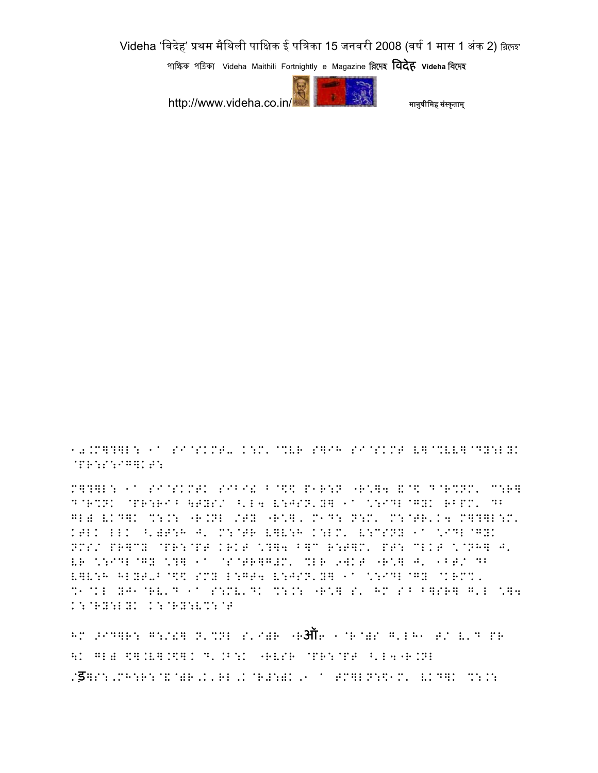HM SPRAGE ANNEL SYNCH SYNCH HOME 1 DEN SYNCH THAT THE SYNCH TH \K GL) \$].V].\$]. D'.B:K "RVSR @PR:@PT ^'L4"R.NL /ड़]S:,MH:R:@&@)R,K'RL,K@R#:)K,1 a TM]LN:\$1M' VKD]K %:.:

MARRING SIM SPINCIPLY SIMPLE SIMPLE SIBILE SIMPLE SIMPLE SIMPLE WARREN D@R%NK @PR:RI^ \TYS/ ^'L4 V:JSN'Y] 1a \*:IDL@GYK RBPM' DB GL) VKD]K %:.: "R.NL /TY "R\*], M1D: N:M' M:@TR'K4 M]?]L:M' KTREAT LEAD AND AN AIDEAN AN DEALER AND A THE CONSTRUCTION OF THE VEHICLE AND A FIDE CONTINUES. NMS/ PR]CY @PR:@PT KRKT \*?]4 B]C R:T]M' PT: CLKT \*@NH] J' VR \*:IDL@GY \*?] 1a @S@TR]G#M' %LR 9WKT "R\*] J' 1BT/ DB BABAN HENRISK SMY LAARE ENASKIN SO NASA'ISA SENYI %10 YOU NEW YOURSELVENT SEEN AND REACH \$PART FOR STAINING K: THE RYSES IN THE RYSES OF THE RYSES OF THE RYSES OF THE RYSES OF THE RYSES OF THE RYSES OF THE RYSES OF THE

10.M]?]L: 1a SI@SKMT- K:M'@%VR S]IH SI@SKMT V]@%VV]@DY:LYK @PR:S:IG]KT:

 $\begin{picture}(180,170)(0,0) \put(0,0){\line(1,0){10}} \put(1,0){\line(1,0){10}} \put(1,0){\line(1,0){10}} \put(1,0){\line(1,0){10}} \put(1,0){\line(1,0){10}} \put(1,0){\line(1,0){10}} \put(1,0){\line(1,0){10}} \put(1,0){\line(1,0){10}} \put(1,0){\line(1,0){10}} \put(1,0){\line(1,0){10}} \put(1,0){\line(1,0){10}} \put(1,0){\line(1,0){1$ 



Videha 'विदेह' प्रथम मैथिली पाक्षिक ई पत्रिका 15 जनवरी 2008 (वर्ष 1 मास 1 अंक 2) बिलर

পািkক পিtকা Videha Maithili Fortnightly e Magazine িরেদহ िवदेह **Videha** িবেদহ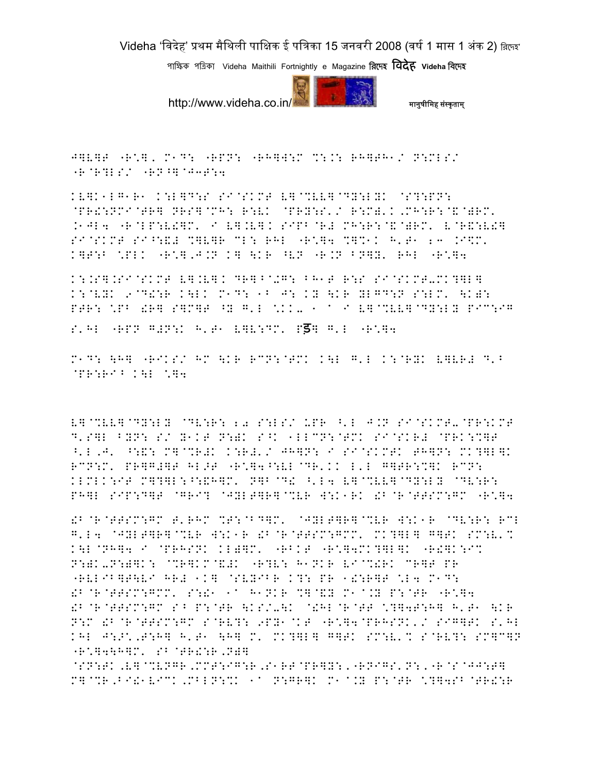পািkক পিtকা Videha Maithili Fortnightly e Magazine িরেদহ िवदेह **Videha** িবেদহ



JANGAR (PENN), MIT "PENNIS "PENNAN NI MENYA BENYAW: MINDERI "R@R?LS/ "RN^]@J3T:4

KVAST KINDE KORT VAN DIE SOON DIE SOON DIE GROOT VAN DIE VAN DIE VAN DIE VAN DIE VAN DIE VAN DIE VAN DIE VAN D @PR!:NMI@TR] NRS]@MH: R:VK @PRY:S'/ R:M)'K,MH:R:@&@)RM' .1) APA CAR TE BOEARD, ICH YOUR DE RADE FOR DE ROOM THE MEDICINE RECEIVED A RECEIVED BY SIM SICH SIMPARE MAAR MAD SHAL "PANAH" MANA SI PU SIMUSING. KARA KALI "RANG "RAMA KALI BILI RANG" RANG "RANG "RANG "RANG"

K:.SIMASKAMT VIRINGER VALLER SHART RIS SKAMT DRIVE K: N.H. K: YEAR (ALK MID: 1 AN ON S: AND HIPME PHIL AND HIS PTR: NEU SER PROBE 'RI P.E. NOOL 'N 'N RENDER MADE I PYNSYP

S'HL "RPN G#N:K H'TH' PERING", PS4 G.E "RITH"

MN PRO ARRO "RIKSPARCH" "RICH: "RIKS- D'ARCO KONSTANTING" (BARL KAL KONSTANTING) @PR:RI^ K\L \*]4

V]@%VV]@DY:LY @DV:R: 20 S:LS/ UPR ^'L J.N SI@SKMT-@PR:KMT B. FOR SANDARY SANDARY STATES IN THE SANDARY SIGNAL SIGNAL SIGNAL SIGNAL SIGNAL SIGNAL SIGNAL SIGNAL SIGNAL SI  $^{\prime}$  R,J,  $^{\prime}$  ,  $^{\prime}$  PHICs ( THE FIZ ) ( IHE A:  $^{\prime}$  )  $^{\prime}$  -  $^{\prime}$  -  $^{\prime}$  and  $^{\prime}$   $^{\prime}$  and  $^{\prime}$  and  $^{\prime}$  and  $^{\prime}$  and  $^{\prime}$  and  $^{\prime}$  and  $^{\prime}$  and  $^{\prime}$  and  $^{\prime}$  and  $^{\prime}$  and  $^{\prime}$  and RCON: PRAPAAL HLOP (PRIMA PELICIP) LI HIPROPICA L'ACO KLAMLK: IT NEW YORKS IN MARKET OF A STATE OF A LARGE CONTROLLER WITH A LARGE CONTROLLER WITH  $\Delta$ PHAL SYPITH "PHYT" MADERAH MILE AN CHOOK IN MYREDINA "RYAN

!B@R@TTSM:GM T'RHM %T:@BD]M' @JYLT]R]@%VR W:K1R @DV:R: RCL G'L'E ALL'AGO AMENT MONTANT ANNO 1990 ANNO 1990 ANNO 1990 ANNO 1991 ANNO 1991 ANNO 1991 ANN AN CHAOL COMMO ANN KAL MPANA I MOREALEK KLONDER, I RAKSA I RENNAK NAMA I RIK RENN NYN N:)K-N:)]K: @%R]KM@&#K "R?V: H1NKR VI@%!RK CR]T PR "RELEAT RAREA "PRIE KIR" "PEIRA E I IN "PR" KINDRA (IE 4 IN 11): !B@R@TTSM:GMM' S:!1 1a H1NKR %]@&Y M1@.Y P:@TR "R\*]4 !B@R@TTSM:GM S^ P:@TR \KS/-\K @!HL@R@TT \*?]4T:H] H'T1 \KR N:M !B@R@TTSM:GM S@RV?: 9PY1@KT "R\*]4@PRHSNK'/ SIG]TK S'HL KHL J:HAL J:HAPS PLOK, HPS CO. ON SSMITH PRES CONSULT OF SPUSHS ON SMS  $R$  . Recognized the proposition of  $R$ 

@SN:TK,V]@%VNGR,MMT:IG:R,S1RT@PR]Y:,"RNIGS'N:,"R@S@JJ:T] M]@%R,BI!1VICK,MBLN:%K 1a N:GR]K M1@.Y P:@TR \*?]4SB@TR!:R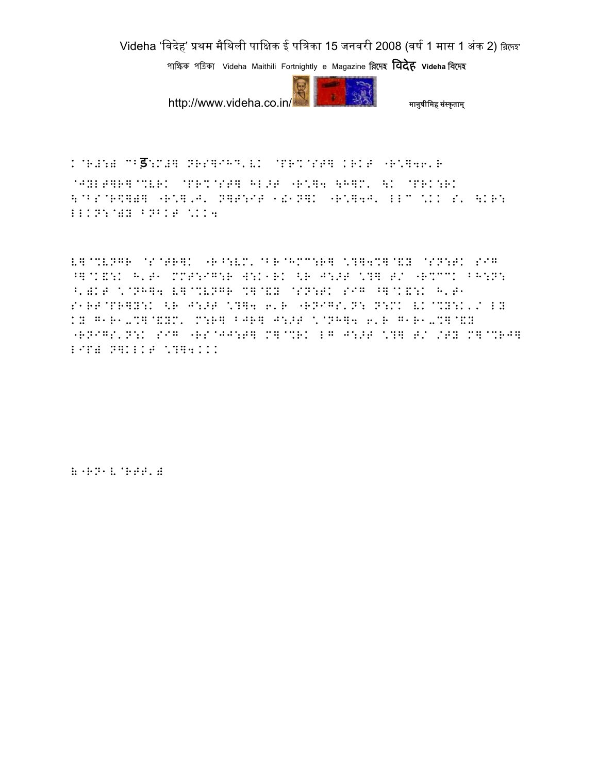পািkক পিtকা Videha Maithili Fortnightly e Magazine িরেদহ िवदेह **Videha** িবেদহ



K@R#: "FBS" NRSPHAN @R#%@STRP# IBD# "RS#ARIB @JYLT]R]@%VRK @PR%@ST] HL>T "R\*]4 \H]M' \K @PRK:RK  $\#$  "For the state of the state of the state of the state of the state of the state of the state of the state of the state of the state of the state of the state of the state of the state of the state of the state of the LLKN:@)Y BNBKT \*KK4

V]@%VNGR @S@TR]K "R^:VM'@BR@HMC:R] \*?]4%]@&Y @SN:TK SIG ^]@K&:K H'T1 MMT:IG:R W:K1RK <R J:>T \*?] T/ "R%CCK BH:N: ^')KT \*@NH]4 V]@%VNGR %]@&Y @SN:TK SIG ^]@K&:K H'T1 S1RT@PR]Y:K <R J:>T \*?]4 6'R "RNIGS'N: N:MK VK@%Y:K'/ LY KY G1R1-%INDERT, TYPE FAPE ANDER NIMER BIR GIRLINGTEN  $R$  . The significant resolution of the significant control  $R$  and  $R$  and  $R$  and  $R$  and  $R$  . The significant control  $R$ **LIPE SHILLS TEHLILL** 

 $R + P + R + P + P + P$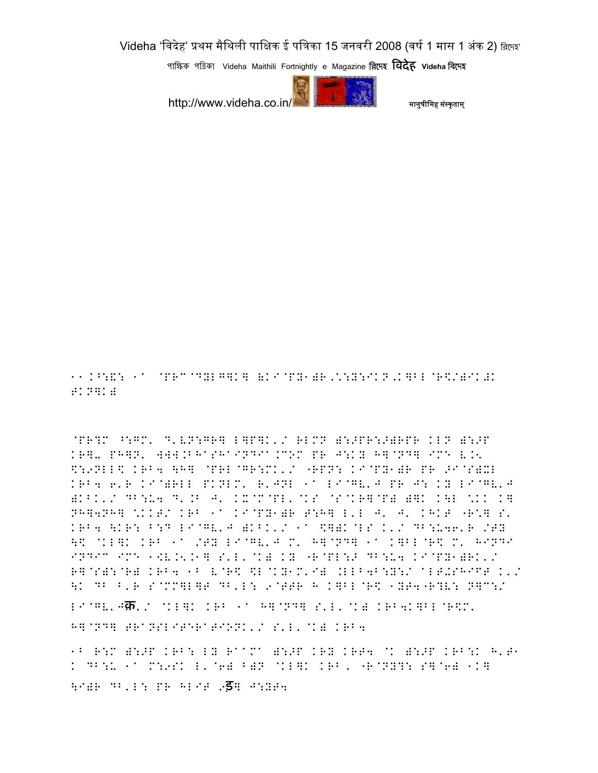HOBE TO DE TH'HIOF 255 SOLD

1B R:M ):>P KRB: LY RaaMa ):>P KRY KRT4 @K ):>P KRB:K H'T1 K DB:U 1a M:D:U 1a M:D:U 1a M:U 1a M:U 1a M:U 1a M:U 1a M:U 1a M:U 1a M:U 1a M:

HEMPPE HEMPIONEMENT SON SLITTERATION

LIGGBLIG<mark>G</mark>, 2001 BLO KRB 1a HIGVER 2001, MED 19141 BLO SHIW.

@PR?M ^:GM' D'VN:GR] L]P]K'/ RLMN ):>PR:>)RPR KLN ):>P KR]- PH]N' WWW.BHaSHaINDIa.COM PR J:KY H]@ND] IME V.5 \$:9NLL\$ KRB4 \H] @PRL@GR:MK'/ "RPN: KI@PY1)R PR >I@S)XL KRB4 6. RUPA 6'R KIMI RIJA NA LIMBA 1999 ANG KATIBALA  $\mathbb{R}$ ection de section  $\mathbb{R}^n$  . The construction of  $\mathbb{R}^n$  is the section of  $\mathbb{R}^n$  is the construction of  $\mathbb{R}^n$ NHANHA MILAN IBU 13 KUMIR BE BAHA 121 H. J. JELB 16MA 3. KRB4 ALBS PST EKTREVA BLEGVIN (TRADITERNISING)K KORE \\$ @KL]K KRB 1a /TY LI@GV'J M' H]@ND] 1a K]BL@R\$ M' HINDI INDIC IME 1[V.5.1] S'L'@K) KY "R@PL:> DB:U4 KI@PY1)RK'/ R]@S):@R) KRB4 1B V@R\$ \$L@KY1M'I) .LLB4B:Y:/ aLT+SHIFT K'/ \K DB B'R S@MM]L]T DB'L: 9@TTR H K]BL@R\$ 1YT4"R?V: N]C:/

 $11.71$  , then will approach  $R$  and  $R$  (then  $R$  is the  $R$  -respectively. The  $R$  is the  $R$  -respectively. In the  $R$ **FITH** 

http://www.videha.co.in/  $\frac{1}{2}$   $\frac{1}{2}$   $\frac{1}{2}$   $\frac{1}{2}$   $\frac{1}{2}$   $\frac{1}{2}$   $\frac{1}{2}$   $\frac{1}{2}$   $\frac{1}{2}$   $\frac{1}{2}$   $\frac{1}{2}$   $\frac{1}{2}$   $\frac{1}{2}$   $\frac{1}{2}$   $\frac{1}{2}$   $\frac{1}{2}$   $\frac{1}{2}$   $\frac{1}{2}$   $\frac{1}{2}$   $\frac{1$ 



পািkক পিtকা Videha Maithili Fortnightly e Magazine িরেদহ िवदेह **Videha** িবেদহ

Videha 'विदेह' प्रथम मैथिली पाक्षिक ई पत्रिका 15 जनवरी 2008 (वर्ष 1 मास 1 अंक 2) <sub>রিদেহ'</sub>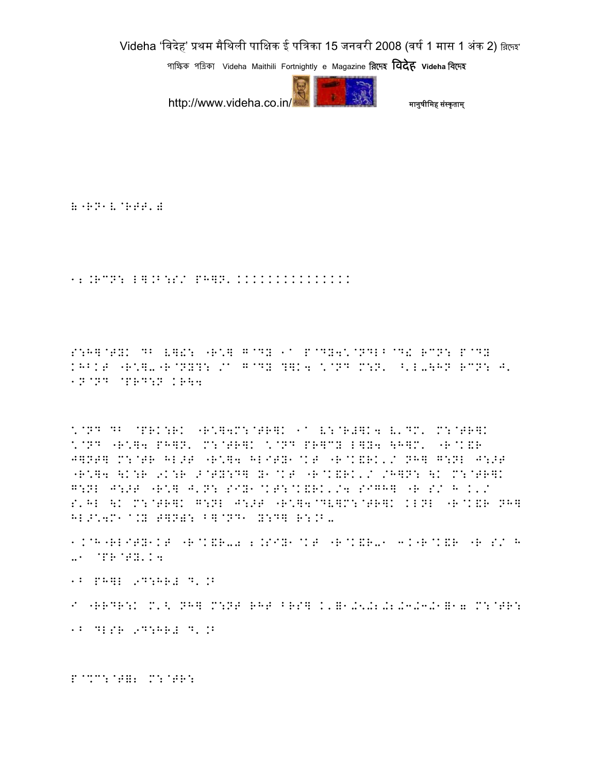পািkক পিtকা Videha Maithili Fortnightly e Magazine িরেদহ िवदेह **Videha** িবেদহ



 $R + P + R + P + P + P$ 

12.RCN: L].B:S/ PH]N'...............

S: "S:HI: "DAD" DE VERSION DAN DIE DYFSE DOOR DIE DIE DYN DIE DYN DIE DYN DIE DYN DIE DYN DIE DYN DIE DYN DIE KHBKT "RATH-"RONT "RONT "RONT RONT" RONT "RONT" RONT RONT "  $1.3$  The Property of Eq.

\*@ND DB @PRK:RK "R\*]4M:@TR]K 1a V:@R#]K4 V'DM' M:@TR]K  $N$  "PT -PNH4" PHHP. TO "PRH1" N "PR PRHT# 1984 ARHT. "A M' RR JANTAN INTAR HLAT SENNE HESAN NE SENING NELLY THN ANTHONY AN  $\mathcal{A}$  and  $\mathcal{A}$  is the proposition of the contribution of  $\mathcal{A}$  ,  $\mathcal{A}$  and  $\mathcal{A}$  are true of  $\mathcal{A}$ BYNL AYAR (RYN AYN) SYNCYNOLLYN SYMHU (RYS) H KY S'HL AI TR'HHE "PYR GYAR GHAR MARITY "PHEI III" (FR) GETER PHE HISTAT TIN BURGI FUTTI NITU BILI

1.@H"RLITY1KT "R@K&R-0 2.SIY1@KT "R@K&R-1 3."R@K&R "R S/ H -1 @PR@TY'K4 1B PH]L 9D:HR# D'.B I "RRDR:K M'< NH] M:NT RHT BRS] K'=1+5+2+2+3+3+1=17 M:@TR:

1B DLSR 9D:HR# D'.B

P@%C:@T=2 M:@TR: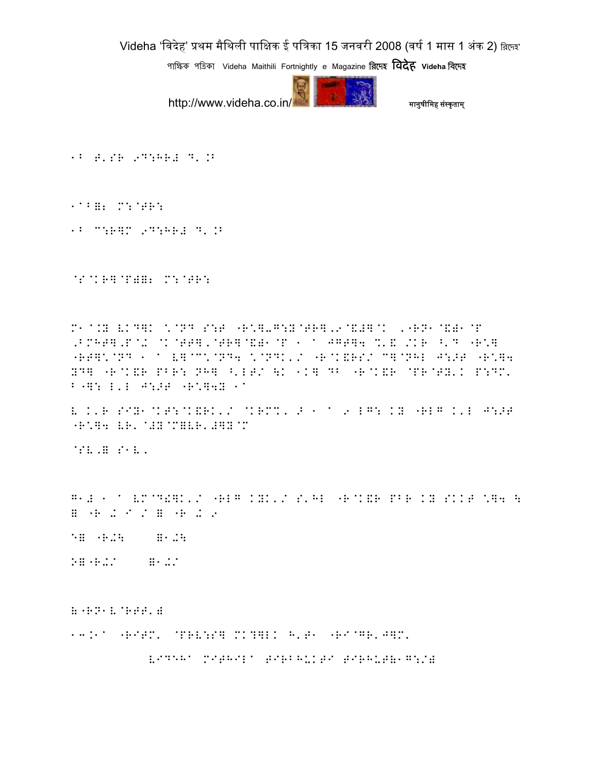পািkক পিtকা Videha Maithili Fortnightly e Magazine িরেদহ िवदेह **Videha** িবেদহ



1B T'SR 9D:HR# D'.B

1aB=2 M:@TR:

1B C:R]M 9D:HR# D'.B

@S@KR]@P)=2 M:@TR:

M1@.Y VKD]K \*@ND S:T "R\*]-G:Y@TR],9@&#]@K ,"RN1@&)1@P ,BOHT,PO 1 and  $\mathcal{L}$  are the control of  $\mathcal{L}$  and  $\mathcal{L}$   $\mathcal{L}$  ,  $\mathcal{L}$  and  $\mathcal{L}$  $R$  (RT)  $R$  is a vertex of the condition of  $R$  . The condition of  $R$  is a vertex  $R$  -and  $R$  is a vertex  $R$  -and  $R$ YD] "R@K&R PBR: NH] ^'LT/ \K 1K] DB "R@K&R @PR@TY'K P:DM' B": H: LI J: H: H: H: H: L'

R K.R STEP MARKING METHOD AND A 195 LE ARKE ALL AND "A VR' A VALLEY AND A VALLEY AND A VALLEY AND A VALLEY AND A VALLEY AND A VALLEY AND A VALLEY AND A VALLEY AND<br>YOU ALLEY A VALLEY AND A VALLEY AND A VALLEY AND A VALLEY AND A VALLEY AND A VALLEY AND A VALLEY AND A VALLEY

When  $\mathbb{R}^n$  is stated to set  $\mathbb{R}^n$ 

GP: BOXY ON BIZOTRACHED IN A VARE ROCKED IN STANDART PRODUCED IN THE SECOND PART AND RECORDED THAT A RECORD TO = "R + I / = "R + 9

NH (1921) (1942)

O="R+/ =1+/

("RNIV"), "RNIV"), "RNIV"), "RNIV"

13.1a "RITM' @PRV:S] MK?]LK H'T1 "RI@GR'J]M'

VIDEHa MITHILa TIRBHUKTI TIRHUT(1G:/)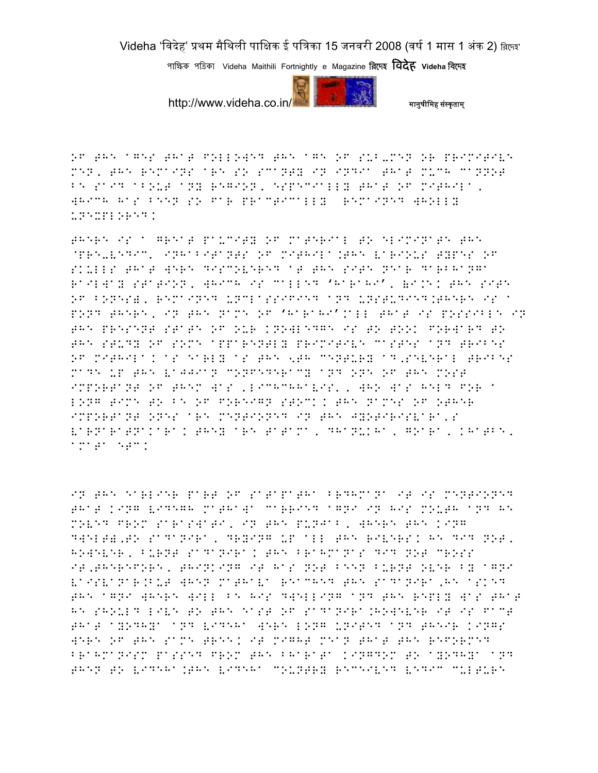পাক্ষিক পত্ৰিকা Videha Maithili Fortnightly e Magazine **রিদেহ যি** $\overline{c}$ **ি Videha বিদেহ** 



मानुषीमिह संस्कृताम्

어찌 공동의 기계의 관광의 공동의 지원을 대중하기 공동의 기계의 어찌 공업지입장에는 어떤 공동이다. 이용이다. THE BRAIN CHI SAIN CONSERVE CHANNEL TO THE MISSING PS POST TRIE THE ESTING SPESISTER AND DEPENDING death big food go the permeanilly eographs deplic **WENTERBOY** 

anded of there a primoral be madema about croppage and STERGERHUNG START FREUGEN DER MEHRER EINERER BEITRE DER KLIED BROG BEN MITHIGHT OF BROGHEN MODERN MERCH BOSERTE ZAMASSE, ARSTROSE SIELES VANDELASK, BSIEL ARSOCARS PROFESIVA ENTORPAS LEGAÇANDAS CERVIDAE DE PARA DE PARA VENCE FRAN ARNEN, KA ARN ANDN DE NRIEIGRYDII ARNA KE FREEKIIN KA ann pananga yanan pelolo (ghabhen ya ad addi edapata pela FRA PELTO DE PORTA TOMBADELO DESTABLE TIPOPI TOM FESTAP PROTEGENT CONCRETE ON HER AHE TRIBUET CRANKED BENCH rist op det plaatig springer op de prijstige producer KODDERDE DE ARNO BOD LEKTRINANERIC L'ARD AND RIMET PDE T EDPA ANTO AD PO DA ADADONAD EADTLI ARD PITOE DA DARDA KTP:BBTTB 1981 1981 THRK10919 KT BB1 AB16B1B1B1B1 1 anadnahad no benduasyo na sa kanangnyu dan dolenyu dan kulungan su

trien sen:

KS ARS STEEKSE EIEA DE EIATAFIART FESKEIST KA KE SPARADESE anta 1998 benyak prantah makenyologin ng Afrikian nggun DIENS PERD ESPECENTU VR. BRS BLIMS LARSES BRS LAP SANEWER POSSER LONGERS OF THE WAN BRENBED AN SPORT READED PIER POURPED ARD FEDERAL MONTHS AND CHAINER 공공 남편가 판가 지원만 있는 공판 공정이 정부 미국은 판지로 이용된 기자가 되는지 않은 결혼이 된다는 기지를 이루었다. <u> D'ANDRES DE HANDRES DE LOS DANS HANDRES DE SAN INFERE</u> ans tope anges and the nor mandern tom ans boodd atrianta <u> An gabhla bhiol an aan nigh bh' a' a' ann bhainbh na cèidh an a</u> anta topshoot too brown and coope borano too annou croop 클라운데 실력 클라이 공기정에 클문하게는 공문 정국마라운 정대기준 클라이폰 클라이 문화적실용정대적. FRONTSKIT POINT PRYORNS FRONTS CRIMPYT AN OBNER OUR arno an Esprintian Esprint Thioad Phoneiro Enger Tipedr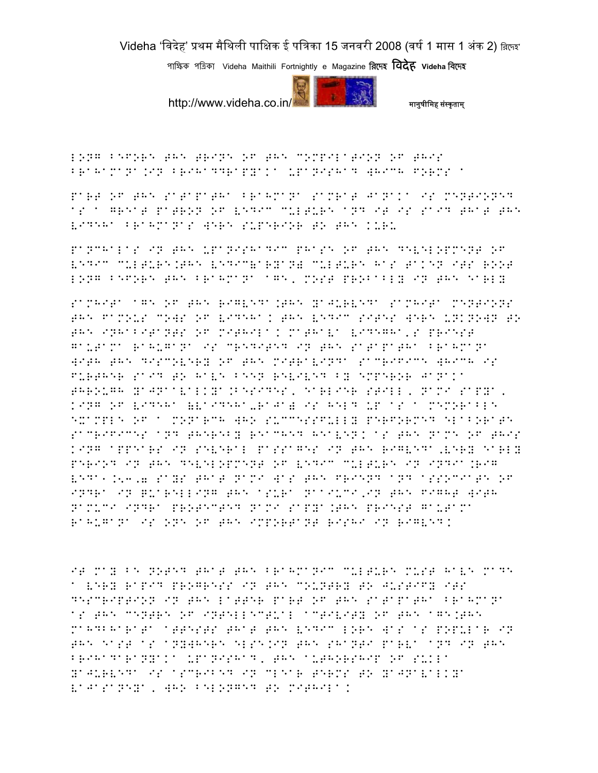IN THE BRAHMANIC CULTURE BRAHMANIC CULTURE MUST HAVE MANI a VERY RaPID PROGRESS IN THE COUNTRY TO JUSTIFY ITS DESCRIPTION IN THE LaTTER PaRT OF THE SaTaPaTHa BRaHMaNa aS THE CENTRE OF INTELLECTUaL aCTIVITY OF THE aGE.THE MAHDBHARATA ATTESTS THAT THAT THE VEDIC LORE WAS POPULAR IN THE VE THE EaST aS aNYWHERE ELSE.IN THE SHaNTI PaRVa aND IN THE BRIHaDaRaNYaKa UPaNISHaD, THE aUTHORSHIP OF SUKLa YaJURVEDa IS aSCRIBED IN CLEaR TERMS TO YaJNaVaLKYa VaJaSaNEYa, WHO BELONGED TO MITHILa.

SaMHITa aGE OF THE RIGVEDa.THE YaJURVEDa SaMHITa MENTIONS THE FaMOUS COWS OF VIDEHa. THE VEDIC SITES WERE UNKNOWN TO THE INHaBITaNTS OF MITHILa. MaTHaVa VIDEGHa'S PRIEST GaUTaMa RaHUGaNa IS CREDITED IN THE SaTaPaTHa BRaHMaNa WITH THE SUITE OF THE COTTON OF THE MITRAVINDA SACRIFICE WHICH IS A CONTINUOUS FURTHER SaID TO HaVE BEEN REVIVED BY EMPEROR JaNaKa THROUGH YaJNaaVaLKYa.BESIDES, EaRLIER STILL, NaMI SaPYa, KING OF LIMIT IS IS HELD UP AN AGE IN HELD UP AS A MEMORABLE EXaMPLE OF a MONaRCH WHO SUCCESSFULLY PERFORMED ELaBORaTE SaCRIFICES aND THEREBY REaCHED HEaVEN. aS THE NaME OF THIS KING APPEARS IN SEVERAL PASSAGES IN SEVERAL SEVERAL PASSAGES PERIOD IN THE DEVELOPMENT OF VEDIC CULTURE IN INDIa.RIG VEDa1.53,7 SaYS THaT NaMI WaS THE FRIEND aND aSSOCIaTE OF INDRa IN QUaRELLING THE aSURa NaaIUCI,IN THE FIGHT WITH NaMUCI INDRa PROTECTED NaMI SaPYa.THE PRIEST GaUTaMa RaHUGaNa IS ONE OF THE IMPORTaNT RISHI IN RIGVED.

PaNCHaLaS IN THE UPaNISHaDIC PHaSE OF THE DEVELOPMENT OF VEDIC CULTURE.THE VEDIC(aRYaN) CULTURE HaS TaKEN ITS ROOT LONG BEFORE THE BRaHMaNa aGE, MOST PROBaBLY IN THE EaRLY

PaRT OF THE SaTaPaTHa BRaHMaNa SaMRaT JaNaKa IS MENTIONED aS a GREaT PaTRON OF VEDIC CULTURE aND IT IS SaID THaT THE VIDEHa BRaHMaNaS WERE SUPERIOR TO THE KURU

LONG BEFORE THE TRINE OF THE COMPILaTION OF THIS BRaHaMaNa.IN BRIHaDDRaPYaKa UPaNISHaD WHICH FORMS a

http://www.videha.co.in/ मानुसीमिह संस्कृताम्



পািkক পিtকা Videha Maithili Fortnightly e Magazine িরেদহ िवदेह **Videha** িবেদহ

Videha 'विदेह' प्रथम मैथिली पाक्षिक ई पत्रिका 15 जनवरी 2008 (वर्ष 1 मास 1 अंक 2) <sub>রিদেহ'</sub>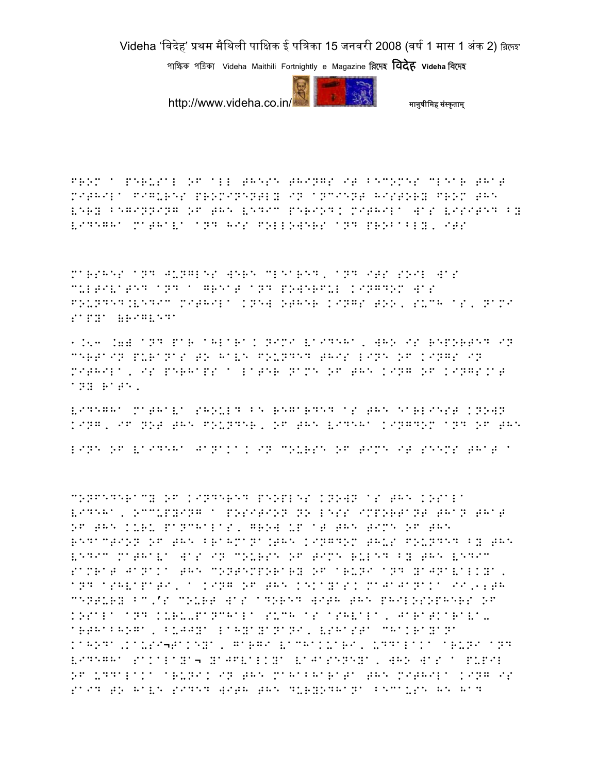부대부분 이거 어머니께요? 아무리 그 인구 여자들이 여기 부대 화장을 하고 있고 부대로 이어 있다. 유민이는 아이들이 들어 있다. ESTAS LORTIERRAR O PRESERVA PRE STEPHETRE BETROPOR an ann claic fromheire. Abaile ia ann ann ann ann 8191 18129 20 801 1811 1912 2011 202092 8022 8122 92209 1 8 801 ENRYT IN ERSEN AND YF MOLEDN OF BYIN ELENA FOR BRN ENRYT t por transportativo di copo del participato di controllato di consegue TREADED FORM CONDECTED CONFERT AMPROPERTIEMS SERIEMEN DR CHOOP THE CONSTRUCT COMPANY TO SHOOT AND BOARDERS. ngarispan, sosan ang pagkalang ng kalangan nang p <u> CORPORATION DE L'ASPARANTE L'ARCHE L'ASPARANTE DE L'ANNIBER DE L'ASPARANTE DE L'ASPARANTE DE L'ASPARANTE DE L'</u> ESTARD STITETERS BRANETEIGH ENANGING ARR AND TIESE SP 1991111 (B1931 SP ARS D'RIFRAN ARS DSARS) 1398-32 prost as angle prost angel and supgroup of the group and on

3 주문의 실력 127 주역의원의 3차 분이는이 13 주문 성실입원공의 실력 공주문의 구분 공의의문을 공원이 된다.

ESTABRI TIBRILI SADLET EN BARIBTAT IS BAN NIBESKE ITRET jepa, en pop pas nojprop, on pas person jepanoj romano pro d

KINA IWE TIPS ETE THETETI PATA ETASHTI. HHD AF ENEDERN AF 부가 동료의 관련이 없었는지 연기 없이 보장 이사의 지원 일본 정부가 모든 공원 관련이 있다. 이 회원 이 이 관련 문제 이 관련이 있다. 선생님께서 이 안 없이 보거든까? 보인 그 사용기술에는 경기선에 대한 영화에 있었으면 대한 강성경부인 선물. **TED BOBY:** 

정치 원공 원하고 이 경쟁 사람을 준비하는 사람들은 이 정치에 대한 동작을 받아 있다. 이 공원 사람들은 사람들은 TIERSPROTUS (PROFESSOR PRESENTE POPPORTER) <u> PROPRIESTAT PARAIS CONFORMACIÓN ARCHITECTURE</u> FIN BRIDGE

FRAD 'N FARIENE DE MEER BRAEA BRAFFE AB FANDIAE NEAN BRAFFE 정 리뷰 제품 지역 프로프업 B 가운 1 공 B 가장 기정 가장 표정 정보 1 시 정보 기정 기정 기정 리뷰 1 시 대 기정 이 1 시 대 대 가장 기정 시 공 제 기정 ENPO PNARODO DE PAN ENGRO PNPROVI CREARIO ELE ERERENT PO ESTARRY TEARING STRUCKE PRESENCES CONSTRUCTED SAN

http://www.videha.co.in/



मानुषीमिह संस्कृताम्

পাক্ষিক পত্ৰিকা Videha Maithili Fortnightly e Magazine **রিদেহ যি** $\overline{a}$ **ন্ট Videha বিদেহ**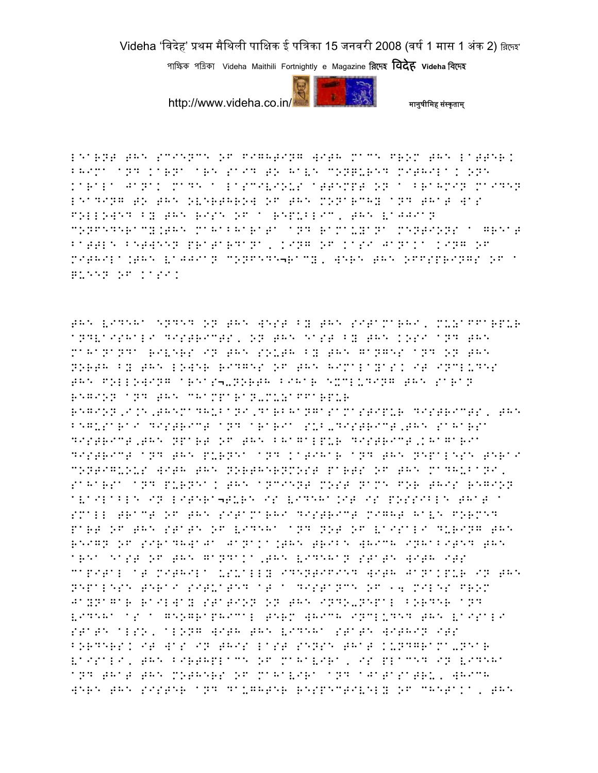MAHANDA RIVERS IN THE SOUTH BY THE SOUTH BY THE SOUTH BY THE SOUTH BY THE SOUTH BY THE SOUTH BY THE GANGES AND NORTH BY THE LOWER RIDGES OF THE HIMaLaYaS. IT INCLUDES THE FOLLOWING aREaS**¬**-NORTH BIHaR EXCLUDING THE SaRaN REGION aND THE CHaMPaRaN-MUZaFFaRPUR REGION,I.E,THEMaDHUBaNI,DaRBHaNGaSaMaSTIPUR DISTRICTS, THE BEGUSARAI DISTRICT AND ARABIT SUB-DISTRICT AND SUB-DISTRICT DISTRICT,THE NPaRT OF THE BHaGaLPUR DISTRICT,KHaGaRIa DISTRICT AND THE PURNEAU STRICT AND THE NEPALES TERAILS TO AND THE NEPALES OF MOSPARTS WITH THE NORTHERN MOST PARTS OF THE MADE MADE MADE MADE. SaHaRSa aND PURNEa. THE aNCIENT MOST NaME FOR THIS REGION aVaILaBLE IN LITERa**¬**TURE IS VIDEHa.IT IS POSSIBLE THaT a SMALL TRACTED OF THE SITE OF THE SITABLE DISTRICT MIGHT HAVE FORMED PaRT OF THE STaTE OF VIDEHa aND NOT OF VaISaLI DURING THE REIGN OF SIRaDHWaJa JaNaKa.THE TRIBE WHICH INHaBITED THE aREa EaST OF THE GaNDaKa,THE VIDEHaN STaTE WITH ITS CaPITaL aT MITHILa USUaLLY IDENTIFIED WITH JaNaKPUR IN THE NEPaLESE TERaI SITUaTED aT a DISTaNCE OF 14 MILES FROM JaYNaGaR RaILWaY STaTION ON THE INDO-NEPaL BORDER aND VIDEHa aS a GEOGRaPHICaL TERM WHICH INCLUDED THE VaISaLI STATE ALSO, aLONG WITH THE VIDEHA STATE WITH THE VIDEHA STATE WITH THE VIDEHA BORDERS. IT WAS IN THIS LAST SENSE THAT KUNDERS IN THIS LAST SENSE THAT KUNNE VaISaLI, THE BIRTHPLaCE OF MaHaVIRa, IS PLaCED IN VIDEHa aND THaT THE MOTHERS OF MaHaVIRa aND aJaTaSaTRU, WHICH WERE THE SISTEM AND DAUGHTER RESPECTIVELY OF CHETAK, THE SISTEM  $\mathcal{S}$ 

THE VIDEHa ENDED ON THE WEST BY THE SITaMaRHI, MUZaFFaRPUR aNDVaISHaLI DISTRICTS, ON THE EaST BY THE KOSI aND THE

BUSHER OF KASI

LEaRNT THE SCIENCE OF FIGHTING WITH MaCE FROM THE LaTTER. BHAMA AND CONDUCTS ARE SAID TO HAVE CONDUCTS ON THE KaRala Janang Kabupatèn Janak Made atau di Janang Mande LEaDING TO THE OVERTHROW OF THE MONaRCHY aND THaT WaS FOLLOWED BY THE RISE OF A REPUBLIC, THE VALUATION CONFEDERaCY.THE MaHaBHaRaTa aND RaMaUYaNa MENTIONS a GREaT BaTTLE BETWEEN PRaTaRDaNa, KING OF KaSI JaNaKa KING OF MITHILa.THE VaJJIaN CONFEDE**¬**RaCY, WERE THE OFFSPRINGS OF a

http://www.videha.co.in/ मानुसीमिह संस्कृताम्



পািkক পিtকা Videha Maithili Fortnightly e Magazine িরেদহ िवदेह **Videha** িবেদহ

Videha 'विदेह' प्रथम मैथिली पाक्षिक ई पत्रिका 15 जनवरी 2008 (वर्ष 1 मास 1 अंक 2) <sub>রিদেহ'</sub>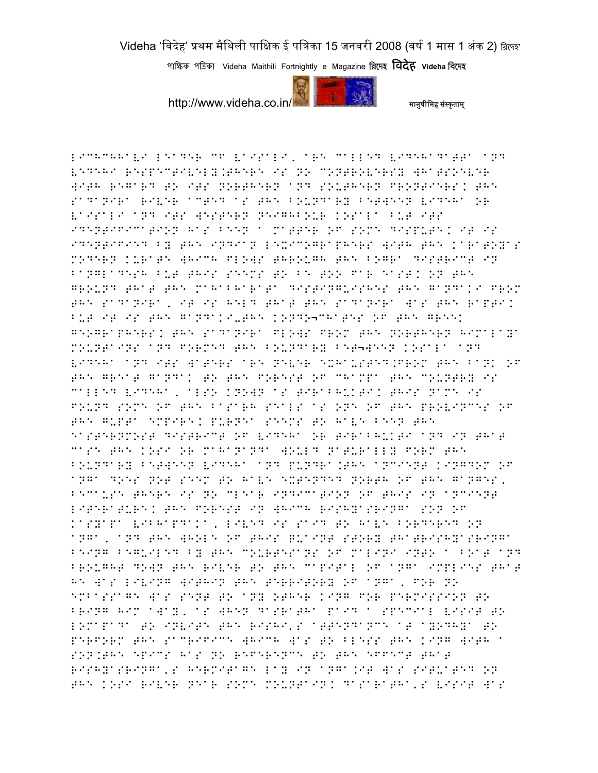ESTATARING ENTRA TRONGSES, TENOTEENT ESTATOR BELOTEEN IS ESTAR PRINTEREIGHSPROFIE IN THERESEI APOINSER dram enorsk av raf sveamnes (st.anderses sevsarnef) amn first babil babib ("Tent") for employed by the special bather (pb ESPILER TO SHE HARRARD OSPAR DER CONTES PER PAR KANGERANG ERDO ANG ANGKALON EENE DA GODIN ARGEDEN DAE KE strikasist (1946) situs i kontaktatak gsa akt (1952). TVTHO CLOSE ARTH TEND PROVING ART CONDITIONS TO POPRESTRIA PARTYPROSTANCE AND PORTYPROVINCING APSIRT ARTA ARS TERTIFIAT TERAPAISENEN ARS ATRICE PRST aks prononen var he koronara aks prononen arp aks erpan: tie se spoed en provied correspondence en languardo ASSAM PRSMIT ARS MITTING AND AND ARS ASSAMLING AND MIN 선생심경공지 공경관 이 경쟁 (평산용선거역) 공원가 "지장심경쟁지용점" 지하공원공개가경 (신상공지회의) 이경쟁 ESTART TOT SAM ATASAM TAS OSESA SORTIGISTIKAT ARS PTO DE ans desia diguit an ans dhesa ne meight ans mhigaed (r 부지 민준이가 있는 거야 한다. 이 지민은 아니고 한 동안 이 공이 공원들이 지하셨는 공원이 있는 공원 관심이 없어서 있는 PROPRIEDING DRIJEAN FORDA INGILIGO DE DEN DA PADLICENTI DR any minas yonday: piagys pyyop ay njiy (yyo any <u>Videorid skopera yn broer yn presental for for pe per</u> <u> "TER BRITGE DI PIPITI BILI PILIPI BILI PRETTIRI</u> FDIPPIED FARANS LATHE CPIED CRIP CAPS CAR COPTAIN COPPO 지경부지 경찰가로 경찰로 공개하면 공장 유지없게 가정공개경장가장 경찰관공원 실력 공원가 부지 경부가로 있 PATIGOS BRABA SE TES TEATROSTO PARA DE BRAE STO PTOSTB ESPARTALENI ARN MIRISI SI ARSTR ESPAILERSIMI PIR IS ISBN PROBATES IN LOCAL ABOVE AN ENGINEER CONFIDENT DE the control and control and an one capacitation of the section 지원하십프라운 경화역회 공개가 관광합가와 공화 공개가 성장했던데요. 하지 않고 있으면 영향한 공개한 공개로 공 STETENTES ATE ESTA AR TOG RASSA LYDE PRA ESADYDENDAR AR PROPRIACO CADOLICO ARNO PODRIARO BOSTA CIDENTO E ESPORTAR EDITETT BD KREKAN ARN BKRAKE TAANPTOMM TA TODPAOT AD [PABP]BB1 BRA 2171BPPP111 BRPTR BIZ BD FEAZE BRA (1708 BPB) ftslakt troch kof 31 kontetro at akt onnom akte BAPAD PEARTLY ANDRATHY BIB AR TRANSPORT PARTHYR DR ann coan anbha dhia aonn coldarno c'hiarantan La bhana ara

http://www.videha.co.in/



मानुषीमिह संस्कृताम्

পাক্ষিক পত্ৰিকা Videha Maithili Fortnightly e Magazine **রিদেহ যি** $\overline{c}$ **ি Videha বিদেহ**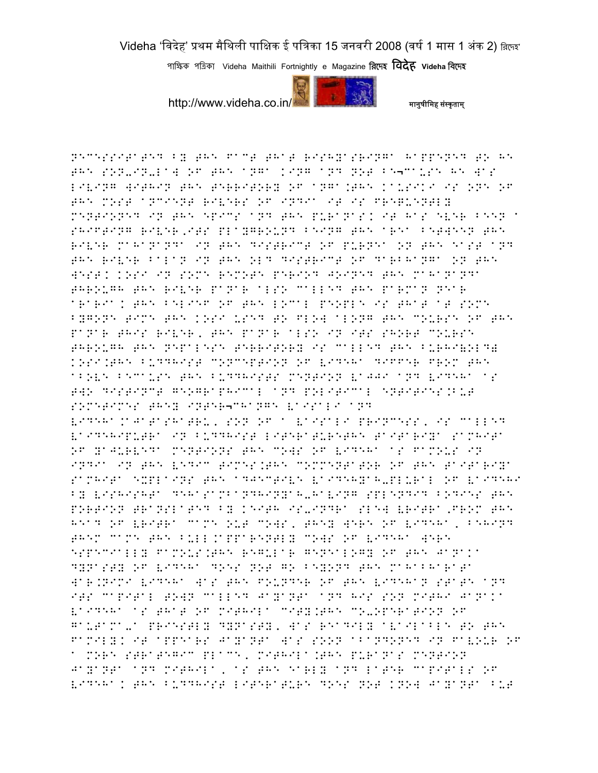ans popularia or ans spot capo spotpe csandus ns and filme grave antarkatar be ten dan copochic no ben be FRA COSE LOUISAGE BSEARS OU SOUS SE SE SEARCAGEER THERMAN AT BAN NEATH TON BAN BLETONIC AB ANY NENE PHNT T frontesin beliefsen in dibertion (see and case (see and parti BALGE ING PUPAL AP BAG AARBEAR DE PLEPG DR BAG GUB NIB D ann acana filip co ann na Sealacha ne Siathe de Salan angal (1959) ng ginang pangan gnangn apigna apin (noo ginang andstan ans between the clips "lise" ans there there teterni aksorskih proaksolpril psplisoficanja ta pops FORDER ANTS ARS CONTINUES HIDE TIDER ARS TOWARD OF ARS POP B BRYZ BYLYB, BRY POP B 1126 712 782 2826 PROBEN andozen ann dheiloch andersche schwilling ann (zehrechte <u> 19971855 FLYNGYA MORMSBADA DE BANSEL NAMMOG MBOM BES</u> 1938-9371285 ARS PIRRYER TSTARDT ELAR 195 EKSSA (18 age producera prepadronira con persarria reargento dal from exchange range spended before the control of the Ekster paraneeringen, era den hervere een van de meest ES KAPARTELBRO (KP) PLIPPARTE EXPRAN BLEGBAR (BOKBOBKIE) ESTRAFE o prawa ny podobo any nafivo konan-na provinsi spast sp een brast esthelden thirnpelene pr een elserespl POTHER STORY HAS CHANGED ECONOMICATED DE ECONOMIC ti berengan sebelu pisanganalan pemuruh terpang tersel pa FDBANDA ABITAILIANA FO CNNAR NELVOART ELNA EBNARI UPBDD ARN an's 25 meter of 25 216 ores. Bang ener 25 metat. Pranso any mpy any till corresponded by Leman anny <u> 1999 - 1999 - 1999 - 1999 - 1999 - 1999 - 1999 - 1999 - 1999 - 1999 - 1999 - 1999 - 1999 - 1999 - 1999 - 199</u> 경영문이공공영 실력 임료정식원의 경찰적인 문질공 표질 지수영질문장 공원적 경기원이지 되어왔어요? an bandar a chiada an caballana ann an caoinn an chiadair an chiad AR TRAFINAR TILAR ANDRA (DRAFING DAN MAR) ESTATAT SI PASA DA TRAPAIS MREGIAN MDLDENASIADE DA POLECON CONSTRUESTIRO FREE AND ENTRE ENTRE PORT PROPERTY PO DYE BID YA SOPERNOAD YA BOBA YA YI YOKUBA SOPERNE YA FURU POLINIA CUP ' THR PARTAGET BITT, TAAGG DAG BIRTE TYPIGG AND DEN SORT CREATES LOCK EAS STEED SORT ESPAEL MODRETER OF 일로부터에서 2008년 이 일부터에서 관련 이 관련이 없는 것을 하는 부분이 없다. 이 그 것이 없이 보니 그 일이 되었다.

http://www.videha.co.in/



मानुषीमिह संस्कृताम्

পাক্ষিক পত্ৰিকা Videha Maithili Fortnightly e Magazine **রিদেহ যি** $\overline{c}$ **ি Videha বিদেহ** 

girigene ein de eaighichte eare angaergangar arggingig al ai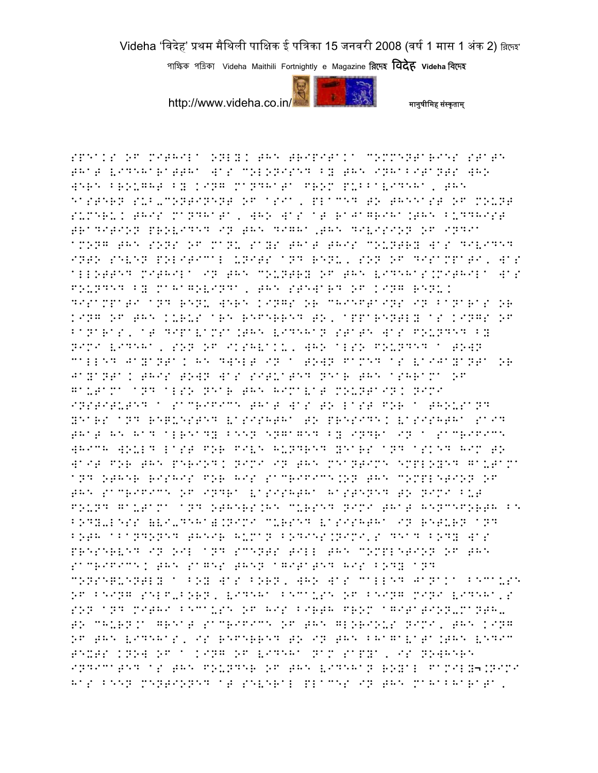SPEaKS OF MITHILa ONLY. THE TRIPITaKa COMMENTaRIES STaTE THAT PARALLEL THAT THAT IN THAT IN THE INTERNATION WERE BROWNED BY KING MANDHATA FROM PUBBAYIDEHA, THE EaSTERN SUB-CONTINENT OF aSIa, PLaCED TO THEEaST OF MOUNT SUMERU. THIS MATHIN BA, WHO WAS AT RAJAGRIHAN THIS MANDATURE BUDDHIST TRADITION PROVIDED IN THE DIGHAL SERVICES OF INDIAN aMONG THE SONS OF MaNU SaYS THaT THIS COUNTRY WaS DIVIDED INTO SEVEN POLITICaL UNITS aND RENU, SON OF DISaMPaTI, WaS aLLOTTED MITHILa IN THE COUNTRY OF THE VIDEHaS.MITHILa WaS FOUNDED BY MaHaGOVINDa, THE STEWaRD OF KING RENU. DISaMPaTI aND RENU WERE KINGS OR CHIEFTaINS IN BaNaRaS OR KING OF THE KURUS aRE REFERRED TO, aPPaRENTLY aS KINGS OF Banaras, at the proposition of the videoscopy of the Videoscopy and the State Was founded by  $\pi$ NIMI VIDEHa, SON OF IKSHVaKU, WHO aLSO FOUNDED a TOWN CaLLED JaYaNTa. HE DWELT IN a TOWN FaMED aS VaIJaYaNTa OR JaYaNTa. THIS TOWN WaS SITUaTED NEaR THE aSHRaMa OF GAUTAMA AND ALSO NEAR THE HIMAGE OF DESIGN AND A INSTITUTED A SACRIFICE THAT WAS TO LAST FOR A SACRIFICE THAT WAS TO LAST FOR A THOUSAND A THOUSAND A THOUSAND YEARS AND REQUESTED VANDARI VAN BREEKSTED VAN DIE SAID THAT HE HAD ALREADY BY INDIANALLY AND INDEPENDENT AND INDEPENDENT AND INDEPENDENT AND INDEPENDENT AND INDEPENDENT WHICH WOULD LAST FOR FIVE HUNDRED WOULD YEAR SERVE HIM WO WIT FOR THE PERIOD. NIMI THE MEANTIME SINCE AN OUT aND OTHER RISHIS FOR HIS SaCRIFICE.ON THE COMPLETION OF THE SaCRIFICE OF INDRa VaSISHTHa HaSTENED TO NIMI BUT FOUND GAUTAMA AND OPHORICHS AUDESS NIMI THAT HE ESTATOGRAPH BE BODY-LESS (VI-DEHA).NIMI CURSED VASISHTIMI CURSED VASISHTIMI CURS BOTH ABANDONED THEIR HUMAN BODY BODY WAS ARRESTED. PRESERVED IN OIL aND SCENTS TILL THE COMPLETION OF THE SaCRIFICE. THE SaGES THEN aGITaTED HIS BODY aND CONSEQUENTLY a BOY WaS BORN, WHO WaS CaLLED JaNaKa BECaUSE OF BEING SELF-BORN, VIDEHa BECaUSE OF BEING MINI VIDEHa'S SON AND MITHI BECAUSE OF HIS BIRTH FROM AGITAL BECAUSE TO CHURN.a GREaT SaCRIFICE OF THE GLORIOUS NIMI, THE KING OF THE EXTENSION OF THE BHAGGES, IS REFERRED TO INTENSION THE VEHICLE TO INTENSION TEXTS KNOW OF a KING OF VIDEHa NaM SaPYa, IS NOWHERE INDICaTED aS THE FOUNDER OF THE VIDEHaN ROYaL FaMILY**¬**.NIMI HaS BEEN MENTIONED aT SEVERaL PLaCES IN THE MaHaBHaRaTa,

http://www.videha.co.in/ स्कॉट स्क्री मानुषीमिह संस्कृताम्



পািkক পিtকা Videha Maithili Fortnightly e Magazine িরেদহ िवदेह **Videha** িবেদহ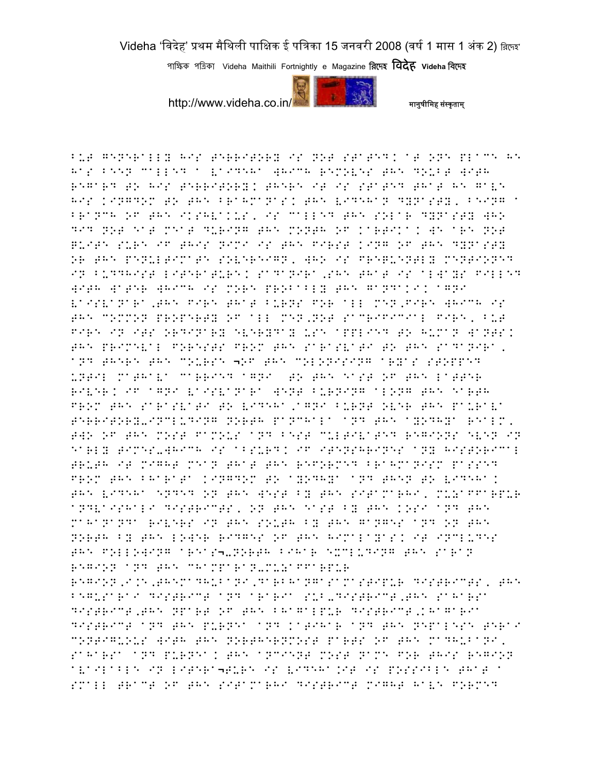THE VIDEHa ENDED ON THE WEST BY THE SITaMaRHI, MUZaFFaRPUR aNDVaISHaLI DISTRICTS, ON THE EaST BY THE KOSI aND THE MAHANDA RIVERS IN THE SOUTH BY THE SOUTH BY THE SOUTH BY THE SOUTH BY THE SOUTH BY THE SOUTH BY THE GANGES AND NORTH BY THE LOWER RIDGES OF THE HIMaLaYaS. IT INCLUDES THE FOLLOWING aREaS**¬**-NORTH BIHaR EXCLUDING THE SaRaN REGION AND THE CHAMPARAN-MUZAFFARPURE REGION,I.E,THEMaDHUBaNI,DaRBHaNGaSaMaSTIPUR DISTRICTS, THE BEGUSARAI DISTRICT ARABIT DISTRICT AND ARABITE SERVICI RARIA DISTRICT,THE NPaRT OF THE BHaGaLPUR DISTRICT,KHaGaRIa DISTRICT aND THE PURNEa aND KaTIHaR aND THE NEPaLESE TERaI CONTIGUOUS WITH THE NORTHERNMOST PaRTS OF THE MaDHUBaNI, SAHARSA AND PURDEA DARSA DISSERT MOST NAME FOR THIS REGION REGION aVaILaBLE IN LITERa**¬**TURE IS VIDEHa.IT IS POSSIBLE THaT a SMALL TRACT OF THE SITAMAPHY OF THE SITAR WILL ALL STORIES

BUT GENERALLY HIS TERRITORY IS NOT STATED. AT ONE PLACE HEATHER IS Has BEEN CALLED A VAIDEHA WHICH REMOVES THE DOUBT WITH REMOVES THE DOUBT WITH WITH WITH WITH WITH WITH WITH WI REGaRD TO HIS TERRITORY. THERE IT IS STaTED THaT HE GaVE HIS KINGDOM TO THE BRaHMaNaS. THE VIDEHaN DYNaSTY, BEING a BRANCH OF THE IKSHIVAKUS, IS CALLED THE SOLAR DYNASTY WHO SOLAR DID NOT EaT MEaT DURING THE MONTH OF KaRTIKa. WE aRE NOT BUSEN PUBN ST ERST NIMI IS ERN TSBPE IS THE DT ERN THIS PER OR THE PENULTIMaTE SOVEREIGN, WHO IS FREQUENTLY MENTIONED IN BUDDHIST LITERaTURE. SaDaNIRa,SHE THaT IS aLWaYS FILLED WITH WITH WATER IS MORE PROBABLY THE GANDARD PRODUCT THE G VaISVaNaRa,THE FIRE THaT BURNS FOR aLL MEN,FIRE WHICH IS THE COMMON PROPERTY OF aLL MEN,NOT SaCRIFICIaL FIRE, BUT FIRE IN ITS ORDINaRY EVERYDaY USE aPPLIED TO HUMaN WaNTS. THE PRIMEVaL FORESTS FROM THE SaRaSVaTI TO THE SaDaNIRa, aND THERE THE COURSE **¬**OF THE COLONISING aRYaS STOPPED UNTIL MaTHaVa CaRRIED aGNI TO THE EaST OF THE LaTTER RIVER. IF aGNI VaISVaNaRa WENT BURNING aLONG THE EaRTH FROM THE SaRaSVaTI TO VIDEHa,aGNI BURNT OVER THE PaURaVa TERRITORY-INCLUDING NORTH PaNCHaLa aND THE aYODHYa REaLM, TWO OF THE MOST FaMOUS aND BEST CULTIVaTED REGIONS EVEN IN EaRLY TIMES-WHICH IS aBSURD. IF ITENSHRINES aNY HISTORICaL TRUTH IT MIGHT MEaN THaT THE REFORMED BRaHMaNISM PaSSED FROM THE BHaRaTa KINGDOM TO aYODHYa aND THEN TO VIDEHa.

http://www.videha.co.in/ स्कॉट स्क्री मानुषीमिह संस्कृताम्



পািkক পিtকা Videha Maithili Fortnightly e Magazine িরেদহ िवदेह **Videha** িবেদহ

Videha 'विदेह' प्रथम मैथिली पाक्षिक ई पत्रिका 15 जनवरी 2008 (वर्ष 1 मास 1 अंक 2) <sub>রিদেহ'</sub>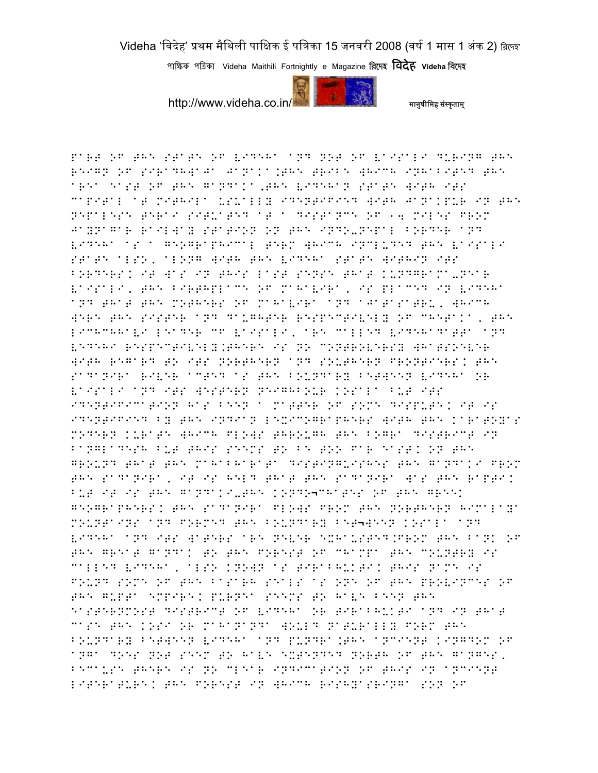Plea trades paras tracement the dia trace plants mighterage pragg og papignær af girligen gpack geage agencapro ger 1951 STEB DR AAS ALBATIC WAAS EXASANT EALAS ARAA YAE <u> "Trati ta zyakot wozild konganeno anek Atgiloa yo ak</u> PHOINEN BRACK ERADORET OF TORRETTY OF AN IRINE FAST AN BON AN ENGINE SENSONO DO SAN SONDICIO DO POEMAS NOM Estral of Compartments from Gason sportscare and Elsis ffler (Bf). MEDPA Ande aer bronel følgr anders nåf <u> 1989-101 102 410 102 4610 1103 1103 1030 4614 1039 6016 1030 6</u> ESPECIFIC PROTECTIONS OF TEMPERATURE TO THE CREATED 199 anje ang spanga po singan iso ianang papal angg grer ann angara (gg grennede engrygglede galled grennede en Estatanics Entre thiesenes, the treestance and stream ENTHAN BNSTNYBALNE I MANDA AS IN THUBBH ARAB ARTHUNALNE ange popipa an nan pregeopp ipa prigeopp perpendent geo POSTERBO BRENB CORNS OP BRACENDES ENBRAND ERSAN DR ESPECIFICATION PER ANERNAD DIVIDA DEL CORSIS PER PAR anngaanan payd kof Chng o goddan yn fydn haffwent af ff anygarnan (g.gm) agnacy pyranygyoman geleges (cpcgyr) TVSHOS COPYRS ARPSA SEVAN ARRIVA ARA PIROS SVIARSKE VI POPULORING PART PRINT BY PROPINSING RIPLEY BY APSIRA APSA APS TSPSIPINA ASSASANTIANS APS ASASSIST ans prorpher, ha he note and any prorpher are ans preac: file of of environments, chemical production environments ANDARITANESI PAN SITIPIRAN PEDAS PROV PAN POEPANER AKUTETRI TROPENSIE I PROGRESSO GENORALISTE PORTENDE I RENT EN IPP 1. 이미지하지 시작 연기 때문은 1973년 동작을 지나가자 결정함으로 10월까지 있은 공장적 전문들을 전 19차가 되지 않는 10일 10 ans messa miduri ad ans udesaa du chiqari ans qoldaed (a TT EE 5 POLENTS POLICIE ED ON PDARK COE CAPAROL PANNEN DE POLICIE COE COE COE COE COE COE EN DISCUSSION OF THE PROPRIEDING DRIJEAN FORDA INGILIGA DEN DRIJEAN PADARONIKIGR any Alban yopkay: Blacky Syyop ar now (yyo any <u>STIPHPTHIP REIBENTE DR LERSEN DE BEBTEHLIGE TOR ER BETB</u> <u> "Tirk inn (dir de T'e'r P'r Adie P'eletie Poer aen</u> FINDERS BO (FINBENSE) DARRAS (SORR) EDERBS CHAN (SORRSPE) CAPPRINS (INF '98' 96'E 968 2552 86 6'ES SIAS9959 9668 69 865 879852. 지수 있지 않은 아이를 때문에서 이어 있었다. 정신 아이는 이 이렇게 이렇게 공원했던 것 같은 공원 이런 것 같은 것 같은 것 같은데요. frenkreden: eknorgence (de germe erzegrzechem (zog om

http://www.videha.co.in/



मानुषीमिह संस्कृताम्

পাক্ষিক পত্ৰিকা Videha Maithili Fortnightly e Magazine **রিদেহ যি** $\overline{c}$ **ি Videha বিদেহ**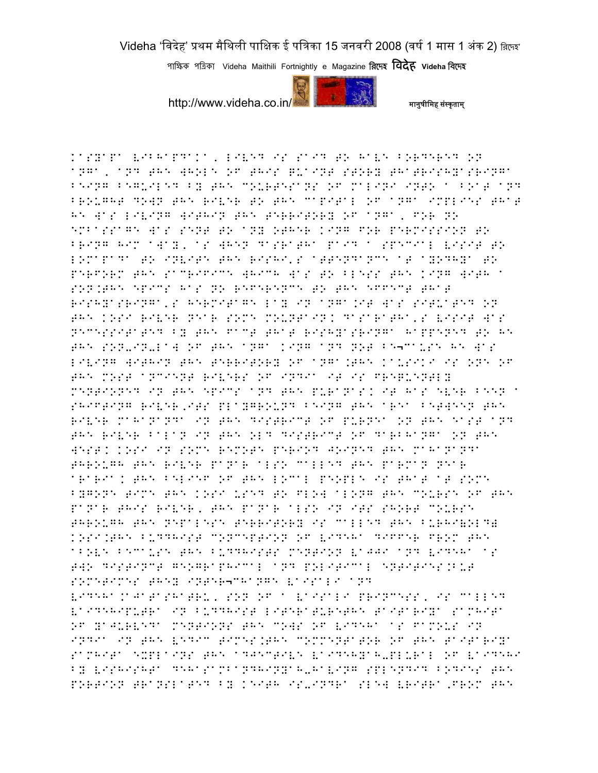<u> Chedron Barboroum (1985) and an American Composition Composition Composition Composition Composition Composit</u> 1981. 199 ARN ANII 199 ARN BILINGA KANA ARTAHINGAN SANG PSZPA PSALZESA PO PAS MILERIKO DI IPA IMEZIK ZDP. MODIA MORA FRALAGE MARK BARY BARYE BAY MINAMI DA TOAM YOTEYAY BATB RN ANY ESLOPE ASPROX ARN ANDROPPE DR NYHN, PDD 20 nch senan ang ghoa an nog namha leoa ana ghacearen an PROPROACT CHOIL OF HASP POPPERT BOOK OF FRONT E ESPER RR 3 대한 BT 또는 공대 구경합국공개 '공개가' 원국공개국, 공' '기공공개정보' 정부가 '기공' ' 정대가 또한 ' 공개' ryprypr any proporchy geometry and the any popp goant filman yake biyu da ya kunguniya kata unung kuth BREAD EBROARD ANDERS BY BIN 20 MOAD IN ER ENDING DO akh coan bhline dhib aonth doldachd c'hai ar brann e linane ar a discretes to the estimate este especteurs statistical et si ann adducduair a de ann ideol crom ideoldha ann ban an aig filme grave and program be sensor construction beson FRA COSE LETYARE BYLARI OF SERVI SE SE FRABLARELE <u> 25982959 29 855 59298 199 855 91619181 28 518 518 5156 155</u> PROTECTS ECLORATE TECHNOLIS COOR ENOUGHOUS CHARGES END BALAB ING PILANG ANG BAGBANG ANG ILBAN ANG BAG-ANG NING 공부의 동료입의동 여기초기준 고증 공부의 실종적 경고공공동구역공 실력 경기동에부기준면이 실증 공부의 diddi (S) (a chistian birigi theor alchist dei the prest ampoint any prive from the stilly dive any fresholdship TETERT I BAN FNERNE DE BAN EDTTE BNDBEN KE BATB TØ BDDY FORDER ARTS ARS COARS WISH AD PEDA CEDER ARS TOWARD OF ARS PORTE ARMIT EMEMEL ARM PORTE OFICE MR MAR IMPEATORLEIM andonan any dyprison ayderaded of miliya any fideradelag <u> 1997-1985 - Elssandi Stissueller (Stiller Bassar Stissueller Bas</u> ''Ales Provincia des Pichheridis Coldinal Industrial (Provincia In adr skierts sregelternik it trikernik referere die formandof abos noamberged prints (195 ESTAR CARENTELL CREAT ENCITES PROTHECYTERS ESPORATINARS POR PICORANNA EPHRANARSA ASPERTO ASTRANO sh dialeth cheange ann cheile ann na hiche an spash sp een brash espnelden hoppnbeldee op een elsebser POTHER STORY HAS CHANGES ESTABLAGEDED PRODUCTION fi fyrafangaet afan flot atakter eletryta for fatast fytyng ek PDBAGD ABLIKELAND FO CNGA VELKIDA (ALNA 1874) JUDIC ARN

http://www.videha.co.in/



मानुषीमिह संस्कृताम्

পাক্ষিক পত্ৰিকা Videha Maithili Fortnightly e Magazine **রিদেহ যি** $\overline{a}$ **ন্ট Videha বিদেহ**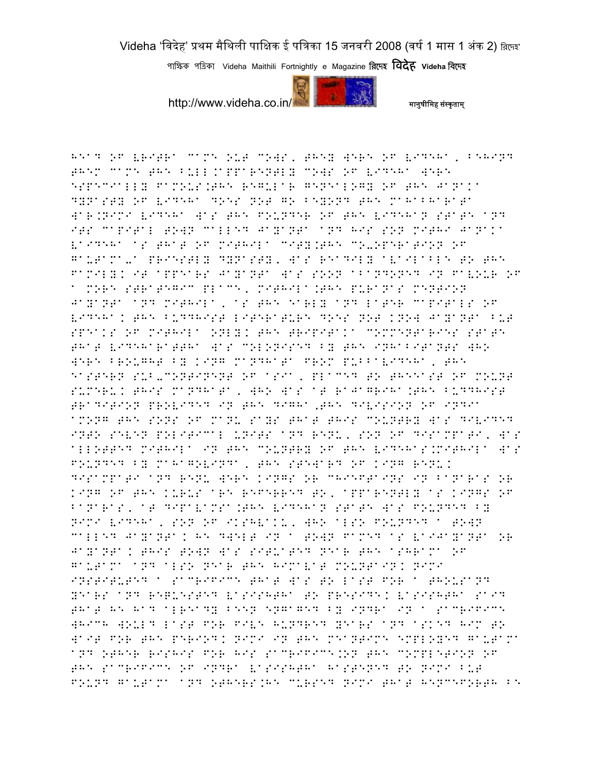HEAD OF VRITER CONSTITUTION COMPANY WERE OUT CONTINUES. BEHIND THEM CaME THE BULL.aPPaRENTLY COWS OF VIDEHa WERE ESPECIaLLY FaMOUS.THE REGULaR GENEaLOGY OF THE JaNaKa DYNaSTY OF VIDEHa DOES NOT GO BEYOND THE MaHaBHaRaTa WAR.NIMI VIDEHA WAS THE FOUNDER OF THE STATE OF THE VIDEHAN STATE AND INCOME. ITS CAPITAL TOWN CALLED JAYANTA AND HIS SON MITHI JAYANTA AND S VaIDEHa aS THaT OF MITHILa CITY.THE CO-OPERaTION OF GAUTAMA PRIESTLY DYNASTY, WAS READILY AND ALL TRANSPORTS FaMILY. IT aPPEaRS JaYaNTa WaS SOON aBaNDONED IN FaVOUR OF a MORE STRaTEGIC PLaCE, MITHILa.THE PURaNaS MENTION JaYaNTa aND MITHILa, aS THE EaRLY aND LaTER CaPITaLS OF VIDEHa. THE BUDDHIST LITERaTURE DOES NOT KNOW JaYaNTa BUT SPEaKS OF MITHILa ONLY. THE TRIPITaKa COMMENTaRIES STaTE THAT PARAMENT RATT AND ARREST BY THE INTERNATIONAL STATES WHO INTO A RATT WERE BROUGHT BY KING MaNDHaTa FROM PUBBaVIDEHa, THE EaSTERN SUB-CONTINENT OF aSIa, PLaCED TO THEEaST OF MOUNT SUMERU. THIS MaNDHaTa, WHO WaS aT RaJaGRIHa.THE BUDDHIST TRADITION PROVIDED IN THE DIGHAL SERVICE DIGHAM CONTROL aMONG THE SONS OF MaNU SaYS THaT THIS COUNTRY WaS DIVIDED INTO SEVEN POLITICaL UNITS aND RENU, SON OF DISaMPaTI, WaS allohnt report of position in position resolution in the  $\mathbb{R}^n$ FOUNDED BY MaHaGOVINDa, THE STEWaRD OF KING RENU. DISaMPaTI aND RENU WERE KINGS OR CHIEFTaINS IN BaNaRaS OR KING OF THE KURUS aRE REFERRED TO, aPPaRENTLY aS KINGS OF BANARAS, AT DIPAKAMSA.THE VIDEHAN STATE WAS FOUNDED BY AN INTERFERT BY STATE WAS FOUNDED BY AN INTERFERT BY ST NIMI VIDEHa, SON OF IKSHVaKU, WHO aLSO FOUNDED a TOWN CaLLED JaYaNTa. HE DWELT IN a TOWN FaMED aS VaIJaYaNTa OR JaYaNTa. THIS TOWN WaS SITUaTED NEaR THE aSHRaMa OF GAUTAMA AND ALSO NEAR THE HIMAGE AND ALSO NEAR THE WAT AND ALSO NEAR INSTITUTED a SaCRIFICE THaT WaS TO LaST FOR a THOUSaND BY BE 'YEA'BYELYEAR' EN PARAGUE PRESIDENT EN PRESIDENT EN CA THAT HE HAD ALREADY BY INDIANALLY BY INDIANALLY INDEPENDENT AND INDEPENDENT AND INDEPENDENT AND INDEPENDENT A WHICH WOULD LIST FOR FIVE HUNDRED IN ESSES AND CONSTRUCT Wait for the theory nimit of the meantime employee and mean aND OTHER RISHIS FOR HIS SaCRIFICE.ON THE COMPLETION OF THE SaCRIFICE OF INDRa VaSISHTHa HaSTENED TO NIMI BUT FOUND GAUTAMA AND OTHERS.HE CURSED IN INITIAL HEATHERS.HE CURSED IN

http://www.videha.co.in/ स्कॉट स्क्री मानुषीमिह संस्कृताम्



পািkক পিtকা Videha Maithili Fortnightly e Magazine িরেদহ िवदेह **Videha** িবেদহ

Videha 'विदेह' प्रथम मैथिली पाक्षिक ई पत्रिका 15 जनवरी 2008 (वर्ष 1 मास 1 अंक 2) <sub>রিদেহ'</sub>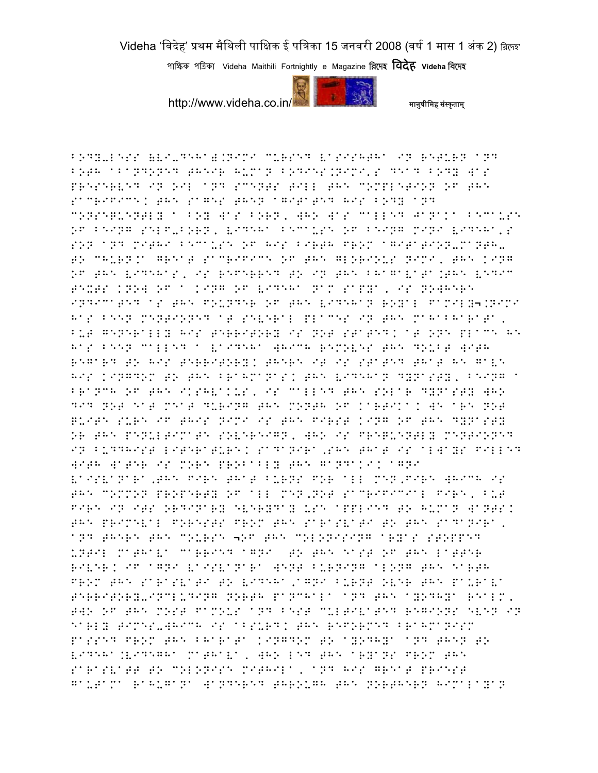<u> 1998.: Sir Berland (Bryt Mersh Britished (B. Byder 199</u> figh tripsis phore bilide considering socialist and ERSESPENT PROGRESS ETSPECOREES PROSPERDENTAL DE PRO propertors: pas prasp pasp racproser acp (pop rpg TOGENELSGALE TO FOR AND FORG. ARD AND THEN THEN ANGELES FOUNDATION de forze polegied. Loson formulo de forze podo loson. E rda nas preso (portiro de sprisages egdo necementacionas. at medagon ganna annavernn to aen gaatagtarour gymn, aen pygg de ann branns. Po Bhengena ad ra ann chraobhan bhnn bhar andar (204 25 % Logg 25 Lognar 2020) (2021) and graphen spason end is ean onlighte no ean bsgnath end is the Ballist R'E FNY TYBRYSTY 'B'DIDER BILTY YN AB'T BYFFYRIE eng food willow i brawer geare eordbog geo worfg gage 동작문지동생 공장 유민은 공작용동안공장동점 안 공유작동작 안공 안공 공공지공장책 공유지공 유학 문제 요구 RSP 1978952 BS BRS FRONZIEI BRS ESPSROZ MOROPOL FSM28 O FROMM SP BAS SIPARILY, SP TTERS BAS PRITE MORTER ANS ara die hie chie albrem emp cipem in Cibenii Leb ien die BLARY PLES AT BRAK BADA AN BARA TARRE LADA DA BAS MODULEO DE GES PSPLEESTRES PDESSENTED, ESD SPORTEDED DI PSPLATE KS (1996K) PRAPADENT D'ANSARA APART DE BERGENA gram grana (n. 23an 930) niga amb Argyricz rago ESPECTIVES WHO PRESSURES PORTED PRESSURE TRANSPARENT REPORT PD FRA TROOPS PRRENHED DE TIE ONSVORF ENTRAPATATE PARN, FLF PREN RD RED DEFROMED NENEDPOD CEN METERNE ED ACCMO EMPERI ann bheitheil a fhenaac fead ann aileileac an an ann ann air thea. 199 BRNEN BRN MOLECH AND BRN MOLOGRAPH 19813 CEDIDN9 1989 TABLE THROW ORD AN ARCHIMAGN BOARD 동구요가용 안 구분 그 프문관이요? 공업 1 분드용의 국가문관이 있습을 분석했다. 그 민준은 무대 공원가 가지 않습니 anderanded.ryng.chryp.gneem.gnghmgo.cgn.amn.cd/hpgb.gngc age en ams cera nocelr opp (sea milager)asp aspreser sisp gr MBIB BYDYLARYTH YE TEELBTI BRY BYDBDYT FBTRDTDYED ETERNA ARDI BAN ANTETET CARARDI BROTHER TORA BAN BANG BR ESTAR HETABA TIBRIT, BAYEAT BAY IBT TE TEXT BAY flelfinge ar thirthy thems with my moderna tenne #'1#'T' B'A1#'T' d'TTGEST BABS1#6 B65 TSBBASBT 6/T'E'T'T

http://www.videha.co.in/



मानुषीमिह संस्कृताम्

পাক্ষিক পত্ৰিকা Videha Maithili Fortnightly e Magazine **রিদেহ यिदेह Videha বিদেহ**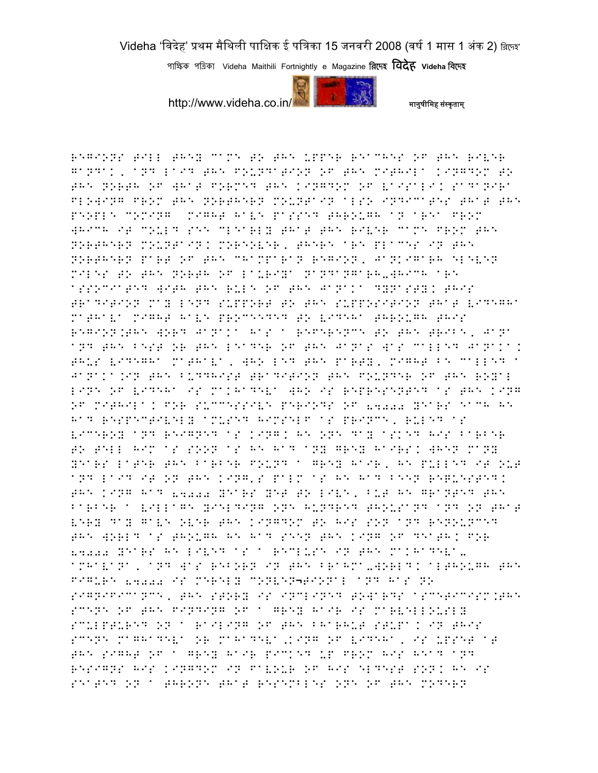BYAKING ANII AANG MITY AN AAN 1887A BY'MANG IN AAN BYLYB ROBRO (ST) POR ARS REGROSSED ARS DOARD COURTS AN aks diaak in genachiadhi aks cydenic in brychol condynas <u>MINAMENT AR BIARNA DISAMIN'NI NASHUNAN AR'A AR'</u> PARTIA TRIVER (PORG) ROLA PORTAR BRESLRA OP OBAC PERI germe va molbs post mbstall aeta aes avbsa mics faor aes SDEEPHD CDLOEDDO CDENNENE. FRNEN OEN BEOCHE MO FRN PREPRIER POER DR BAN MACTECEOR ENANDR, ACRIVACEA NENENR rin in Art Break of Pland Copport Augusta 195 'SIDMA'SAN APAR BRN BIEN DR BRN ANRICH NARRIER BRPS artharte close currer at any currycate and bynnet riani rama pilingaran alipopa japlam dor BARANG MPA SENGANGAN DI PANG-ALANG MANGHANG PERANG SALAM nda Amerikaa de Amerikaane de Amerikaansk militêr Andrini anis bronge prancil and project preactional or milence angniniste aan kistaasja abhastasis aan pilipane ist aan bidil ESPA DE LSTART SE TILATIAL ARD SE BATBAEATHAT TE BAN LSTA of cheaning the socialistic presons of waves doned to the as ROS BANKARALANI OTLEAS RATEANS ON THATOAL BLIAS ON ESTABLE THA BASEDAR TE LENER AN 1976 MIN TELAR ASE RIBRAR ar angg muning (sist) ng mulang apang munggunang pung Brier crane amb creche gough r geng mine. An gucche na oua 199 ELA9 YA SP AAN CYPALY BLET LY AN ALS FNND ANALYZANGI ann cham not walls dicar dia al from the night material ann 지수는 다른 것이 없어요요? 프랑스 표어가요 무서분프 이분문가 아직없은 모든가 공원하였습니다. 또는 기분 또 이분문 공원이 공 ENPORTUGENTEN DENBIJANN (KOANDOLIK) AN DIE KOORTENOORDEN ans abbening anglen ns nin gssp ans pape of nsiang for EARLE BYTHE AN EVENT TEST PATELEN AT PAN TILATTNET. ndenbron virole and arkivad you aer fan educada es no aarbier aer programment (order programment roughouse order programment and POSTS OF HAS POTECTE OF TURBING ANCHOR COMMONDENTS folloglash bo arkayn shaharang fall fall (29 ghkr forth classics of classics came by family ( Crist of any prona de l'ordre n're provincia de reducció ny cura BREATER PAR CARTERY AR TIERLE DE PAR RETRE EDRO PROVE 공개기공개가 대한 기기 공개용대한지 공개기공 중개공개한다. 대한 대한지 대한 공개기공개가 한다면서요?

http://www.videha.co.in/



मानुषीमिह संस्कृताम्

পাক্ষিক পত্ৰিকা Videha Maithili Fortnightly e Magazine **রিদেহ যি** $\overline{c}$ **ি Videha বিদেহ**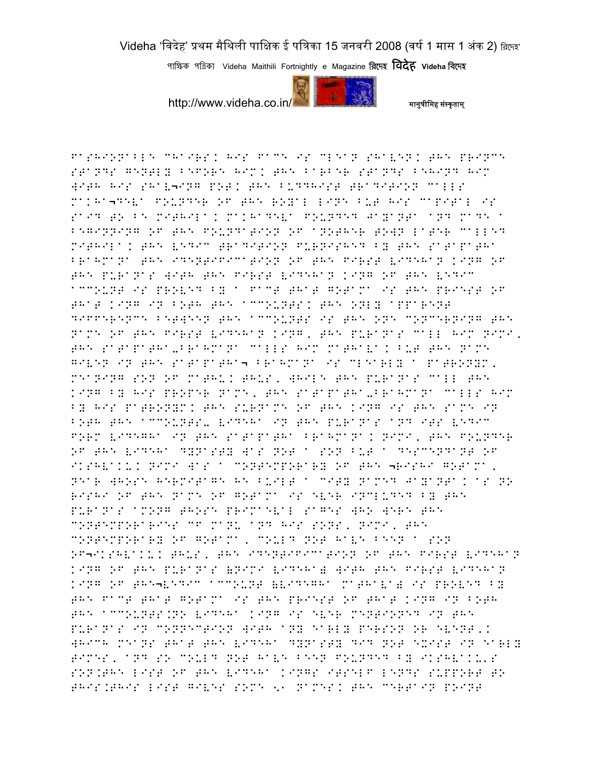Fashionable chairs. His factor of the principal shall shall shall shall SPORTLY BERNING BEFORE HIM. THE BARBER STANDS BEHIND BEHIND BEHIND BEHIND HIM. THE BARBER STANDS BEHIND HIM DU WITH HIS SHIVA-CHE BUDDHIST TURN BUDDHIST TRADITION CALLS MaKHa**¬**DEVa FOUNDER OF THE ROYaL LINE BUT HIS CaPITaL IS Said To Be Mithila. Makhadeva Founded Jayanta Founded Jayanta and Ma BEGINNING OF THE FOUNDATION OF ANOTHER TOWN ISSUED AND CALLED MITHILa. THE VEDIC TRaDITION FURNISHED BY THE SaTaPaTHa BRAHMAN BRAHMANA THE IDENTIFICATION OF THE INTERFERING OF THE IDENTIFICATION OF THE THE SERVICE OF THE SERVICE THE PURST IS GRIEVEN FRIRST LATER IS SAT DE THE LETTER aCCOUNT IS PROVED BY A FACT THAT GOTAMA IS PROVED BY A FACT THAT GOTAMA IS THE PRINT OF A FACT THAT GOTAMA IS THAT KING IN BOTH THE COUNTS. THE ONLY AT LANGUARD DIFFERENCE BETWEEN THE aCCOUNTS IS THE ONE CONCERNING THE NaME OF THE FIRST VIDEHaN KING, THE PURaNaS CaLL HIM NIMI, THE SaTaPaTHa-BRaHMaNa CaLLS HIM MaTHaVa. BUT THE NaME GIVEN IN THE SaTaPaTHa**¬** BRaHMaNa IS CLEaRLY a PaTRONYM, MEaNING SON OF MaTHU. THUS, WHILE THE PURaNaS CaLL THE KING BY HIS PROPER NaME, THE SaTaPaTHa-BRaHMaNa CaLLS HIM BY HIS PaTRONYM. THE SURNaME OF THE KING IS THE SaME IN BOTH THE ACCOUNTS- VIDEHA IN THE PURANAS AND INFORM FORM VIDEGHa IN THE SaTaPaTHa BRaHMaNa. NIMI, THE FOUNDER OF THE VIDEHa DYNaSTY WaS NOT a SON BUT a DESCENDaNT OF IKSHVaKU. NIMI WaS a CONTEMPORaRY OF THE **¬**RISHI GOTaMa, NEaR WHOSE HERMITaGE HE BUILT a CITY NaMED JaYaNTa. aS NO RISHI OF THE NaME OF GOTaMa IS EVER INCLUDED BY THE PURaNaS aMONG THOSE PRIMaEVaL SaGES WHO WERE THE CONTEMPORaRIES CF MaNU aND HIS SONS, NIMI, THE CONTEMPORaRY OF GOTaMa, COULD NOT HaVE BEEN a SON OF**¬**IKSHVaKU. THUS, THE IDENTIFICaTION OF THE FIRST VIDEHaN KING OF THE PURaNaS (NIMI VIDEHa) WITH THE FIRST VIDEHaN KING OF THE SALE ACCOUNT (VIDEGHA MATHAVA) IS PROVED BY A MATHAVA BY BY THE FaCT THaT GOTaMa IS THE PRIEST OF THaT KING IN BOTH THE aCCOUNTS.NO VIDEHa KING IS EVER MENTIONED IN THE PURaNaS IN CONNECTION WITH aNY EaRLY PERSON OR EVENT,. WHICH MEANS THAT THAT THE VIDENCE DID NOT THE VIOLATIES IN EARLY TIMES, aND SO COULD NOT HaVE BEEN FOUNDED BY IKSHVaKU'S SON.THE LIST OF THE VIDEHa KINGS ITSELF LENDS SUPPORT TO THIS.THIS LIST GIVES SOME 51 NaMES. THE CERTaIN POINT

http://www.videha.co.in/ स्कॉट स्क्री मानुषीमिह संस्कृताम्



পািkক পিtকা Videha Maithili Fortnightly e Magazine িরেদহ िवदेह **Videha** িবেদহ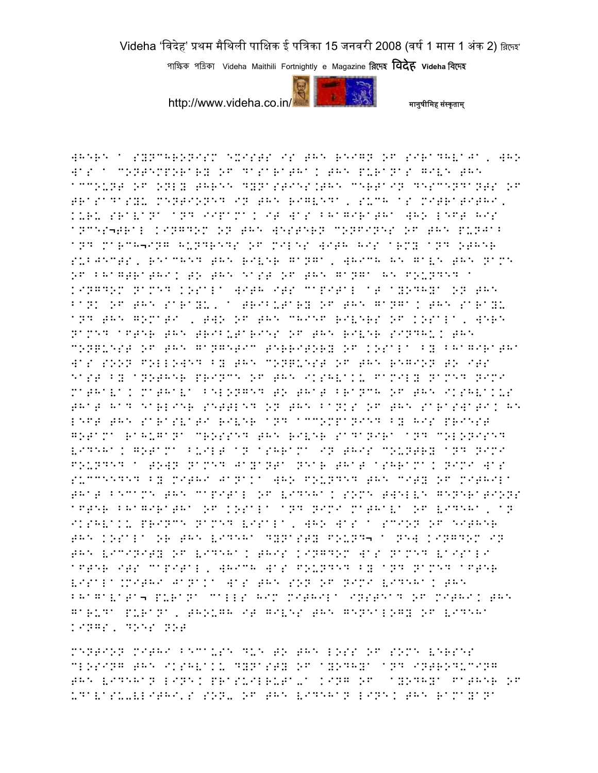MENTION MITHI BECaUSE DUE TO THE LOSS OF SOME VERSES CLOSING THE IKSHVAKU DYNASTY OF ASTYCHOLOGING THE INTERNASTY OF A THE VIDEHaN LINE. PRaSUILRUTa-a KING OF aYODHYa FaTHER OF UDAVAS SULITE KARAL SONDA SONI ARAM TEKDAPAT DO EKDA LO ARAM EK DA BADA

## KINGS, DOES NOT

WHERE A SYNCHRONISM EXISTS IS THE REIGN OF SYNCHRONIC AND ALL AND LOCAL UNIT WaS a CONTEMPORaRY OF DaSaRaTHa. THE PURaNaS GIVE THE aCCOUNT OF ONLY THREE DYNaSTIES.THE CERTaIN DESCENDaNTS OF TRaSaDaSYU MENTIONED IN THE RIGVEDa, SUCH aS MITRaTITHI, KURU SRAWANA AND IIPAMA. IT WAS BEEN BHAGIRATHA WHO LEFT HIS SAME WHO LEFT aNCES**¬**TRaL KINGDOM ON THE WESTERN CONFINES OF THE PUNJaB aND MaRCH**¬**ING HUNDREDS OF MILES WITH HIS aRMY aND OTHER SUBJECTS, REaCHED THE RIVER GaNGa, WHICH HE GaVE THE NaME OF BHaGTRaTHI. TO THE EaST OF THE GaNGa HE FOUNDED a KINGDOM NaMED KOSaLa WITH ITS CaPITaL aT aYODHYa ON THE BaNK OF THE SaRaYU, a TRIBUTaRY OF THE GaNGa. THE SaRaYU aND THE GOMaTI , TWO OF THE CHIEF RIVERS OF KOSaLa, WERE NaMED aFTER THE TRIBUTaRIES OF THE RIVER SINDHU. THE CONQUEST OF THE GaNGETIC TERRITORY OF KOSaLa BY BHaGIRaTHa WaS SOON FOLLOWED BY THE CONQUEST OF THE REGION TO ITS EaST BY aNOTHER PRINCE OF THE IKSHVaKU FaMILY NaMED NIMI Mathava. Mathava. Mathava. Mathava Belongen to that iko that iko THaT HaD EaRLIER SETTLED ON THE BaNKS OF THE SaRaSWaTI. HE LAFF FAN SVENSKIEN BYKAB VON MOODDONAT FOAR DE DAT OEPNIE BERTA RAHUGAN TEERS PAN PALE RAHUGAN AND COLONISED BUILT AN ASHRAMA BUILT AND AN ASHRAMA IN THIS COUNTRY AND NIMITAL AND NIMITAL AND NIMITAL AND NIMITAL AND NIMI FOUNDED a TOWN NaMED JaYaNTa NEaR THaT aSHRaMa. NIMI WaS SUCCEEDED BY MITHIGAN WHO FOUNDED BY CHANNEL THAT BECAME THE CAPITAL OF SOME TWELVE GENERATIONS IN THE SOME TWELFA. aFTER BHaGIRaTHa OF KOSaLa aND NIMI MaTHaVa OF VIDEHa, aN IKSHVaKU PRINCE NaMED VISaLa, WHO WaS a SCION OF EITHER THE KOSaLa OR THE VIDEHa DYNaSTY FOUND**¬** a NEW KINGDOM IN THE VICINITY OF VIDEHa. THIS KINGDOM WaS NaMED VaISaLI aFTER ITS CaPITaL, WHICH WaS FOUNDED BY aND NaMED aFTER VISaLa.MITHI JaNaKa WaS THE SON OF NIMI VIDEHa. THE BHaGaVaTa**¬** PURaNa CaLLS HIM MITHILa INSTEaD OF MITHI. THE GaRUPA PURANG IT GENEAL IT GIVES THE GENERAL OF VIDEHAL

http://www.videha.co.in/ स्कॉल कर अपने मानुषीमिह संस्कृताम्



পািkক পিtকা Videha Maithili Fortnightly e Magazine িরেদহ िवदेह **Videha** িবেদহ

Videha 'विदेह' प्रथम मैथिली पाक्षिक ई पत्रिका 15 जनवरी 2008 (वर्ष 1 मास 1 अंक 2) <sub>রিদেহ'</sub>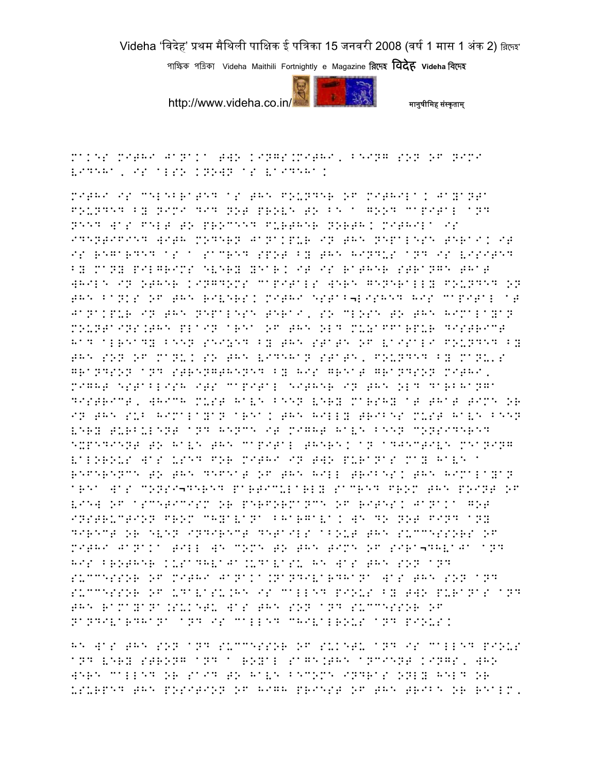Videha 'विदेह' प्रथम मैथिली पाक्षिक ई पत्रिका 15 जनवरी 2008 (वर्ष 1 मास 1 अंक 2) <sub>बि़प्घ</sub>

পাক্ষিক পত্ৰিকা Videha Maithili Fortnightly e Magazine **রিদেহ যি** $\overline{c}$ **ন্তি Videha বিদেহ** 



मानुषीमिह संस्कृताम्

Tile Tek Artil HA Letterree, Este Cor of Boy BOTH WAS THE CHAIN TO BOTH O

presenter marked engine te test groupgage de presentit en progen FRANCH FE ROOM TOT TRE PEREN ER FAUL TREPT TIPOPIE LIPT PVYD ANY PYLA AR PERTYYD PLEARYE PREABL PYARYLN YR 공격하면공공학자까지 2월공중원 (전화적하문문) 공지연기소 전입증 2주문 공원하는 연하면지 30%가 공개중지 수 있으로 spiedwiedzo na nie miest arbeitz em Aspola not spiedarzen FO DIPO PREPRIDE SESPO OSTAVA LA PLANAS PIPSA PARIPRSARIA ded 5 (2) Speck (2009-201 Tipscit) dibi Aran Alia (2019-2015) ann fogle of ann aglimac caphy neacted new corporation AND CELESTE ARE DISTINCT AND TO CONSTRUCT AN APPROXIMATE TVLTAT CTE LAAR (TET CTE TOER) VAN OART VER TILLE TREES TREES TOER TOERSTE TOERSTE TREES TOERSTE TREES TOERSTE POSTIBYTE PYS CYCLYS PE PRY CROPY DE LOCURO POLESS PE any pod of their polar any letters parameter form for their HETTING TIT PRESTREESING OR EST HESTE HETTING TSPES ring ypters of "forf your company of the state of SKIERTE. ARKTA TIJE ATEN FNNS ENES ITEIRE TE ARTE AKIN DE KS ARS ELF RKTTISIS SIRS I ARS RKIIN ARKSKE TIER RSIS KSS ENDO BLOGIO SOL TOM ANOMN VA MAMA ATEN PNIN MISCHINAN SIPSPOSE AS ROLS ARS TOPSED ARSES ON CHASTACLS IS PORT ETERPRIE ATE LETT TRE TRE TERRE EAR BAR PIRTR'E TOB POET T BARABADAN BASARANAN YANG BASAR BERJARI BASAR YANG BIDA 'BY' A'S TDDEANGGAIRT D'BASTLE BEZ S'TBYS FBDD AGY DDSDA DE ESSE DE CENSERNADO DE PAPOEMORNA DE BRESO ACROCO POE KREADLINGS MARK MARKET FANAMENT AN SY SYA PKRM NSE 부르터가 보면 아버지가 회사를 사용하고 해가 보면 부대로 보면 그 사람들이 이 사람이 되었다. 그 그 사람들은 아버지 skemmundste ekkel av stort et empleksnik presidenter som ROD PENARD COMPARED MODULER AND AND ARRESTS flowered an repart from predimental and aby far 197 FLOOMFINE NO LOCALIZATE SE OCEENO PRINCIPE PEN PLECIO COM and bidio professions, and and about the assumed become proprediction of the second proprediction of the product

PS ANY APS AND NORTHALMAN NE ANN AN INDIA COMMANDER POSSIBLE TOR EARD PRESPECTRY CARDIO PTRYCRH COPTINGE CARRY AR diei Therit de plat do plat finds agter des piet die LELBENT BAN EDENBNYT DE ANAA EBNIER DE BAN BBNIN DB BNIET.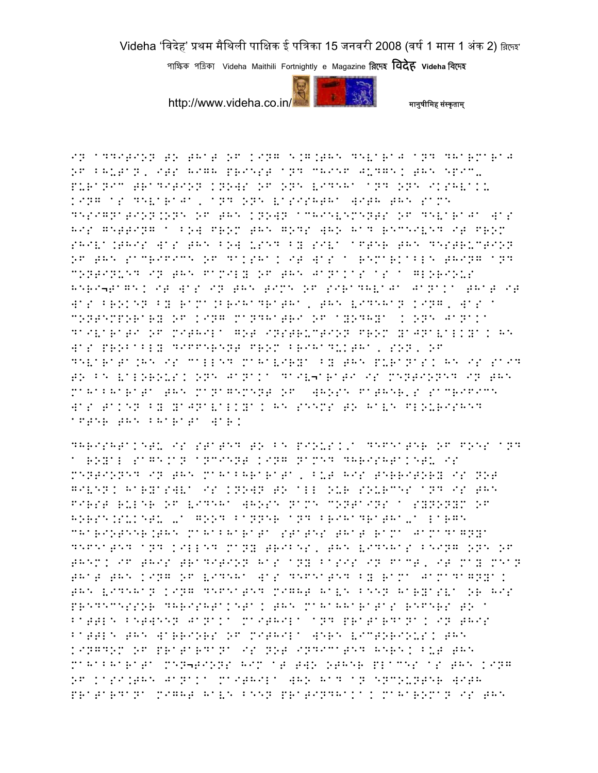DHRISHTaKETU IS STaTED TO BE PIOUS.,a DEFEaTER OF FOES aND a ROYaL SaGE.aN aNCIENT KING NaMED DHRISHTaKETU IS MENTIONED IN THE MAHABIRG IS THE RIS TERRITORY IS NO GIVEN. HaRYaSWVa IS KNOWN TO aLL OUR SOURCES aND IS THE FABIS RULER OF LATER SPOIN FIRST TODAY ARE CONTROLLED OF HORSE.SUKETU -a GOOD BaNNER aND BRIHaDRaTHa-a LaRGE CHaRIOTEER.THE MaHaBHaRaTa STaTES THaT RaMa JaMaDaGNYa DEFEATED AND CONTROL FEATER , THE BEING OF SERVICE OF ST THEM. IF THIS TRaDITION HaS aNY BaSIS IN FaCT, IT MaY MEaN THAT THE KING OF SAME AND AND SERVICE BY RAMA JAMADAGNYA. THE VIDEHaN KING DEFEaTED MIGHT HaVE BEEN HaRYaSVa OR HIS PREDECESSOR DHRISHTaKETa. THE MaHaHHaRaTaS REFERS TO a BATTLE BETWEEN JANAKA MAITHILA AND PAINT IN THILA AND PRATABLE OF THE PRATABLE OF THIS PAINT IN THIS PART OF T BaTTLE THE WaRRIORS OF MITHILa WERE VICTORIOUS. THE KINGDOM OF PRaTaRDaNa IS NOT INDICaTED HERE. BUT THE MaHaBHaRaTa MEN**¬**TIONS HIM aT TWO OTHER PLaCES aS THE KING OF KaSI.THE JaNaKa MaITHILa WHO HaD aN ENCOUNTER WITH PRaTaRDaNa MIGHT HaVE BEEN PRaTINDHaKa. MaHaROMaN IS THE

## aFTER THE BHaRaTa WaR.

IN ADDITION TO THAT OF KING E.G.THE DEVIAL AND DHARMARAJ AND DHARMA OF BHUTaN, ITS HIGH PRIEST aND CHIEF JUDGE. THE EPIC-PURANIC TRADITION KOMBONIC TRADITION AND ONE VIOLENCE KING aS DEVaRaJa, aND ONE VaSISHTHa WITH THE SaME DESIGNaTION.ONE OF THE KNOWN aCHIEVEMENTS OF DEVaRaJa WaS HIS GETTING a BOW FROM THE GODS WHO HaD RECEIVED IT FROM SHIVA.THIS WAS THIS WAS USED BY SIX AFTER THE BIS THIS MAY DESTRUCT OF THE SACRIFICE OF DAKSHA. IT WAS ARRESTED OF DAKSHARA BLACKABLE THING CONTINUED IN THE FaMILY OF THE JaNaKaS aS a GLORIOUS HERI**¬**TaGE. IT WaS IN THE TIME OF SIRaDHVaJa JaNaKa THaT IT Was BROKEN BY RAMA BEREN BY REAL WAS ARRESTED FOR VIOLATION CONTEMPORARY OF KING MANDHATRI OF ASSESSMENT OF ATOM OF A DaIVaRaTI OF MITHILa GOT INSTRUCTION FROM YaJNaVaLKYa. HE WaS PROBaBLY DIFFERENT FROM BRIHaDUKTHa, SON, OF DEVaRaTa.HE IS CaLLED MaHaVIRYa BY THE PURaNaS. HE IS SaID TO BE VaLOROUS. ONE JaNaKa DaIV**¬**aRaTI IS MENTIONED IN THE Mahambharata The Mannebas (Sacrifice Sacrifice Sacrifice Sacrifice Sacrifice Sacr WAS TAKEN BY TAKEN BY TAKEN BY TANGIN HE SEEMS TO HAVE FLOW

http://www.videha.co.in/ सेन्द्र के अन्य मानुषीमिह संस्कृताम्



পািkক পিtকা Videha Maithili Fortnightly e Magazine িরেদহ िवदेह **Videha** িবেদহ

Videha 'विदेह' प्रथम मैथिली पाक्षिक ई पत्रिका 15 जनवरी 2008 (वर्ष 1 मास 1 अंक 2) बिल्न्ड'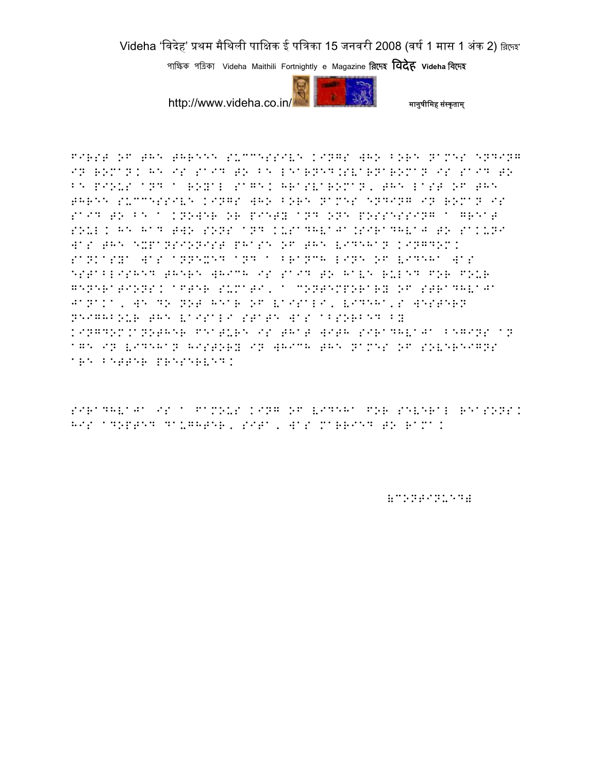Videha 'विदेह' प्रथम मैथिली पाक्षिक ई पत्रिका 15 जनवरी 2008 (वर्ष 1 मास 1 अंक 2) बिलर

পাক্ষিক পত্ৰিকা Videha Maithili Fortnightly e Magazine **রিদেহ यिदेह Videha বিদেহ** 



मानुषीमिह संस्कृताम्

regge ar ens engsts giornggedis (ergge ens tags plota sprepr KR BROTEL AN KEILOND BROOK ENTERPRESENTEN DIE ENDER FR POWERTS PRETERING APACHENDIS ANY PIPE OF ANY amenn forrinffeld (spar amb foen picnf nomspa sp eocip sf firs and the company of freedom number of the sense of which a POLE D'AN AMM BAD PORT MEM CLPMALMAM DEPRESA DE PULLEM die ams soproducere pries driams beginn diedemdel POSICE ARTICLES Specification and provided the angle of the state of the state ANGNES ANNES CORANE SOLD AN LOS MOGANIZAMENTES OF SAAM ANAM andro de de decarto en control de canal e dicide POWERSE ARTICLES CONTROLLED TESTIFY <u> 1988 - 1988 - 1988 - 1989 - 1989 - 1989 - 1989 - 1989 - 1989 - 1989 - 19</u> nas ko poznano poskojanje ko gskom jest onotsko na junjaka se po **TEN PREPR PERSONS** 

reposered er og dosdruker være på bestæd ave rykkelene evorpret REPORTED TO DREPEL PER LORD TO BECAME AN BOTO I

and dengan sa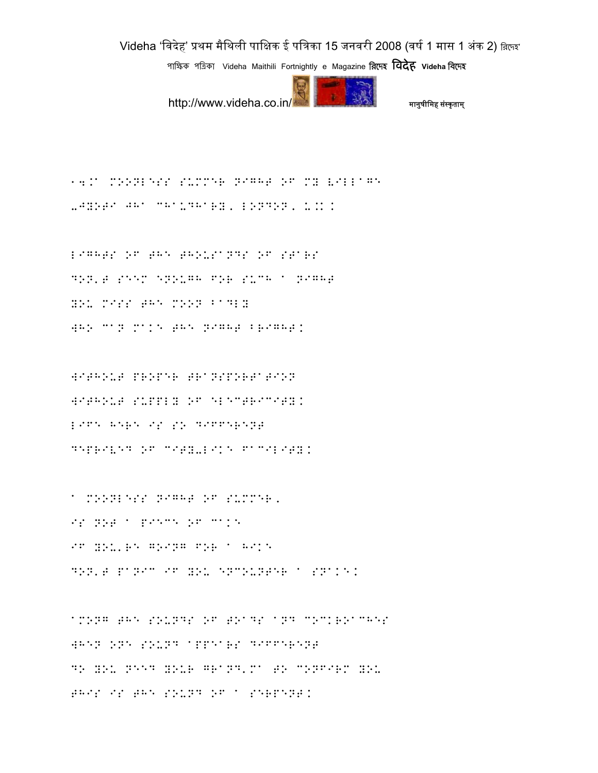Videha 'विदेह' प्रथम मैथिली पाक्षिक ई पत्रिका 15 जनवरी 2008 (वर्ष 1 मास 1 अंक 2) बिलब

পািkক পিtকা Videha Maithili Fortnightly e Magazine িরেদহ िवदेह **Videha** িবেদহ



http://www.videha.co.in/ सेन्द्र के अन्य मानुषीमिह संस्कृताम्

14. A MOONLESS SUMMER NIGHT OF MY VILLAGE OF MY

LIGHTS OF THE THOUSaNDS OF STaRS DON'T SEEM ENOUGH FOR SUCH a NIGHT HOU MISS HAD MOON BADLY WHO CAN MAKE THE NIGHT BRIGHT.

-JYOTI JHa CHaUDHaRY, LONDON, U.K.

WITHOUT PROPERTY PROPERTY

WITHOUT SUPPLY OF ELECTRICITY. LIFE HERE IS SO DIFFERENT

DEPRIVED OF CITY-LIKE FaCILITY. a MOONLESS NIGHT OF SUMMER,

DON'T PANIC IN YOU ENTERED STATES

WHEN ONE SOUND appears to the sound of the sound of the sound of the sound of the sound of the sound of the sound of the sound of the sound of the sound of the sound of the sound of the sound of the sound of the sound of t

THIS IS THE SOUND OF a SERPENT.

aMONG THE SOUNDS OF TOaDS aND COCKROaCHES

DO YOU NEED YOUR GRaND'Ma TO CONFIRM YOU

IS THE CONSIDERATION

IF YOU'RE GOING FOR a HIKE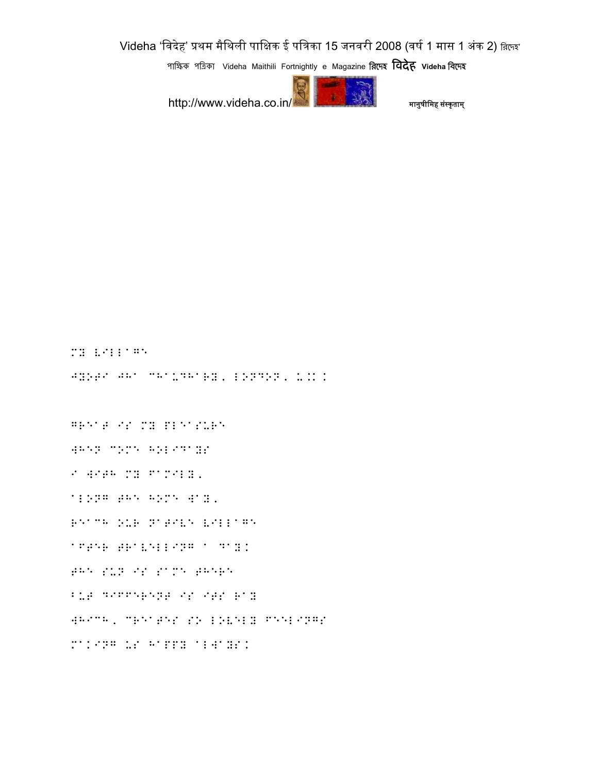Added Abs Masinaried, Edgmon, Lill. SPORTS OF THIS HOURS HAND THIS AND STUDY CAPE TESTIFIE. BROWN PLB PORTER ESERORE **TEMP OF LATIFIED TO THE** BAN PLE PE PUTS BANKS **TER SPEEDEDER PE PRE BOB** HATA, TEM PAR IN INNII TANKTRI TO PER LE ROBER OFFICE.

TH ESPECAN

http://www.videha.co.in/



मानुषीमिह संस्कृताम्

পাক্ষিক পত্ৰিকা Videha Maithili Fortnightly e Magazine **রিদেহ যি** $\overline{\textbf{d}}$ **ন্টে Videha বিদেহ** 

Videha 'विदेह' प्रथम मैथिली पाक्षिक ई पत्रिका 15 जनवरी 2008 (वर्ष 1 मास 1 अंक 2) बिलर